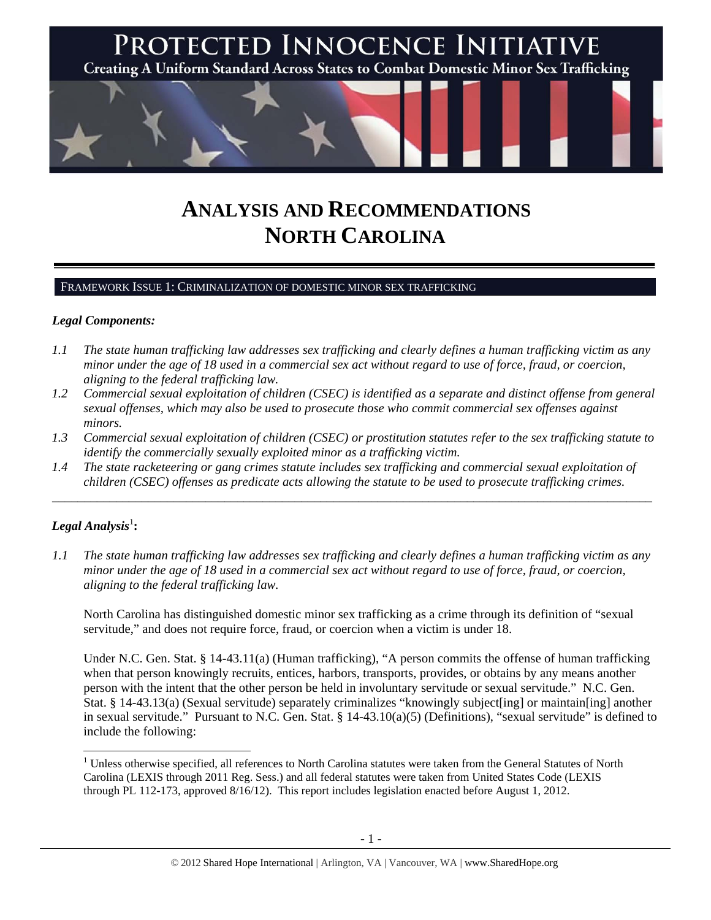

# **ANALYSIS AND RECOMMENDATIONS NORTH CAROLINA**

#### FRAMEWORK ISSUE 1: CRIMINALIZATION OF DOMESTIC MINOR SEX TRAFFICKING

#### *Legal Components:*

- *1.1 The state human trafficking law addresses sex trafficking and clearly defines a human trafficking victim as any minor under the age of 18 used in a commercial sex act without regard to use of force, fraud, or coercion, aligning to the federal trafficking law.*
- *1.2 Commercial sexual exploitation of children (CSEC) is identified as a separate and distinct offense from general sexual offenses, which may also be used to prosecute those who commit commercial sex offenses against minors.*
- *1.3 Commercial sexual exploitation of children (CSEC) or prostitution statutes refer to the sex trafficking statute to identify the commercially sexually exploited minor as a trafficking victim.*

\_\_\_\_\_\_\_\_\_\_\_\_\_\_\_\_\_\_\_\_\_\_\_\_\_\_\_\_\_\_\_\_\_\_\_\_\_\_\_\_\_\_\_\_\_\_\_\_\_\_\_\_\_\_\_\_\_\_\_\_\_\_\_\_\_\_\_\_\_\_\_\_\_\_\_\_\_\_\_\_\_\_\_\_\_\_\_\_\_\_\_\_\_\_

*1.4 The state racketeering or gang crimes statute includes sex trafficking and commercial sexual exploitation of children (CSEC) offenses as predicate acts allowing the statute to be used to prosecute trafficking crimes.* 

# $\boldsymbol{Legal}$  Analysis $^1$ :

*1.1 The state human trafficking law addresses sex trafficking and clearly defines a human trafficking victim as any minor under the age of 18 used in a commercial sex act without regard to use of force, fraud, or coercion, aligning to the federal trafficking law.*

North Carolina has distinguished domestic minor sex trafficking as a crime through its definition of "sexual servitude," and does not require force, fraud, or coercion when a victim is under 18.

Under N.C. Gen. Stat. § 14-43.11(a) (Human trafficking), "A person commits the offense of human trafficking when that person knowingly recruits, entices, harbors, transports, provides, or obtains by any means another person with the intent that the other person be held in involuntary servitude or sexual servitude." N.C. Gen. Stat. § 14-43.13(a) (Sexual servitude) separately criminalizes "knowingly subject[ing] or maintain[ing] another in sexual servitude." Pursuant to N.C. Gen. Stat. § 14-43.10(a)(5) (Definitions), "sexual servitude" is defined to include the following:

 <sup>1</sup> Unless otherwise specified, all references to North Carolina statutes were taken from the General Statutes of North Carolina (LEXIS through 2011 Reg. Sess.) and all federal statutes were taken from United States Code (LEXIS through PL 112-173, approved 8/16/12). This report includes legislation enacted before August 1, 2012.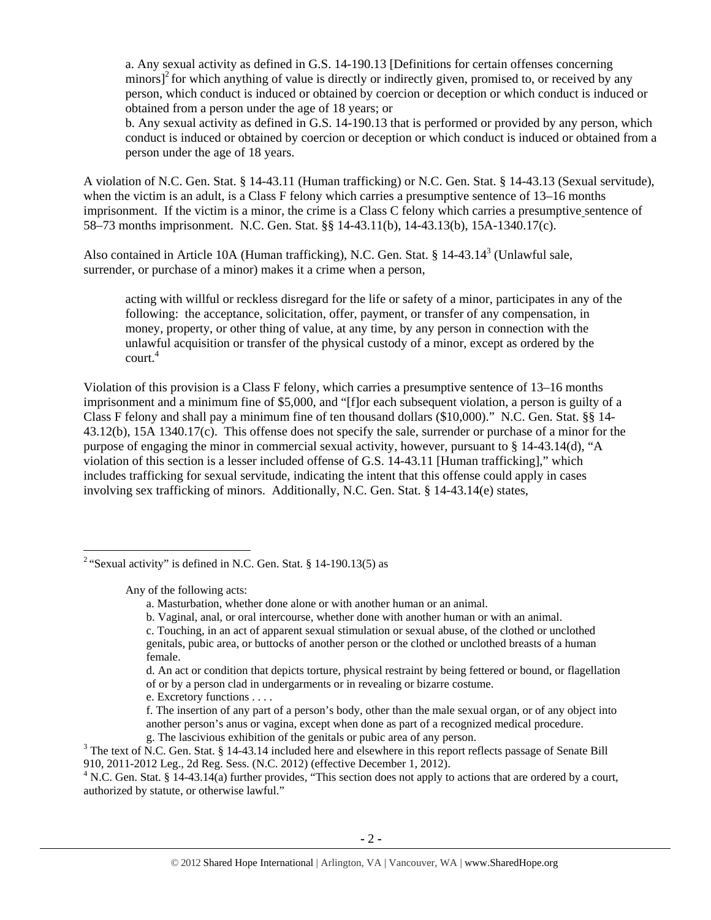a. Any sexual activity as defined in G.S. 14-190.13 [Definitions for certain offenses concerning minors] $^2$  for which anything of value is directly or indirectly given, promised to, or received by any person, which conduct is induced or obtained by coercion or deception or which conduct is induced or obtained from a person under the age of 18 years; or

b. Any sexual activity as defined in G.S. 14-190.13 that is performed or provided by any person, which conduct is induced or obtained by coercion or deception or which conduct is induced or obtained from a person under the age of 18 years.

A violation of N.C. Gen. Stat. § 14-43.11 (Human trafficking) or N.C. Gen. Stat. § 14-43.13 (Sexual servitude), when the victim is an adult, is a Class F felony which carries a presumptive sentence of 13–16 months imprisonment. If the victim is a minor, the crime is a Class C felony which carries a presumptive sentence of 58–73 months imprisonment. N.C. Gen. Stat. §§ 14-43.11(b), 14-43.13(b), 15A-1340.17(c).

Also contained in Article 10A (Human trafficking), N.C. Gen. Stat. § 14-43.14<sup>3</sup> (Unlawful sale, surrender, or purchase of a minor) makes it a crime when a person,

acting with willful or reckless disregard for the life or safety of a minor, participates in any of the following: the acceptance, solicitation, offer, payment, or transfer of any compensation, in money, property, or other thing of value, at any time, by any person in connection with the unlawful acquisition or transfer of the physical custody of a minor, except as ordered by the court.<sup>4</sup>

Violation of this provision is a Class F felony, which carries a presumptive sentence of 13–16 months imprisonment and a minimum fine of \$5,000, and "[f]or each subsequent violation, a person is guilty of a Class F felony and shall pay a minimum fine of ten thousand dollars (\$10,000)." N.C. Gen. Stat. §§ 14- 43.12(b), 15A 1340.17(c). This offense does not specify the sale, surrender or purchase of a minor for the purpose of engaging the minor in commercial sexual activity, however, pursuant to § 14-43.14(d), "A violation of this section is a lesser included offense of G.S. 14-43.11 [Human trafficking]," which includes trafficking for sexual servitude, indicating the intent that this offense could apply in cases involving sex trafficking of minors. Additionally, N.C. Gen. Stat. § 14-43.14(e) states,

Any of the following acts:

- e. Excretory functions . . . .
- f. The insertion of any part of a person's body, other than the male sexual organ, or of any object into another person's anus or vagina, except when done as part of a recognized medical procedure.
- g. The lascivious exhibition of the genitals or pubic area of any person. 3

<sup>3</sup> The text of N.C. Gen. Stat. § 14-43.14 included here and elsewhere in this report reflects passage of Senate Bill 910, 2011-2012 Leg., 2d Reg. Sess. (N.C. 2012) (effective December 1, 2012).

<sup>4</sup> N.C. Gen. Stat. § 14-43.14(a) further provides, "This section does not apply to actions that are ordered by a court, authorized by statute, or otherwise lawful."

<sup>&</sup>lt;sup>2</sup> "Sexual activity" is defined in N.C. Gen. Stat. § 14-190.13(5) as

a. Masturbation, whether done alone or with another human or an animal.

b. Vaginal, anal, or oral intercourse, whether done with another human or with an animal.

c. Touching, in an act of apparent sexual stimulation or sexual abuse, of the clothed or unclothed genitals, pubic area, or buttocks of another person or the clothed or unclothed breasts of a human female.

d. An act or condition that depicts torture, physical restraint by being fettered or bound, or flagellation of or by a person clad in undergarments or in revealing or bizarre costume.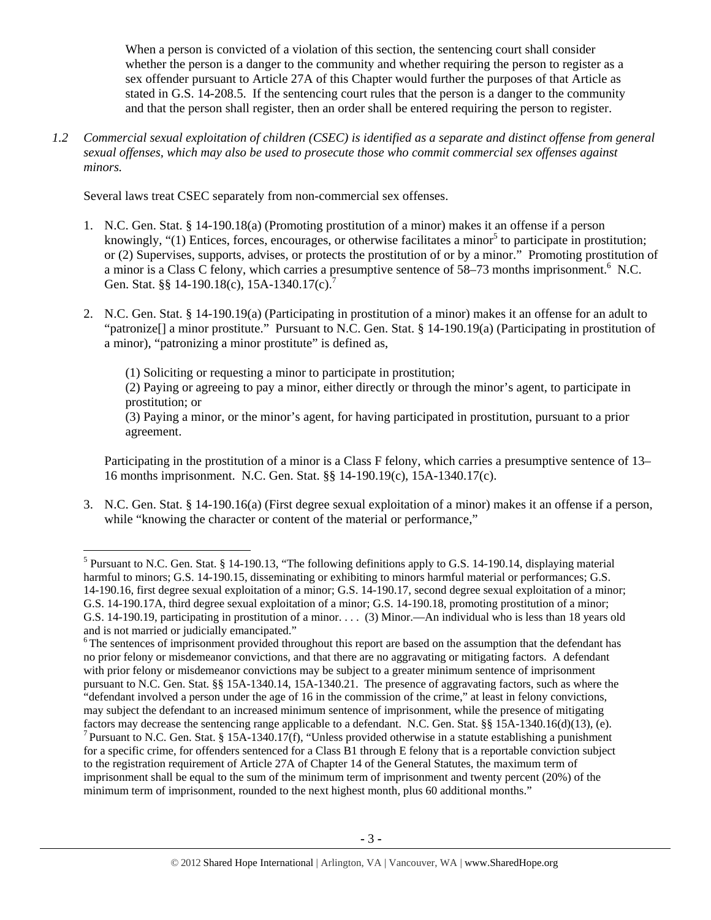When a person is convicted of a violation of this section, the sentencing court shall consider whether the person is a danger to the community and whether requiring the person to register as a sex offender pursuant to Article 27A of this Chapter would further the purposes of that Article as stated in G.S. 14-208.5. If the sentencing court rules that the person is a danger to the community and that the person shall register, then an order shall be entered requiring the person to register.

*1.2 Commercial sexual exploitation of children (CSEC) is identified as a separate and distinct offense from general sexual offenses, which may also be used to prosecute those who commit commercial sex offenses against minors.*

Several laws treat CSEC separately from non-commercial sex offenses.

- 1. N.C. Gen. Stat. § 14-190.18(a) (Promoting prostitution of a minor) makes it an offense if a person knowingly, " $(1)$  Entices, forces, encourages, or otherwise facilitates a minor<sup>5</sup> to participate in prostitution; or (2) Supervises, supports, advises, or protects the prostitution of or by a minor." Promoting prostitution of a minor is a Class C felony, which carries a presumptive sentence of 58–73 months imprisonment.<sup>6</sup> N.C. Gen. Stat. §§ 14-190.18(c), 15A-1340.17(c).<sup>7</sup>
- 2. N.C. Gen. Stat. § 14-190.19(a) (Participating in prostitution of a minor) makes it an offense for an adult to "patronize[] a minor prostitute." Pursuant to N.C. Gen. Stat. § 14-190.19(a) (Participating in prostitution of a minor), "patronizing a minor prostitute" is defined as,

(1) Soliciting or requesting a minor to participate in prostitution;

(2) Paying or agreeing to pay a minor, either directly or through the minor's agent, to participate in prostitution; or

(3) Paying a minor, or the minor's agent, for having participated in prostitution, pursuant to a prior agreement.

 Participating in the prostitution of a minor is a Class F felony, which carries a presumptive sentence of 13– 16 months imprisonment. N.C. Gen. Stat. §§ 14-190.19(c), 15A-1340.17(c).

3. N.C. Gen. Stat. § 14-190.16(a) (First degree sexual exploitation of a minor) makes it an offense if a person, while "knowing the character or content of the material or performance,"

 <sup>5</sup> Pursuant to N.C. Gen. Stat. § 14-190.13, "The following definitions apply to G.S. 14-190.14, displaying material harmful to minors; G.S. 14-190.15, disseminating or exhibiting to minors harmful material or performances; G.S. 14-190.16, first degree sexual exploitation of a minor; G.S. 14-190.17, second degree sexual exploitation of a minor; G.S. 14-190.17A, third degree sexual exploitation of a minor; G.S. 14-190.18, promoting prostitution of a minor; G.S. 14-190.19, participating in prostitution of a minor. . . . (3) Minor.—An individual who is less than 18 years old and is not married or judicially emancipated."

<sup>&</sup>lt;sup>6</sup>The sentences of imprisonment provided throughout this report are based on the assumption that the defendant has no prior felony or misdemeanor convictions, and that there are no aggravating or mitigating factors. A defendant with prior felony or misdemeanor convictions may be subject to a greater minimum sentence of imprisonment pursuant to N.C. Gen. Stat. §§ 15A-1340.14, 15A-1340.21. The presence of aggravating factors, such as where the "defendant involved a person under the age of 16 in the commission of the crime," at least in felony convictions, may subject the defendant to an increased minimum sentence of imprisonment, while the presence of mitigating factors may decrease the sentencing range applicable to a defendant. N.C. Gen. Stat. §§ 15A-1340.16(d)(13), (e).<br><sup>7</sup> Pursuant to N.C. Gen. Stat. § 15A-1340.17(f), "Unless provided otherwise in a statute establishing a pun for a specific crime, for offenders sentenced for a Class B1 through E felony that is a reportable conviction subject to the registration requirement of Article 27A of Chapter 14 of the General Statutes, the maximum term of imprisonment shall be equal to the sum of the minimum term of imprisonment and twenty percent (20%) of the minimum term of imprisonment, rounded to the next highest month, plus 60 additional months."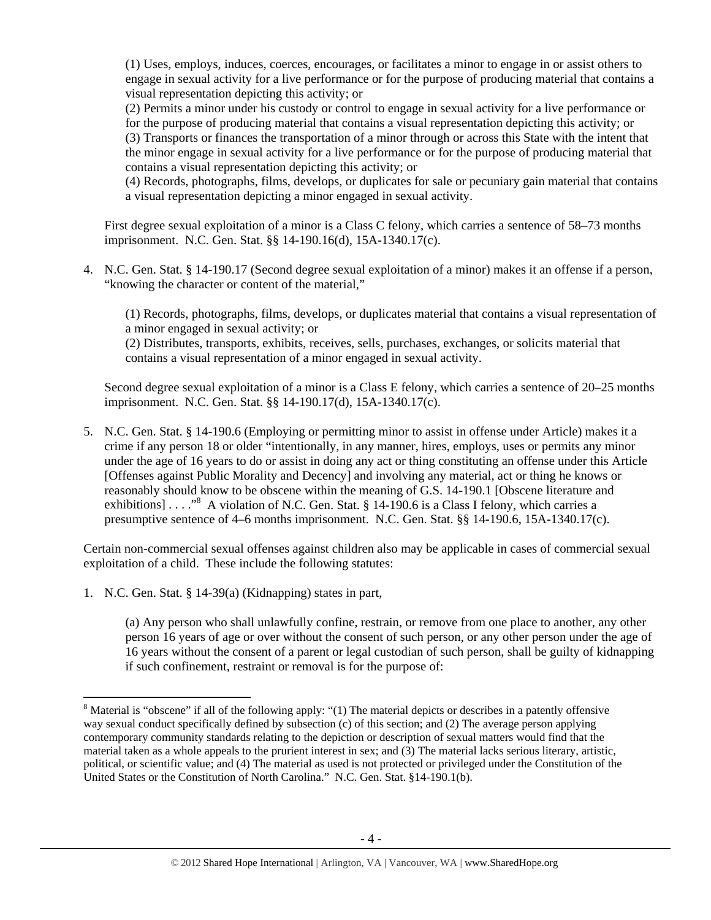(1) Uses, employs, induces, coerces, encourages, or facilitates a minor to engage in or assist others to engage in sexual activity for a live performance or for the purpose of producing material that contains a visual representation depicting this activity; or

(2) Permits a minor under his custody or control to engage in sexual activity for a live performance or for the purpose of producing material that contains a visual representation depicting this activity; or (3) Transports or finances the transportation of a minor through or across this State with the intent that the minor engage in sexual activity for a live performance or for the purpose of producing material that contains a visual representation depicting this activity; or

(4) Records, photographs, films, develops, or duplicates for sale or pecuniary gain material that contains a visual representation depicting a minor engaged in sexual activity.

First degree sexual exploitation of a minor is a Class C felony, which carries a sentence of 58–73 months imprisonment. N.C. Gen. Stat. §§ 14-190.16(d), 15A-1340.17(c).

4. N.C. Gen. Stat. § 14-190.17 (Second degree sexual exploitation of a minor) makes it an offense if a person, "knowing the character or content of the material,"

(1) Records, photographs, films, develops, or duplicates material that contains a visual representation of a minor engaged in sexual activity; or

(2) Distributes, transports, exhibits, receives, sells, purchases, exchanges, or solicits material that contains a visual representation of a minor engaged in sexual activity.

Second degree sexual exploitation of a minor is a Class E felony, which carries a sentence of 20–25 months imprisonment. N.C. Gen. Stat. §§ 14-190.17(d), 15A-1340.17(c).

5. N.C. Gen. Stat. § 14-190.6 (Employing or permitting minor to assist in offense under Article) makes it a crime if any person 18 or older "intentionally, in any manner, hires, employs, uses or permits any minor under the age of 16 years to do or assist in doing any act or thing constituting an offense under this Article [Offenses against Public Morality and Decency] and involving any material, act or thing he knows or reasonably should know to be obscene within the meaning of G.S. 14-190.1 [Obscene literature and exhibitions] . . . . "<sup>8</sup> A violation of N.C. Gen. Stat. § 14-190.6 is a Class I felony, which carries a presumptive sentence of  $4-6$  months imprisonment. N.C. Gen. Stat. §§ 14-190.6, 15A-1340.17(c).

Certain non-commercial sexual offenses against children also may be applicable in cases of commercial sexual exploitation of a child. These include the following statutes:

1. N.C. Gen. Stat. § 14-39(a) (Kidnapping) states in part,

(a) Any person who shall unlawfully confine, restrain, or remove from one place to another, any other person 16 years of age or over without the consent of such person, or any other person under the age of 16 years without the consent of a parent or legal custodian of such person, shall be guilty of kidnapping if such confinement, restraint or removal is for the purpose of:

 $8$  Material is "obscene" if all of the following apply: "(1) The material depicts or describes in a patently offensive way sexual conduct specifically defined by subsection (c) of this section; and (2) The average person applying contemporary community standards relating to the depiction or description of sexual matters would find that the material taken as a whole appeals to the prurient interest in sex; and (3) The material lacks serious literary, artistic, political, or scientific value; and (4) The material as used is not protected or privileged under the Constitution of the United States or the Constitution of North Carolina." N.C. Gen. Stat. §14-190.1(b).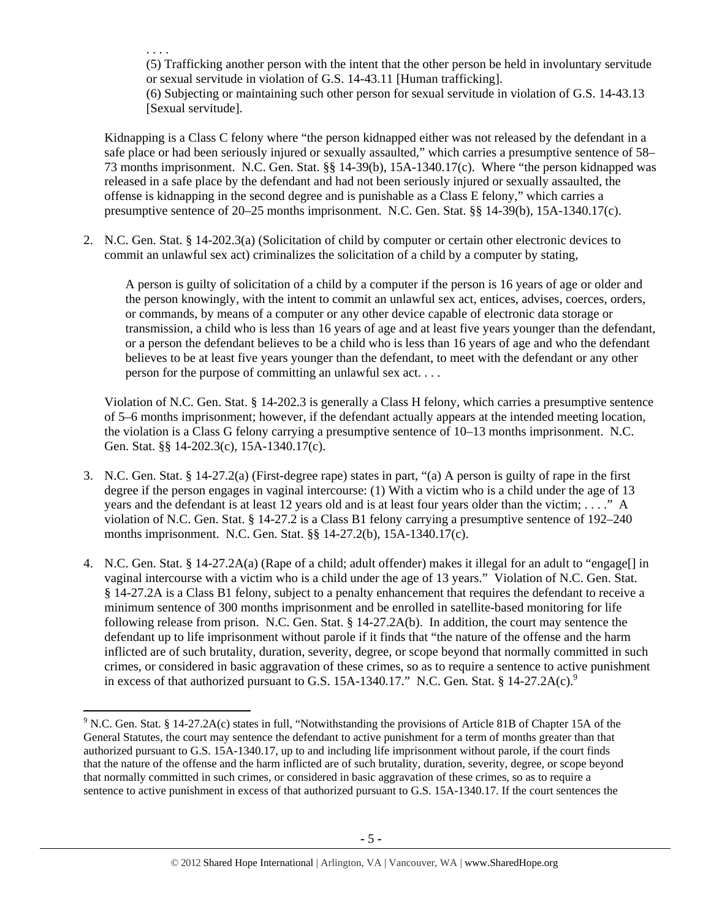. . . . (5) Trafficking another person with the intent that the other person be held in involuntary servitude or sexual servitude in violation of G.S. 14-43.11 [Human trafficking]. (6) Subjecting or maintaining such other person for sexual servitude in violation of G.S. 14-43.13 [Sexual servitude].

Kidnapping is a Class C felony where "the person kidnapped either was not released by the defendant in a safe place or had been seriously injured or sexually assaulted," which carries a presumptive sentence of 58– 73 months imprisonment. N.C. Gen. Stat. §§ 14-39(b), 15A-1340.17(c). Where "the person kidnapped was released in a safe place by the defendant and had not been seriously injured or sexually assaulted, the offense is kidnapping in the second degree and is punishable as a Class E felony," which carries a presumptive sentence of 20–25 months imprisonment. N.C. Gen. Stat. §§ 14-39(b), 15A-1340.17(c).

2. N.C. Gen. Stat. § 14-202.3(a) (Solicitation of child by computer or certain other electronic devices to commit an unlawful sex act) criminalizes the solicitation of a child by a computer by stating,

A person is guilty of solicitation of a child by a computer if the person is 16 years of age or older and the person knowingly, with the intent to commit an unlawful sex act, entices, advises, coerces, orders, or commands, by means of a computer or any other device capable of electronic data storage or transmission, a child who is less than 16 years of age and at least five years younger than the defendant, or a person the defendant believes to be a child who is less than 16 years of age and who the defendant believes to be at least five years younger than the defendant, to meet with the defendant or any other person for the purpose of committing an unlawful sex act. . . .

Violation of N.C. Gen. Stat. § 14-202.3 is generally a Class H felony, which carries a presumptive sentence of 5–6 months imprisonment; however, if the defendant actually appears at the intended meeting location, the violation is a Class G felony carrying a presumptive sentence of 10–13 months imprisonment. N.C. Gen. Stat. §§ 14-202.3(c), 15A-1340.17(c).

- 3. N.C. Gen. Stat. § 14-27.2(a) (First-degree rape) states in part, "(a) A person is guilty of rape in the first degree if the person engages in vaginal intercourse: (1) With a victim who is a child under the age of 13 years and the defendant is at least 12 years old and is at least four years older than the victim; . . . ." A violation of N.C. Gen. Stat. § 14-27.2 is a Class B1 felony carrying a presumptive sentence of 192–240 months imprisonment. N.C. Gen. Stat. §§ 14-27.2(b), 15A-1340.17(c).
- 4. N.C. Gen. Stat. § 14-27.2A(a) (Rape of a child; adult offender) makes it illegal for an adult to "engage[] in vaginal intercourse with a victim who is a child under the age of 13 years." Violation of N.C. Gen. Stat. § 14-27.2A is a Class B1 felony, subject to a penalty enhancement that requires the defendant to receive a minimum sentence of 300 months imprisonment and be enrolled in satellite-based monitoring for life following release from prison. N.C. Gen. Stat. § 14-27.2A(b). In addition, the court may sentence the defendant up to life imprisonment without parole if it finds that "the nature of the offense and the harm inflicted are of such brutality, duration, severity, degree, or scope beyond that normally committed in such crimes, or considered in basic aggravation of these crimes, so as to require a sentence to active punishment in excess of that authorized pursuant to G.S. 15A-1340.17." N.C. Gen. Stat.  $§$  14-27.2A(c).<sup>9</sup>

<sup>&</sup>lt;sup>9</sup> N.C. Gen. Stat. § 14-27.2A(c) states in full, "Notwithstanding the provisions of Article 81B of Chapter 15A of the General Statutes, the court may sentence the defendant to active punishment for a term of months greater than that authorized pursuant to G.S. 15A-1340.17, up to and including life imprisonment without parole, if the court finds that the nature of the offense and the harm inflicted are of such brutality, duration, severity, degree, or scope beyond that normally committed in such crimes, or considered in basic aggravation of these crimes, so as to require a sentence to active punishment in excess of that authorized pursuant to G.S. 15A-1340.17. If the court sentences the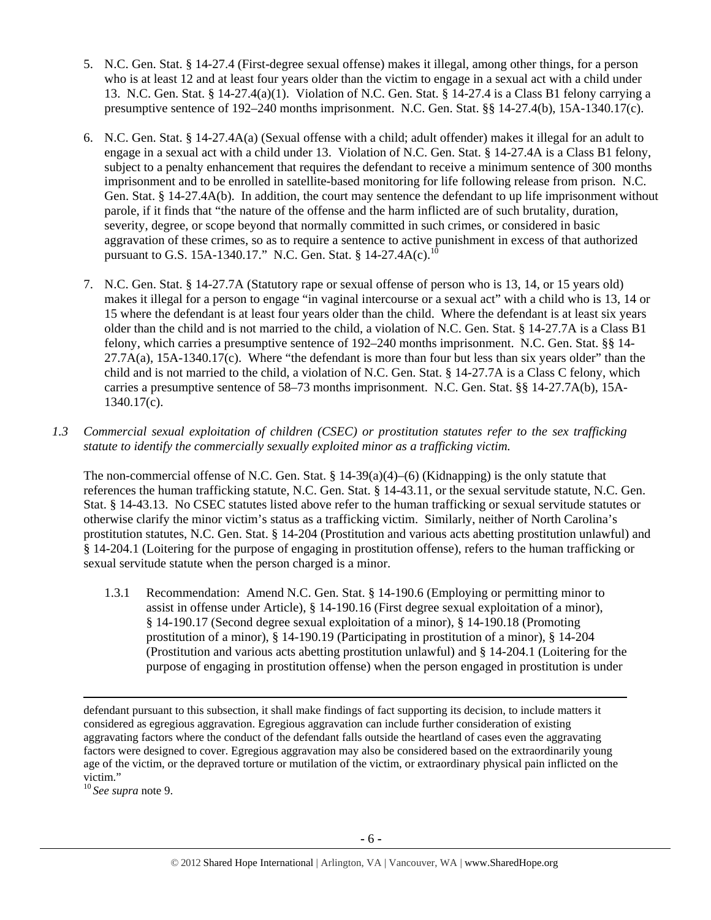- 5. N.C. Gen. Stat. § 14-27.4 (First-degree sexual offense) makes it illegal, among other things, for a person who is at least 12 and at least four years older than the victim to engage in a sexual act with a child under 13. N.C. Gen. Stat. § 14-27.4(a)(1). Violation of N.C. Gen. Stat. § 14-27.4 is a Class B1 felony carrying a presumptive sentence of 192–240 months imprisonment. N.C. Gen. Stat. §§ 14-27.4(b), 15A-1340.17(c).
- 6. N.C. Gen. Stat. § 14-27.4A(a) (Sexual offense with a child; adult offender) makes it illegal for an adult to engage in a sexual act with a child under 13. Violation of N.C. Gen. Stat. § 14-27.4A is a Class B1 felony, subject to a penalty enhancement that requires the defendant to receive a minimum sentence of 300 months imprisonment and to be enrolled in satellite-based monitoring for life following release from prison. N.C. Gen. Stat. § 14-27.4A(b). In addition, the court may sentence the defendant to up life imprisonment without parole, if it finds that "the nature of the offense and the harm inflicted are of such brutality, duration, severity, degree, or scope beyond that normally committed in such crimes, or considered in basic aggravation of these crimes, so as to require a sentence to active punishment in excess of that authorized pursuant to G.S. 15A-1340.17." N.C. Gen. Stat. § 14-27.4A(c).<sup>10</sup>
- 7. N.C. Gen. Stat. § 14-27.7A (Statutory rape or sexual offense of person who is 13, 14, or 15 years old) makes it illegal for a person to engage "in vaginal intercourse or a sexual act" with a child who is 13, 14 or 15 where the defendant is at least four years older than the child. Where the defendant is at least six years older than the child and is not married to the child, a violation of N.C. Gen. Stat. § 14-27.7A is a Class B1 felony, which carries a presumptive sentence of 192–240 months imprisonment. N.C. Gen. Stat. §§ 14-  $27.7A(a)$ ,  $15A-1340.17(c)$ . Where "the defendant is more than four but less than six years older" than the child and is not married to the child, a violation of N.C. Gen. Stat. § 14-27.7A is a Class C felony, which carries a presumptive sentence of 58–73 months imprisonment. N.C. Gen. Stat. §§ 14-27.7A(b), 15A-1340.17(c).
- *1.3 Commercial sexual exploitation of children (CSEC) or prostitution statutes refer to the sex trafficking statute to identify the commercially sexually exploited minor as a trafficking victim.*

The non-commercial offense of N.C. Gen. Stat.  $\S 14-39(a)(4)$ –(6) (Kidnapping) is the only statute that references the human trafficking statute, N.C. Gen. Stat. § 14-43.11, or the sexual servitude statute, N.C. Gen. Stat. § 14-43.13. No CSEC statutes listed above refer to the human trafficking or sexual servitude statutes or otherwise clarify the minor victim's status as a trafficking victim. Similarly, neither of North Carolina's prostitution statutes, N.C. Gen. Stat. § 14-204 (Prostitution and various acts abetting prostitution unlawful) and § 14-204.1 (Loitering for the purpose of engaging in prostitution offense), refers to the human trafficking or sexual servitude statute when the person charged is a minor.

1.3.1 Recommendation: Amend N.C. Gen. Stat. § 14-190.6 (Employing or permitting minor to assist in offense under Article), § 14-190.16 (First degree sexual exploitation of a minor), § 14-190.17 (Second degree sexual exploitation of a minor), § 14-190.18 (Promoting prostitution of a minor), § 14-190.19 (Participating in prostitution of a minor), § 14-204 (Prostitution and various acts abetting prostitution unlawful) and § 14-204.1 (Loitering for the purpose of engaging in prostitution offense) when the person engaged in prostitution is under

<u> 1989 - Johann Stein, marwolaethau a gweledydd a ganlad y ganlad y ganlad y ganlad y ganlad y ganlad y ganlad</u>

<sup>10</sup>*See supra* note 9.

defendant pursuant to this subsection, it shall make findings of fact supporting its decision, to include matters it considered as egregious aggravation. Egregious aggravation can include further consideration of existing aggravating factors where the conduct of the defendant falls outside the heartland of cases even the aggravating factors were designed to cover. Egregious aggravation may also be considered based on the extraordinarily young age of the victim, or the depraved torture or mutilation of the victim, or extraordinary physical pain inflicted on the victim."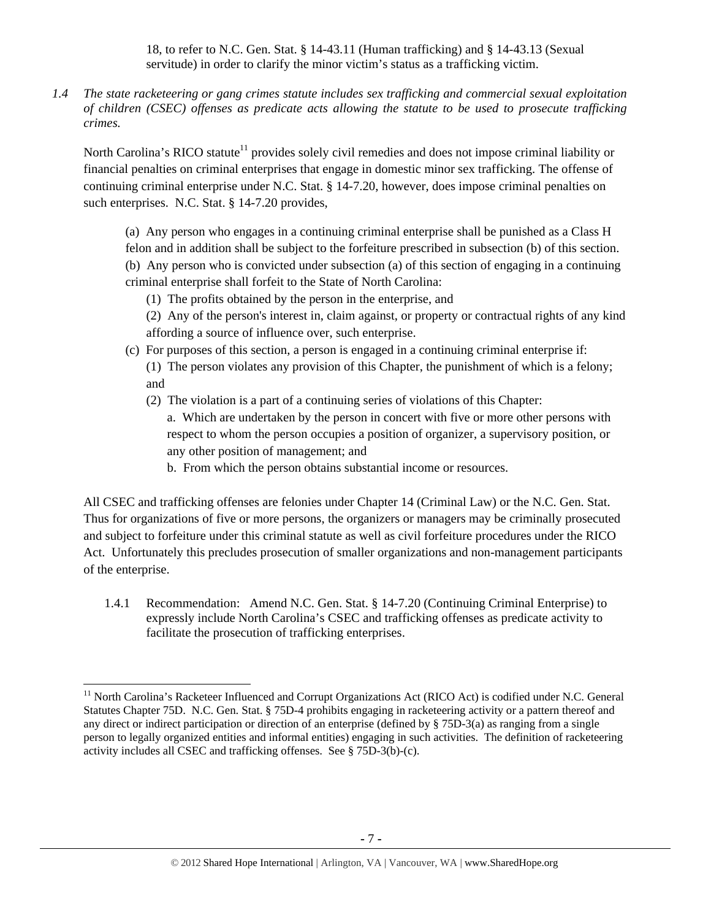18, to refer to N.C. Gen. Stat. § 14-43.11 (Human trafficking) and § 14-43.13 (Sexual servitude) in order to clarify the minor victim's status as a trafficking victim.

*1.4 The state racketeering or gang crimes statute includes sex trafficking and commercial sexual exploitation of children (CSEC) offenses as predicate acts allowing the statute to be used to prosecute trafficking crimes.* 

North Carolina's RICO statute<sup>11</sup> provides solely civil remedies and does not impose criminal liability or financial penalties on criminal enterprises that engage in domestic minor sex trafficking. The offense of continuing criminal enterprise under N.C. Stat. § 14-7.20, however, does impose criminal penalties on such enterprises. N.C. Stat. § 14-7.20 provides,

(a) Any person who engages in a continuing criminal enterprise shall be punished as a Class H

felon and in addition shall be subject to the forfeiture prescribed in subsection (b) of this section. (b) Any person who is convicted under subsection (a) of this section of engaging in a continuing criminal enterprise shall forfeit to the State of North Carolina:

- (1) The profits obtained by the person in the enterprise, and
- (2) Any of the person's interest in, claim against, or property or contractual rights of any kind affording a source of influence over, such enterprise.
- (c) For purposes of this section, a person is engaged in a continuing criminal enterprise if:
	- (1) The person violates any provision of this Chapter, the punishment of which is a felony; and
	- (2) The violation is a part of a continuing series of violations of this Chapter:
		- a. Which are undertaken by the person in concert with five or more other persons with respect to whom the person occupies a position of organizer, a supervisory position, or any other position of management; and
		- b. From which the person obtains substantial income or resources.

All CSEC and trafficking offenses are felonies under Chapter 14 (Criminal Law) or the N.C. Gen. Stat. Thus for organizations of five or more persons, the organizers or managers may be criminally prosecuted and subject to forfeiture under this criminal statute as well as civil forfeiture procedures under the RICO Act. Unfortunately this precludes prosecution of smaller organizations and non-management participants of the enterprise.

1.4.1 Recommendation: Amend N.C. Gen. Stat. § 14-7.20 (Continuing Criminal Enterprise) to expressly include North Carolina's CSEC and trafficking offenses as predicate activity to facilitate the prosecution of trafficking enterprises.

<sup>&</sup>lt;sup>11</sup> North Carolina's Racketeer Influenced and Corrupt Organizations Act (RICO Act) is codified under N.C. General Statutes Chapter 75D. N.C. Gen. Stat. § 75D-4 prohibits engaging in racketeering activity or a pattern thereof and any direct or indirect participation or direction of an enterprise (defined by § 75D-3(a) as ranging from a single person to legally organized entities and informal entities) engaging in such activities. The definition of racketeering activity includes all CSEC and trafficking offenses. See § 75D-3(b)-(c).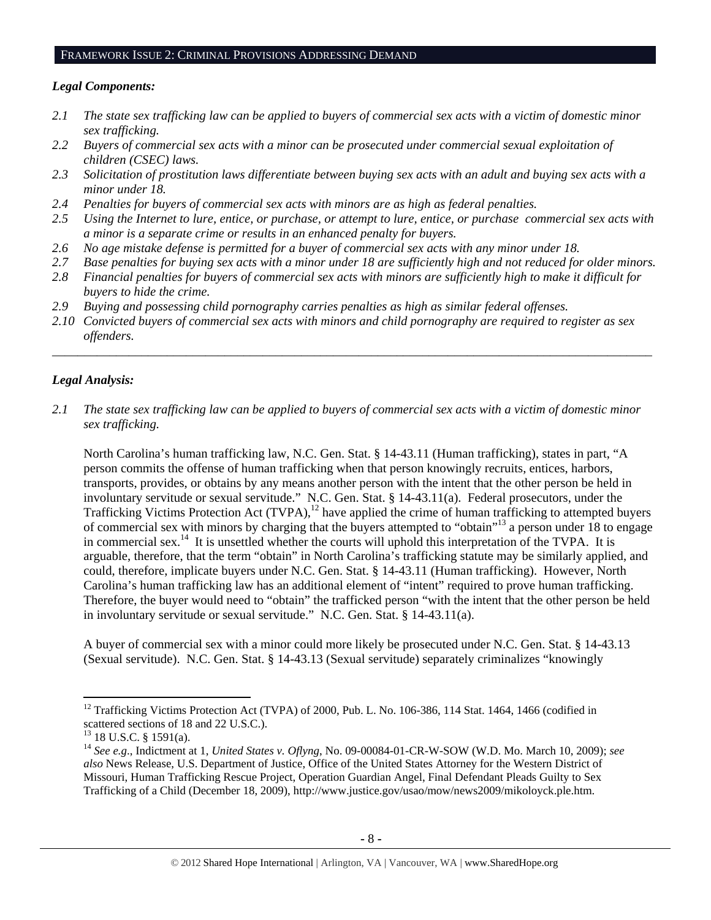#### FRAMEWORK ISSUE 2: CRIMINAL PROVISIONS ADDRESSING DEMAND

## *Legal Components:*

- *2.1 The state sex trafficking law can be applied to buyers of commercial sex acts with a victim of domestic minor sex trafficking.*
- *2.2 Buyers of commercial sex acts with a minor can be prosecuted under commercial sexual exploitation of children (CSEC) laws.*
- *2.3 Solicitation of prostitution laws differentiate between buying sex acts with an adult and buying sex acts with a minor under 18.*
- *2.4 Penalties for buyers of commercial sex acts with minors are as high as federal penalties.*
- *2.5 Using the Internet to lure, entice, or purchase, or attempt to lure, entice, or purchase commercial sex acts with a minor is a separate crime or results in an enhanced penalty for buyers.*
- *2.6 No age mistake defense is permitted for a buyer of commercial sex acts with any minor under 18.*
- *2.7 Base penalties for buying sex acts with a minor under 18 are sufficiently high and not reduced for older minors.*
- *2.8 Financial penalties for buyers of commercial sex acts with minors are sufficiently high to make it difficult for buyers to hide the crime.*
- *2.9 Buying and possessing child pornography carries penalties as high as similar federal offenses.*
- *2.10 Convicted buyers of commercial sex acts with minors and child pornography are required to register as sex offenders.*

\_\_\_\_\_\_\_\_\_\_\_\_\_\_\_\_\_\_\_\_\_\_\_\_\_\_\_\_\_\_\_\_\_\_\_\_\_\_\_\_\_\_\_\_\_\_\_\_\_\_\_\_\_\_\_\_\_\_\_\_\_\_\_\_\_\_\_\_\_\_\_\_\_\_\_\_\_\_\_\_\_\_\_\_\_\_\_\_\_\_\_\_\_\_

# *Legal Analysis:*

*2.1 The state sex trafficking law can be applied to buyers of commercial sex acts with a victim of domestic minor sex trafficking.* 

North Carolina's human trafficking law, N.C. Gen. Stat. § 14-43.11 (Human trafficking), states in part, "A person commits the offense of human trafficking when that person knowingly recruits, entices, harbors, transports, provides, or obtains by any means another person with the intent that the other person be held in involuntary servitude or sexual servitude." N.C. Gen. Stat. § 14-43.11(a). Federal prosecutors, under the Trafficking Victims Protection Act (TVPA),<sup>12</sup> have applied the crime of human trafficking to attempted buyers of commercial sex with minors by charging that the buyers attempted to "obtain"13 a person under 18 to engage in commercial sex.<sup>14</sup> It is unsettled whether the courts will uphold this interpretation of the TVPA. It is arguable, therefore, that the term "obtain" in North Carolina's trafficking statute may be similarly applied, and could, therefore, implicate buyers under N.C. Gen. Stat. § 14-43.11 (Human trafficking). However, North Carolina's human trafficking law has an additional element of "intent" required to prove human trafficking. Therefore, the buyer would need to "obtain" the trafficked person "with the intent that the other person be held in involuntary servitude or sexual servitude." N.C. Gen. Stat. § 14-43.11(a).

A buyer of commercial sex with a minor could more likely be prosecuted under N.C. Gen. Stat. § 14-43.13 (Sexual servitude). N.C. Gen. Stat. § 14-43.13 (Sexual servitude) separately criminalizes "knowingly

 $12$  Trafficking Victims Protection Act (TVPA) of 2000, Pub. L. No. 106-386, 114 Stat. 1464, 1466 (codified in scattered sections of 18 and 22 U.S.C.).

 $13$  18 U.S.C. § 1591(a).

<sup>14</sup> *See e.g*., Indictment at 1, *United States v. Oflyng*, No. 09-00084-01-CR-W-SOW (W.D. Mo. March 10, 2009); *see also* News Release, U.S. Department of Justice, Office of the United States Attorney for the Western District of Missouri, Human Trafficking Rescue Project, Operation Guardian Angel, Final Defendant Pleads Guilty to Sex Trafficking of a Child (December 18, 2009), http://www.justice.gov/usao/mow/news2009/mikoloyck.ple.htm.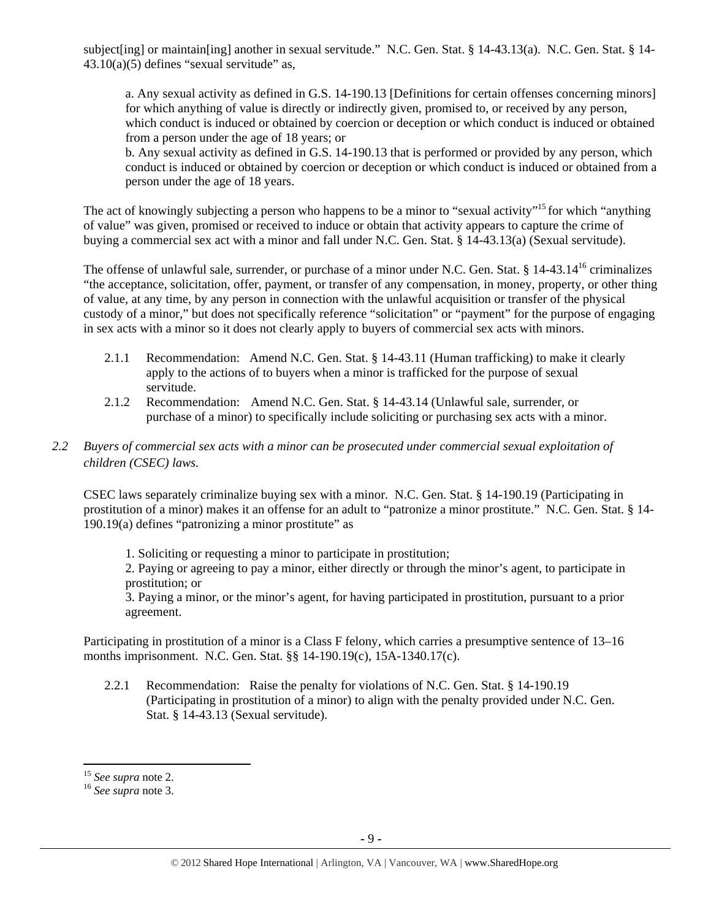subject[ing] or maintain[ing] another in sexual servitude." N.C. Gen. Stat. § 14-43.13(a). N.C. Gen. Stat. § 14-  $43.10(a)(5)$  defines "sexual servitude" as,

a. Any sexual activity as defined in G.S. 14-190.13 [Definitions for certain offenses concerning minors] for which anything of value is directly or indirectly given, promised to, or received by any person, which conduct is induced or obtained by coercion or deception or which conduct is induced or obtained from a person under the age of 18 years; or

b. Any sexual activity as defined in G.S. 14-190.13 that is performed or provided by any person, which conduct is induced or obtained by coercion or deception or which conduct is induced or obtained from a person under the age of 18 years.

The act of knowingly subjecting a person who happens to be a minor to "sexual activity"<sup>15</sup> for which "anything" of value" was given, promised or received to induce or obtain that activity appears to capture the crime of buying a commercial sex act with a minor and fall under N.C. Gen. Stat. § 14-43.13(a) (Sexual servitude).

The offense of unlawful sale, surrender, or purchase of a minor under N.C. Gen. Stat. § 14-43.14<sup>16</sup> criminalizes "the acceptance, solicitation, offer, payment, or transfer of any compensation, in money, property, or other thing of value, at any time, by any person in connection with the unlawful acquisition or transfer of the physical custody of a minor," but does not specifically reference "solicitation" or "payment" for the purpose of engaging in sex acts with a minor so it does not clearly apply to buyers of commercial sex acts with minors.

- 2.1.1 Recommendation: Amend N.C. Gen. Stat. § 14-43.11 (Human trafficking) to make it clearly apply to the actions of to buyers when a minor is trafficked for the purpose of sexual servitude.
- 2.1.2 Recommendation: Amend N.C. Gen. Stat. § 14-43.14 (Unlawful sale, surrender, or purchase of a minor) to specifically include soliciting or purchasing sex acts with a minor.

# *2.2 Buyers of commercial sex acts with a minor can be prosecuted under commercial sexual exploitation of children (CSEC) laws.*

CSEC laws separately criminalize buying sex with a minor. N.C. Gen. Stat. § 14-190.19 (Participating in prostitution of a minor) makes it an offense for an adult to "patronize a minor prostitute." N.C. Gen. Stat. § 14-  $190.19(a)$  defines "patronizing a minor prostitute" as

1. Soliciting or requesting a minor to participate in prostitution;

2. Paying or agreeing to pay a minor, either directly or through the minor's agent, to participate in prostitution; or

3. Paying a minor, or the minor's agent, for having participated in prostitution, pursuant to a prior agreement.

Participating in prostitution of a minor is a Class F felony, which carries a presumptive sentence of 13–16 months imprisonment. N.C. Gen. Stat. §§ 14-190.19(c), 15A-1340.17(c).

2.2.1 Recommendation: Raise the penalty for violations of N.C. Gen. Stat. § 14-190.19 (Participating in prostitution of a minor) to align with the penalty provided under N.C. Gen. Stat. § 14-43.13 (Sexual servitude).

<sup>15</sup> *See supra* note 2. 16 *See supra* note 3.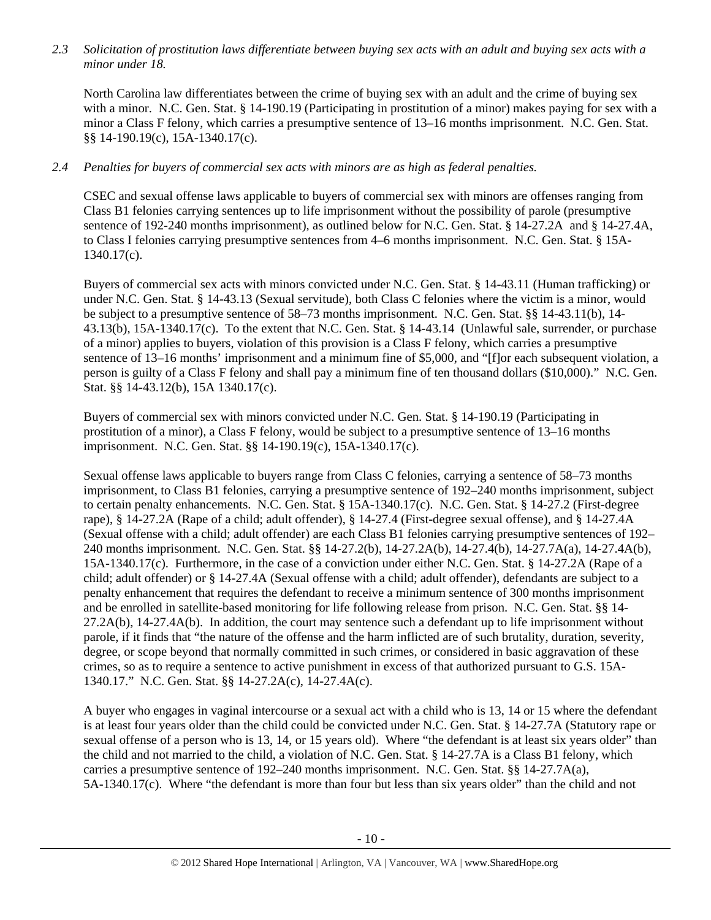*2.3 Solicitation of prostitution laws differentiate between buying sex acts with an adult and buying sex acts with a minor under 18.* 

North Carolina law differentiates between the crime of buying sex with an adult and the crime of buying sex with a minor. N.C. Gen. Stat. § 14-190.19 (Participating in prostitution of a minor) makes paying for sex with a minor a Class F felony, which carries a presumptive sentence of 13–16 months imprisonment. N.C. Gen. Stat. §§ 14-190.19(c), 15A-1340.17(c).

# *2.4 Penalties for buyers of commercial sex acts with minors are as high as federal penalties.*

CSEC and sexual offense laws applicable to buyers of commercial sex with minors are offenses ranging from Class B1 felonies carrying sentences up to life imprisonment without the possibility of parole (presumptive sentence of 192-240 months imprisonment), as outlined below for N.C. Gen. Stat. § 14-27.2A and § 14-27.4A, to Class I felonies carrying presumptive sentences from 4–6 months imprisonment. N.C. Gen. Stat. § 15A-1340.17(c).

Buyers of commercial sex acts with minors convicted under N.C. Gen. Stat. § 14-43.11 (Human trafficking) or under N.C. Gen. Stat. § 14-43.13 (Sexual servitude), both Class C felonies where the victim is a minor, would be subject to a presumptive sentence of 58–73 months imprisonment. N.C. Gen. Stat. §§ 14-43.11(b), 14- 43.13(b), 15A-1340.17(c). To the extent that N.C. Gen. Stat. § 14-43.14 (Unlawful sale, surrender, or purchase of a minor) applies to buyers, violation of this provision is a Class F felony, which carries a presumptive sentence of 13–16 months' imprisonment and a minimum fine of \$5,000, and "[f]or each subsequent violation, a person is guilty of a Class F felony and shall pay a minimum fine of ten thousand dollars (\$10,000)." N.C. Gen. Stat. §§ 14-43.12(b), 15A 1340.17(c).

Buyers of commercial sex with minors convicted under N.C. Gen. Stat. § 14-190.19 (Participating in prostitution of a minor), a Class F felony, would be subject to a presumptive sentence of 13–16 months imprisonment. N.C. Gen. Stat. §§ 14-190.19(c), 15A-1340.17(c).

Sexual offense laws applicable to buyers range from Class C felonies, carrying a sentence of 58–73 months imprisonment, to Class B1 felonies, carrying a presumptive sentence of 192–240 months imprisonment, subject to certain penalty enhancements. N.C. Gen. Stat. § 15A-1340.17(c). N.C. Gen. Stat. § 14-27.2 (First-degree rape), § 14-27.2A (Rape of a child; adult offender), § 14-27.4 (First-degree sexual offense), and § 14-27.4A (Sexual offense with a child; adult offender) are each Class B1 felonies carrying presumptive sentences of 192– 240 months imprisonment. N.C. Gen. Stat. §§ 14-27.2(b), 14-27.2A(b), 14-27.4(b), 14-27.7A(a), 14-27.4A(b), 15A-1340.17(c). Furthermore, in the case of a conviction under either N.C. Gen. Stat. § 14-27.2A (Rape of a child; adult offender) or § 14-27.4A (Sexual offense with a child; adult offender), defendants are subject to a penalty enhancement that requires the defendant to receive a minimum sentence of 300 months imprisonment and be enrolled in satellite-based monitoring for life following release from prison. N.C. Gen. Stat. §§ 14- 27.2A(b), 14-27.4A(b). In addition, the court may sentence such a defendant up to life imprisonment without parole, if it finds that "the nature of the offense and the harm inflicted are of such brutality, duration, severity, degree, or scope beyond that normally committed in such crimes, or considered in basic aggravation of these crimes, so as to require a sentence to active punishment in excess of that authorized pursuant to G.S. 15A-1340.17." N.C. Gen. Stat. §§ 14-27.2A(c), 14-27.4A(c).

A buyer who engages in vaginal intercourse or a sexual act with a child who is 13, 14 or 15 where the defendant is at least four years older than the child could be convicted under N.C. Gen. Stat. § 14-27.7A (Statutory rape or sexual offense of a person who is 13, 14, or 15 years old). Where "the defendant is at least six years older" than the child and not married to the child, a violation of N.C. Gen. Stat. § 14-27.7A is a Class B1 felony, which carries a presumptive sentence of 192–240 months imprisonment. N.C. Gen. Stat. §§ 14-27.7A(a), 5A-1340.17(c). Where "the defendant is more than four but less than six years older" than the child and not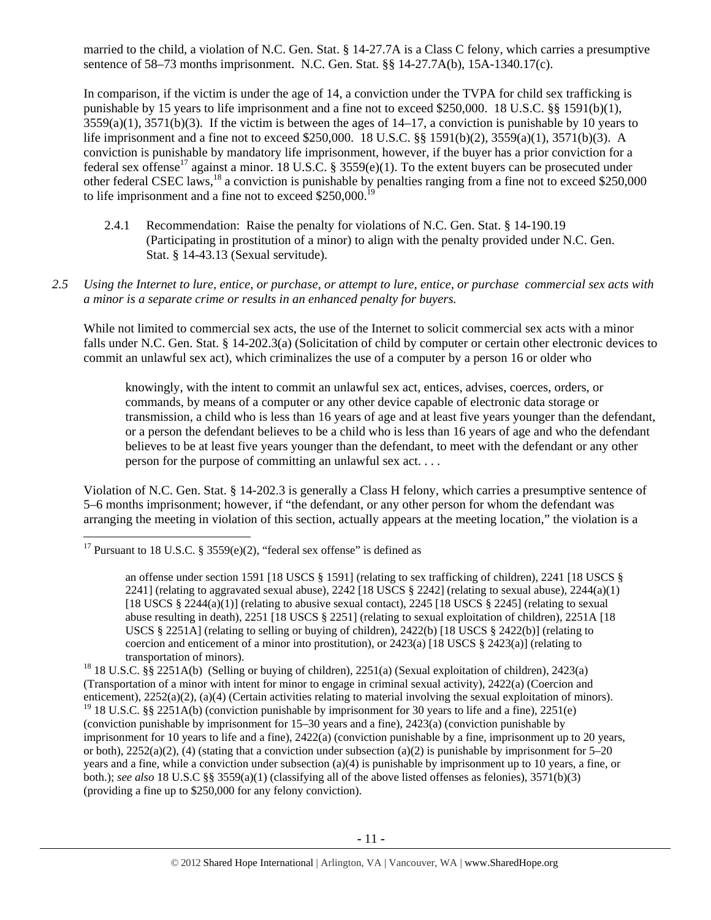married to the child, a violation of N.C. Gen. Stat. § 14-27.7A is a Class C felony, which carries a presumptive sentence of 58–73 months imprisonment. N.C. Gen. Stat. §§ 14-27.7A(b), 15A-1340.17(c).

In comparison, if the victim is under the age of 14, a conviction under the TVPA for child sex trafficking is punishable by 15 years to life imprisonment and a fine not to exceed \$250,000. 18 U.S.C. §§ 1591(b)(1),  $3559(a)(1)$ ,  $3571(b)(3)$ . If the victim is between the ages of  $14-17$ , a conviction is punishable by 10 years to life imprisonment and a fine not to exceed \$250,000. 18 U.S.C. §§ 1591(b)(2), 3559(a)(1), 3571(b)(3). A conviction is punishable by mandatory life imprisonment, however, if the buyer has a prior conviction for a federal sex offense<sup>17</sup> against a minor. 18 U.S.C. § 3559(e)(1). To the extent buyers can be prosecuted under other federal CSEC laws,18 a conviction is punishable by penalties ranging from a fine not to exceed \$250,000 to life imprisonment and a fine not to exceed \$250,000.<sup>19</sup>

- 2.4.1 Recommendation: Raise the penalty for violations of N.C. Gen. Stat. § 14-190.19 (Participating in prostitution of a minor) to align with the penalty provided under N.C. Gen. Stat. § 14-43.13 (Sexual servitude).
- *2.5 Using the Internet to lure, entice, or purchase, or attempt to lure, entice, or purchase commercial sex acts with a minor is a separate crime or results in an enhanced penalty for buyers.*

While not limited to commercial sex acts, the use of the Internet to solicit commercial sex acts with a minor falls under N.C. Gen. Stat. § 14-202.3(a) (Solicitation of child by computer or certain other electronic devices to commit an unlawful sex act), which criminalizes the use of a computer by a person 16 or older who

knowingly, with the intent to commit an unlawful sex act, entices, advises, coerces, orders, or commands, by means of a computer or any other device capable of electronic data storage or transmission, a child who is less than 16 years of age and at least five years younger than the defendant, or a person the defendant believes to be a child who is less than 16 years of age and who the defendant believes to be at least five years younger than the defendant, to meet with the defendant or any other person for the purpose of committing an unlawful sex act. . . .

Violation of N.C. Gen. Stat. § 14-202.3 is generally a Class H felony, which carries a presumptive sentence of 5–6 months imprisonment; however, if "the defendant, or any other person for whom the defendant was arranging the meeting in violation of this section, actually appears at the meeting location," the violation is a

<sup>&</sup>lt;sup>17</sup> Pursuant to 18 U.S.C. § 3559(e)(2), "federal sex offense" is defined as

an offense under section 1591 [18 USCS § 1591] (relating to sex trafficking of children), 2241 [18 USCS § 2241] (relating to aggravated sexual abuse),  $2242$  [18 USCS § 2242] (relating to sexual abuse),  $2244(a)(1)$ [18 USCS  $\S$  2244(a)(1)] (relating to abusive sexual contact), 2245 [18 USCS  $\S$  2245] (relating to sexual abuse resulting in death), 2251 [18 USCS § 2251] (relating to sexual exploitation of children), 2251A [18 USCS § 2251A] (relating to selling or buying of children), 2422(b) [18 USCS § 2422(b)] (relating to coercion and enticement of a minor into prostitution), or  $2423(a)$  [18 USCS § 2423(a)] (relating to transportation of minors).<br><sup>18</sup> 18 U.S.C. §§ 2251A(b) (Selling or buying of children), 2251(a) (Sexual exploitation of children), 2423(a)

<sup>(</sup>Transportation of a minor with intent for minor to engage in criminal sexual activity), 2422(a) (Coercion and enticement), 2252(a)(2), (a)(4) (Certain activities relating to material involving the sexual exploitation of minors). <sup>19</sup> 18 U.S.C. §§ 2251A(b) (conviction punishable by imprisonment for 30 years to life and a fine), 2251(e) (conviction punishable by imprisonment for 15–30 years and a fine), 2423(a) (conviction punishable by imprisonment for 10 years to life and a fine), 2422(a) (conviction punishable by a fine, imprisonment up to 20 years, or both),  $2252(a)(2)$ , (4) (stating that a conviction under subsection (a)(2) is punishable by imprisonment for 5–20 years and a fine, while a conviction under subsection (a)(4) is punishable by imprisonment up to 10 years, a fine, or both.); *see also* 18 U.S.C §§ 3559(a)(1) (classifying all of the above listed offenses as felonies), 3571(b)(3) (providing a fine up to \$250,000 for any felony conviction).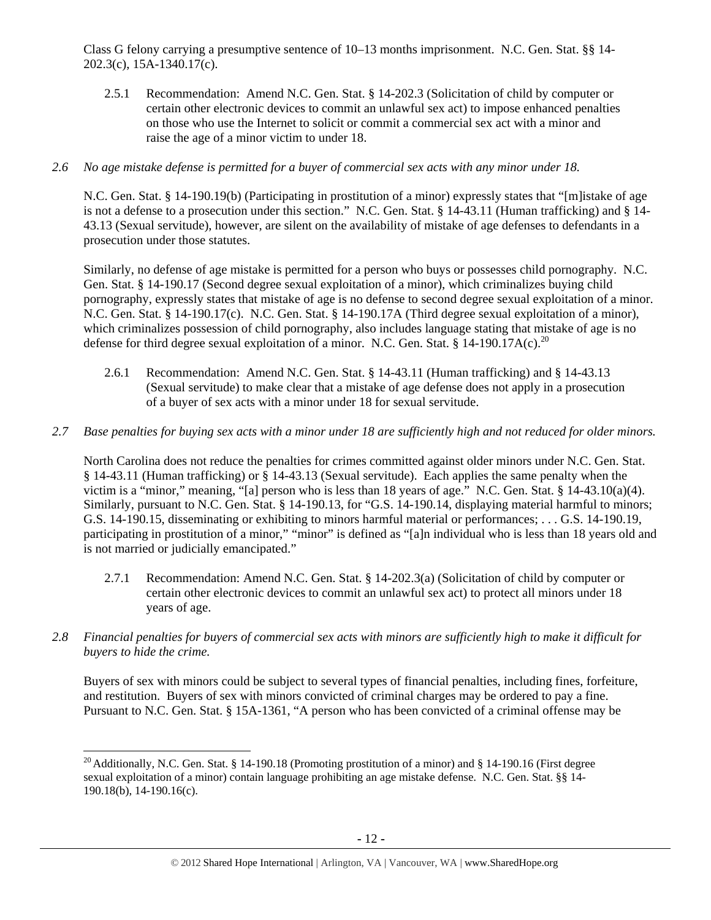Class G felony carrying a presumptive sentence of 10–13 months imprisonment. N.C. Gen. Stat. §§ 14- 202.3(c), 15A-1340.17(c).

2.5.1 Recommendation: Amend N.C. Gen. Stat. § 14-202.3 (Solicitation of child by computer or certain other electronic devices to commit an unlawful sex act) to impose enhanced penalties on those who use the Internet to solicit or commit a commercial sex act with a minor and raise the age of a minor victim to under 18.

#### *2.6 No age mistake defense is permitted for a buyer of commercial sex acts with any minor under 18.*

N.C. Gen. Stat. § 14-190.19(b) (Participating in prostitution of a minor) expressly states that "[m]istake of age is not a defense to a prosecution under this section." N.C. Gen. Stat. § 14-43.11 (Human trafficking) and § 14- 43.13 (Sexual servitude), however, are silent on the availability of mistake of age defenses to defendants in a prosecution under those statutes.

Similarly, no defense of age mistake is permitted for a person who buys or possesses child pornography. N.C. Gen. Stat. § 14-190.17 (Second degree sexual exploitation of a minor), which criminalizes buying child pornography, expressly states that mistake of age is no defense to second degree sexual exploitation of a minor. N.C. Gen. Stat. § 14-190.17(c). N.C. Gen. Stat. § 14-190.17A (Third degree sexual exploitation of a minor), which criminalizes possession of child pornography, also includes language stating that mistake of age is no defense for third degree sexual exploitation of a minor. N.C. Gen. Stat. § 14-190.17A(c).<sup>20</sup>

2.6.1 Recommendation: Amend N.C. Gen. Stat. § 14-43.11 (Human trafficking) and § 14-43.13 (Sexual servitude) to make clear that a mistake of age defense does not apply in a prosecution of a buyer of sex acts with a minor under 18 for sexual servitude.

#### *2.7 Base penalties for buying sex acts with a minor under 18 are sufficiently high and not reduced for older minors.*

North Carolina does not reduce the penalties for crimes committed against older minors under N.C. Gen. Stat. § 14-43.11 (Human trafficking) or § 14-43.13 (Sexual servitude). Each applies the same penalty when the victim is a "minor," meaning, "[a] person who is less than 18 years of age." N.C. Gen. Stat. § 14-43.10(a)(4). Similarly, pursuant to N.C. Gen. Stat. § 14-190.13, for "G.S. 14-190.14, displaying material harmful to minors; G.S. 14-190.15, disseminating or exhibiting to minors harmful material or performances; . . . G.S. 14-190.19, participating in prostitution of a minor," "minor" is defined as "[a]n individual who is less than 18 years old and is not married or judicially emancipated."

- 2.7.1 Recommendation: Amend N.C. Gen. Stat. § 14-202.3(a) (Solicitation of child by computer or certain other electronic devices to commit an unlawful sex act) to protect all minors under 18 years of age.
- *2.8 Financial penalties for buyers of commercial sex acts with minors are sufficiently high to make it difficult for buyers to hide the crime.*

Buyers of sex with minors could be subject to several types of financial penalties, including fines, forfeiture, and restitution. Buyers of sex with minors convicted of criminal charges may be ordered to pay a fine. Pursuant to N.C. Gen. Stat. § 15A-1361, "A person who has been convicted of a criminal offense may be

<sup>&</sup>lt;sup>20</sup> Additionally, N.C. Gen. Stat. § 14-190.18 (Promoting prostitution of a minor) and § 14-190.16 (First degree sexual exploitation of a minor) contain language prohibiting an age mistake defense. N.C. Gen. Stat. §§ 14- 190.18(b), 14-190.16(c).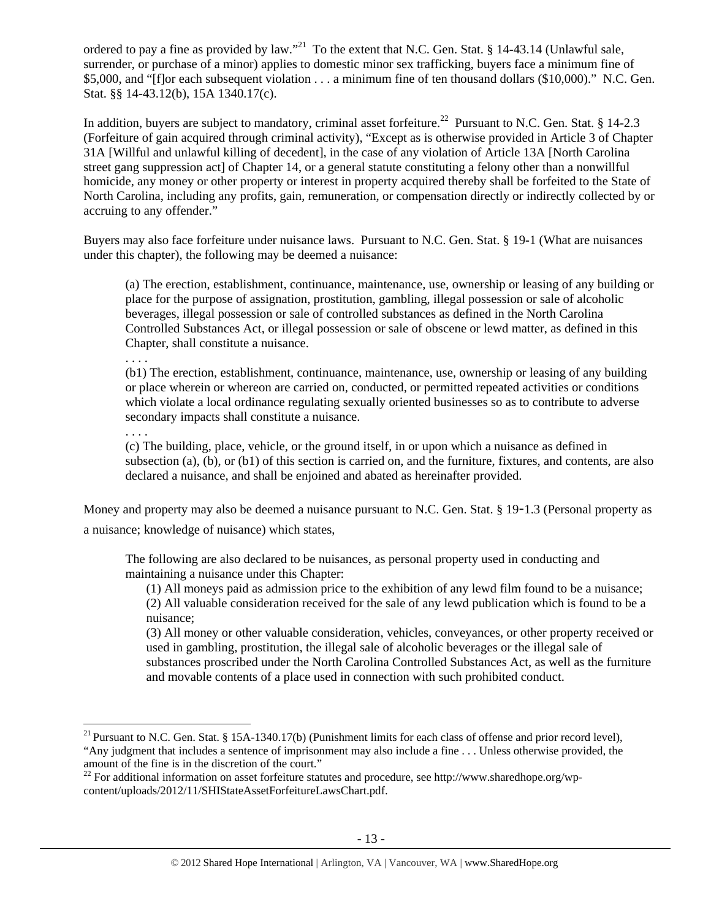ordered to pay a fine as provided by law."<sup>21</sup> To the extent that N.C. Gen. Stat. § 14-43.14 (Unlawful sale, surrender, or purchase of a minor) applies to domestic minor sex trafficking, buyers face a minimum fine of \$5,000, and "[f]or each subsequent violation . . . a minimum fine of ten thousand dollars (\$10,000)." N.C. Gen. Stat. §§ 14-43.12(b), 15A 1340.17(c).

In addition, buyers are subject to mandatory, criminal asset forfeiture.<sup>22</sup> Pursuant to N.C. Gen. Stat. § 14-2.3 (Forfeiture of gain acquired through criminal activity), "Except as is otherwise provided in Article 3 of Chapter 31A [Willful and unlawful killing of decedent], in the case of any violation of Article 13A [North Carolina street gang suppression act] of Chapter 14, or a general statute constituting a felony other than a nonwillful homicide, any money or other property or interest in property acquired thereby shall be forfeited to the State of North Carolina, including any profits, gain, remuneration, or compensation directly or indirectly collected by or accruing to any offender."

Buyers may also face forfeiture under nuisance laws. Pursuant to N.C. Gen. Stat. § 19-1 (What are nuisances under this chapter), the following may be deemed a nuisance:

(a) The erection, establishment, continuance, maintenance, use, ownership or leasing of any building or place for the purpose of assignation, prostitution, gambling, illegal possession or sale of alcoholic beverages, illegal possession or sale of controlled substances as defined in the North Carolina Controlled Substances Act, or illegal possession or sale of obscene or lewd matter, as defined in this Chapter, shall constitute a nuisance.

. . . .

(b1) The erection, establishment, continuance, maintenance, use, ownership or leasing of any building or place wherein or whereon are carried on, conducted, or permitted repeated activities or conditions which violate a local ordinance regulating sexually oriented businesses so as to contribute to adverse secondary impacts shall constitute a nuisance.

. . . .

(c) The building, place, vehicle, or the ground itself, in or upon which a nuisance as defined in subsection (a), (b), or (b1) of this section is carried on, and the furniture, fixtures, and contents, are also declared a nuisance, and shall be enjoined and abated as hereinafter provided.

Money and property may also be deemed a nuisance pursuant to N.C. Gen. Stat. § 19-1.3 (Personal property as a nuisance; knowledge of nuisance) which states,

The following are also declared to be nuisances, as personal property used in conducting and maintaining a nuisance under this Chapter:

(1) All moneys paid as admission price to the exhibition of any lewd film found to be a nuisance; (2) All valuable consideration received for the sale of any lewd publication which is found to be a nuisance;

(3) All money or other valuable consideration, vehicles, conveyances, or other property received or used in gambling, prostitution, the illegal sale of alcoholic beverages or the illegal sale of substances proscribed under the North Carolina Controlled Substances Act, as well as the furniture and movable contents of a place used in connection with such prohibited conduct.

 $21$  Pursuant to N.C. Gen. Stat. § 15A-1340.17(b) (Punishment limits for each class of offense and prior record level), "Any judgment that includes a sentence of imprisonment may also include a fine . . . Unless otherwise provided, the amount of the fine is in the discretion of the court."

 $^{22}$  For additional information on asset forfeiture statutes and procedure, see http://www.sharedhope.org/wpcontent/uploads/2012/11/SHIStateAssetForfeitureLawsChart.pdf.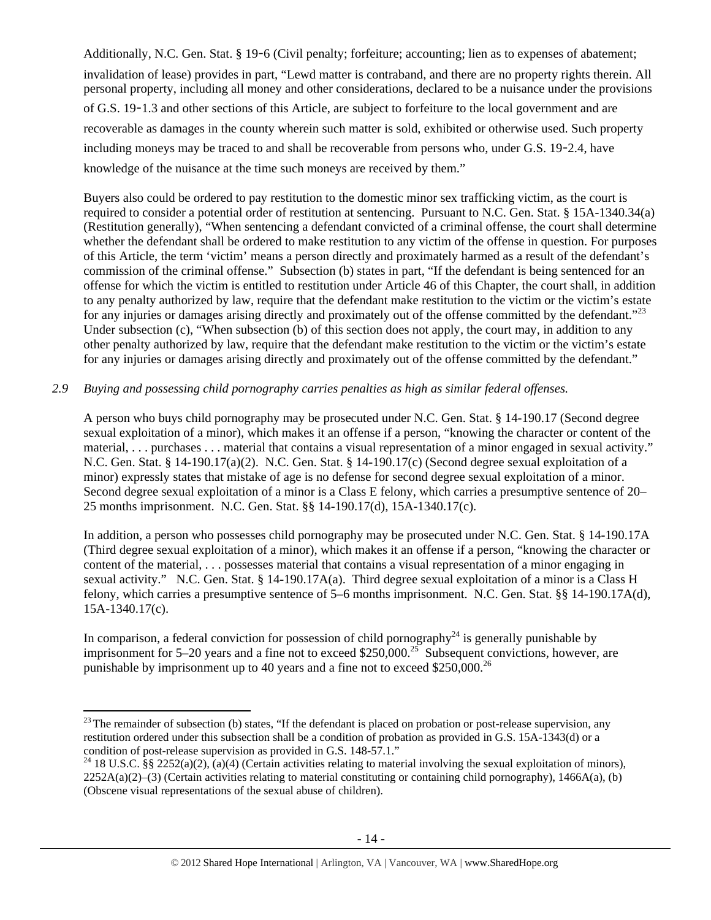Additionally, N.C. Gen. Stat. § 19-6 (Civil penalty; forfeiture; accounting; lien as to expenses of abatement; invalidation of lease) provides in part, "Lewd matter is contraband, and there are no property rights therein. All personal property, including all money and other considerations, declared to be a nuisance under the provisions of G.S. 19-1.3 and other sections of this Article, are subject to forfeiture to the local government and are recoverable as damages in the county wherein such matter is sold, exhibited or otherwise used. Such property including moneys may be traced to and shall be recoverable from persons who, under G.S. 19-2.4, have knowledge of the nuisance at the time such moneys are received by them."

Buyers also could be ordered to pay restitution to the domestic minor sex trafficking victim, as the court is required to consider a potential order of restitution at sentencing. Pursuant to N.C. Gen. Stat. § 15A-1340.34(a) (Restitution generally), "When sentencing a defendant convicted of a criminal offense, the court shall determine whether the defendant shall be ordered to make restitution to any victim of the offense in question. For purposes of this Article, the term 'victim' means a person directly and proximately harmed as a result of the defendant's commission of the criminal offense." Subsection (b) states in part, "If the defendant is being sentenced for an offense for which the victim is entitled to restitution under Article 46 of this Chapter, the court shall, in addition to any penalty authorized by law, require that the defendant make restitution to the victim or the victim's estate for any injuries or damages arising directly and proximately out of the offense committed by the defendant."<sup>23</sup> Under subsection (c), "When subsection (b) of this section does not apply, the court may, in addition to any other penalty authorized by law, require that the defendant make restitution to the victim or the victim's estate for any injuries or damages arising directly and proximately out of the offense committed by the defendant."

## *2.9 Buying and possessing child pornography carries penalties as high as similar federal offenses.*

A person who buys child pornography may be prosecuted under N.C. Gen. Stat. § 14-190.17 (Second degree sexual exploitation of a minor), which makes it an offense if a person, "knowing the character or content of the material, . . . purchases . . . material that contains a visual representation of a minor engaged in sexual activity." N.C. Gen. Stat. § 14-190.17(a)(2). N.C. Gen. Stat. § 14-190.17(c) (Second degree sexual exploitation of a minor) expressly states that mistake of age is no defense for second degree sexual exploitation of a minor. Second degree sexual exploitation of a minor is a Class E felony, which carries a presumptive sentence of 20– 25 months imprisonment. N.C. Gen. Stat. §§ 14-190.17(d), 15A-1340.17(c).

In addition, a person who possesses child pornography may be prosecuted under N.C. Gen. Stat. § 14-190.17A (Third degree sexual exploitation of a minor), which makes it an offense if a person, "knowing the character or content of the material, . . . possesses material that contains a visual representation of a minor engaging in sexual activity." N.C. Gen. Stat. § 14-190.17A(a). Third degree sexual exploitation of a minor is a Class H felony, which carries a presumptive sentence of 5–6 months imprisonment. N.C. Gen. Stat. §§ 14-190.17A(d), 15A-1340.17(c).

In comparison, a federal conviction for possession of child pornography<sup>24</sup> is generally punishable by imprisonment for 5–20 years and a fine not to exceed \$250,000.<sup>25</sup> Subsequent convictions, however, are punishable by imprisonment up to 40 years and a fine not to exceed  $$250,000.<sup>26</sup>$ 

 $^{23}$  The remainder of subsection (b) states, "If the defendant is placed on probation or post-release supervision, any restitution ordered under this subsection shall be a condition of probation as provided in G.S. 15A-1343(d) or a condition of post-release supervision as provided in G.S. 148-57.1."

<sup>&</sup>lt;sup>24</sup> 18 U.S.C. §§ 2252(a)(2), (a)(4) (Certain activities relating to material involving the sexual exploitation of minors),  $2252A(a)(2)$ –(3) (Certain activities relating to material constituting or containing child pornography), 1466A(a), (b) (Obscene visual representations of the sexual abuse of children).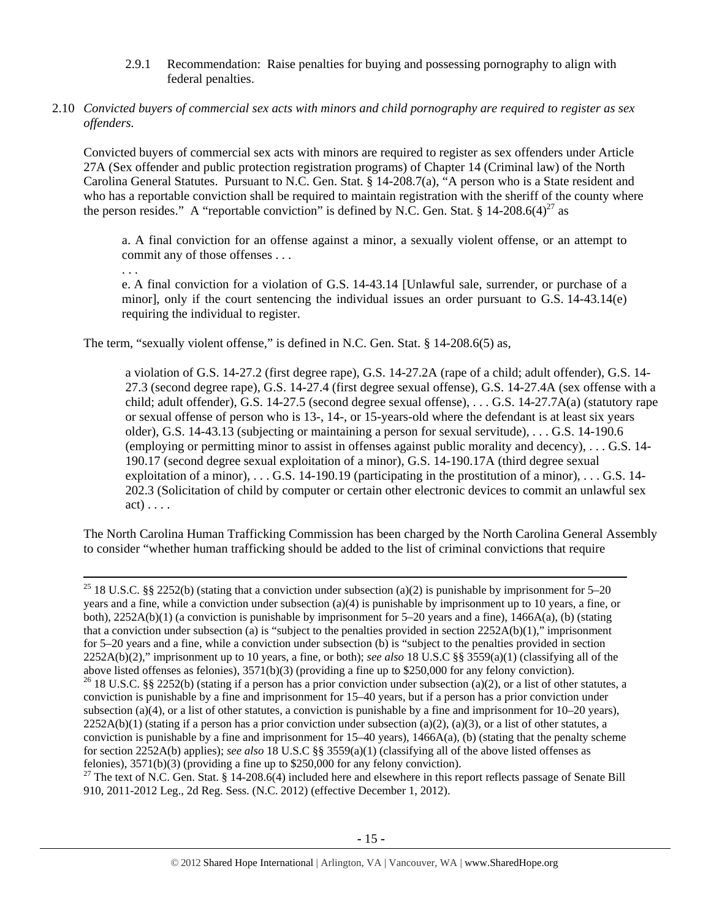- 2.9.1 Recommendation: Raise penalties for buying and possessing pornography to align with federal penalties.
- 2.10 *Convicted buyers of commercial sex acts with minors and child pornography are required to register as sex offenders.*

Convicted buyers of commercial sex acts with minors are required to register as sex offenders under Article 27A (Sex offender and public protection registration programs) of Chapter 14 (Criminal law) of the North Carolina General Statutes. Pursuant to N.C. Gen. Stat. § 14-208.7(a), "A person who is a State resident and who has a reportable conviction shall be required to maintain registration with the sheriff of the county where the person resides." A "reportable conviction" is defined by N.C. Gen. Stat. § 14-208.6(4)<sup>27</sup> as

a. A final conviction for an offense against a minor, a sexually violent offense, or an attempt to commit any of those offenses . . .

. . .

e. A final conviction for a violation of G.S. 14-43.14 [Unlawful sale, surrender, or purchase of a minor], only if the court sentencing the individual issues an order pursuant to G.S. 14-43.14(e) requiring the individual to register.

The term, "sexually violent offense," is defined in N.C. Gen. Stat. § 14-208.6(5) as,

a violation of G.S. 14-27.2 (first degree rape), G.S. 14-27.2A (rape of a child; adult offender), G.S. 14- 27.3 (second degree rape), G.S. 14-27.4 (first degree sexual offense), G.S. 14-27.4A (sex offense with a child; adult offender), G.S. 14-27.5 (second degree sexual offense), . . . G.S. 14-27.7A(a) (statutory rape or sexual offense of person who is 13-, 14-, or 15-years-old where the defendant is at least six years older), G.S. 14-43.13 (subjecting or maintaining a person for sexual servitude), . . . G.S. 14-190.6 (employing or permitting minor to assist in offenses against public morality and decency), . . . G.S. 14- 190.17 (second degree sexual exploitation of a minor), G.S. 14-190.17A (third degree sexual exploitation of a minor),  $\dots$  G.S. 14-190.19 (participating in the prostitution of a minor),  $\dots$  G.S. 14-202.3 (Solicitation of child by computer or certain other electronic devices to commit an unlawful sex act) . . . .

The North Carolina Human Trafficking Commission has been charged by the North Carolina General Assembly to consider "whether human trafficking should be added to the list of criminal convictions that require

<sup>25</sup> 18 U.S.C. §§ 2252(b) (stating that a conviction under subsection (a)(2) is punishable by imprisonment for 5–20 years and a fine, while a conviction under subsection (a)(4) is punishable by imprisonment up to 10 years, a fine, or both), 2252A(b)(1) (a conviction is punishable by imprisonment for 5–20 years and a fine), 1466A(a), (b) (stating that a conviction under subsection (a) is "subject to the penalties provided in section  $2252A(b)(1)$ ," imprisonment for 5–20 years and a fine, while a conviction under subsection (b) is "subject to the penalties provided in section 2252A(b)(2)," imprisonment up to 10 years, a fine, or both); *see also* 18 U.S.C §§ 3559(a)(1) (classifying all of the above listed offenses as felonies), 3571(b)(3) (providing a fine up to \$250,000 for any felony conviction). <sup>26</sup> 18 U.S.C. §§ 2252(b) (stating if a person has a prior conviction under subsection (a)(2), or a list of other statutes, a conviction is punishable by a fine and imprisonment for 15–40 years, but if a person has a prior conviction under subsection (a)(4), or a list of other statutes, a conviction is punishable by a fine and imprisonment for  $10-20$  years),  $2252A(b)(1)$  (stating if a person has a prior conviction under subsection (a)(2), (a)(3), or a list of other statutes, a conviction is punishable by a fine and imprisonment for  $15-40$  years),  $1466A(a)$ , (b) (stating that the penalty scheme for section 2252A(b) applies); *see also* 18 U.S.C §§ 3559(a)(1) (classifying all of the above listed offenses as felonies), 3571(b)(3) (providing a fine up to \$250,000 for any felony conviction).

 $27$  The text of N.C. Gen. Stat. § 14-208.6(4) included here and elsewhere in this report reflects passage of Senate Bill 910, 2011-2012 Leg., 2d Reg. Sess. (N.C. 2012) (effective December 1, 2012).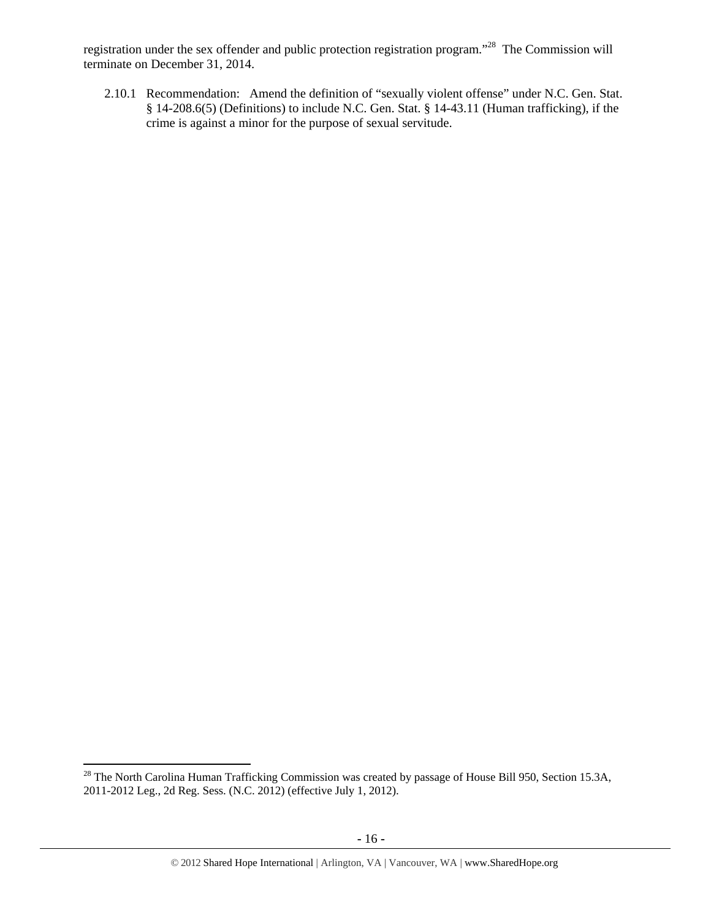registration under the sex offender and public protection registration program."28 The Commission will terminate on December 31, 2014.

2.10.1 Recommendation: Amend the definition of "sexually violent offense" under N.C. Gen. Stat. § 14-208.6(5) (Definitions) to include N.C. Gen. Stat. § 14-43.11 (Human trafficking), if the crime is against a minor for the purpose of sexual servitude.

 $28$  The North Carolina Human Trafficking Commission was created by passage of House Bill 950, Section 15.3A, 2011-2012 Leg., 2d Reg. Sess. (N.C. 2012) (effective July 1, 2012).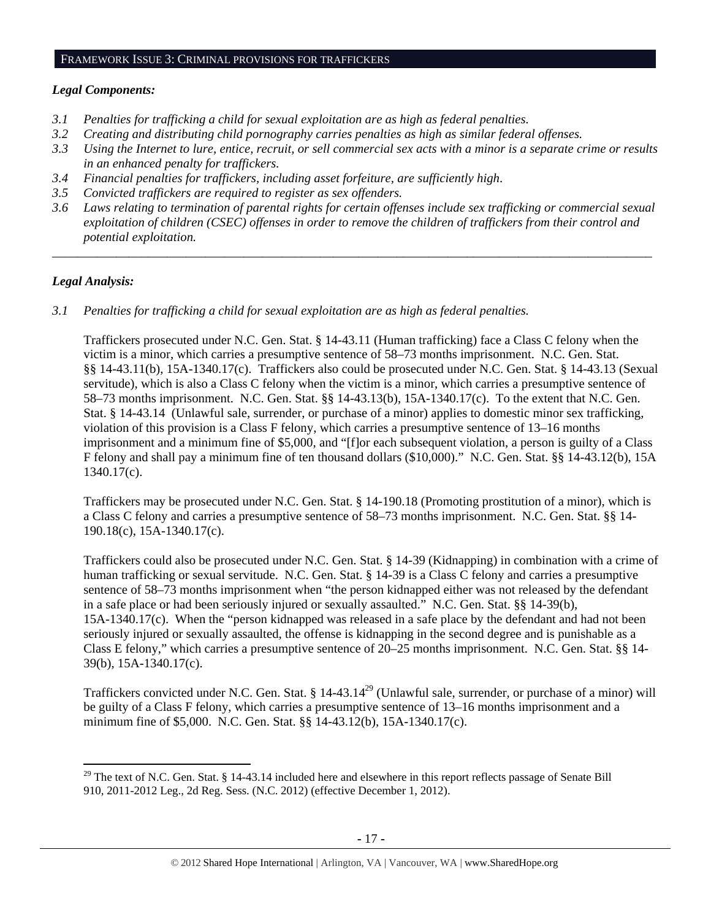#### FRAMEWORK ISSUE 3: CRIMINAL PROVISIONS FOR TRAFFICKERS

#### *Legal Components:*

- *3.1 Penalties for trafficking a child for sexual exploitation are as high as federal penalties.*
- *3.2 Creating and distributing child pornography carries penalties as high as similar federal offenses.*
- *3.3 Using the Internet to lure, entice, recruit, or sell commercial sex acts with a minor is a separate crime or results in an enhanced penalty for traffickers.*
- *3.4 Financial penalties for traffickers, including asset forfeiture, are sufficiently high*.
- *3.5 Convicted traffickers are required to register as sex offenders.*
- *3.6 Laws relating to termination of parental rights for certain offenses include sex trafficking or commercial sexual exploitation of children (CSEC) offenses in order to remove the children of traffickers from their control and potential exploitation.*

*\_\_\_\_\_\_\_\_\_\_\_\_\_\_\_\_\_\_\_\_\_\_\_\_\_\_\_\_\_\_\_\_\_\_\_\_\_\_\_\_\_\_\_\_\_\_\_\_\_\_\_\_\_\_\_\_\_\_\_\_\_\_\_\_\_\_\_\_\_\_\_\_\_\_\_\_\_\_\_\_\_\_\_\_\_\_\_\_\_\_\_\_\_\_* 

#### *Legal Analysis:*

*3.1 Penalties for trafficking a child for sexual exploitation are as high as federal penalties.* 

Traffickers prosecuted under N.C. Gen. Stat. § 14-43.11 (Human trafficking) face a Class C felony when the victim is a minor, which carries a presumptive sentence of 58–73 months imprisonment. N.C. Gen. Stat. §§ 14-43.11(b), 15A-1340.17(c). Traffickers also could be prosecuted under N.C. Gen. Stat. § 14-43.13 (Sexual servitude), which is also a Class C felony when the victim is a minor, which carries a presumptive sentence of 58–73 months imprisonment. N.C. Gen. Stat. §§ 14-43.13(b), 15A-1340.17(c). To the extent that N.C. Gen. Stat. § 14-43.14 (Unlawful sale, surrender, or purchase of a minor) applies to domestic minor sex trafficking, violation of this provision is a Class F felony, which carries a presumptive sentence of 13–16 months imprisonment and a minimum fine of \$5,000, and "[f]or each subsequent violation, a person is guilty of a Class F felony and shall pay a minimum fine of ten thousand dollars (\$10,000)." N.C. Gen. Stat. §§ 14-43.12(b), 15A 1340.17(c).

Traffickers may be prosecuted under N.C. Gen. Stat. § 14-190.18 (Promoting prostitution of a minor), which is a Class C felony and carries a presumptive sentence of 58–73 months imprisonment. N.C. Gen. Stat. §§ 14- 190.18(c), 15A-1340.17(c).

Traffickers could also be prosecuted under N.C. Gen. Stat. § 14-39 (Kidnapping) in combination with a crime of human trafficking or sexual servitude. N.C. Gen. Stat. § 14-39 is a Class C felony and carries a presumptive sentence of 58–73 months imprisonment when "the person kidnapped either was not released by the defendant in a safe place or had been seriously injured or sexually assaulted." N.C. Gen. Stat. §§ 14-39(b), 15A-1340.17(c). When the "person kidnapped was released in a safe place by the defendant and had not been seriously injured or sexually assaulted, the offense is kidnapping in the second degree and is punishable as a Class E felony," which carries a presumptive sentence of 20–25 months imprisonment. N.C. Gen. Stat. §§ 14- 39(b), 15A-1340.17(c).

Traffickers convicted under N.C. Gen. Stat. § 14-43.14<sup>29</sup> (Unlawful sale, surrender, or purchase of a minor) will be guilty of a Class F felony, which carries a presumptive sentence of 13–16 months imprisonment and a minimum fine of \$5,000. N.C. Gen. Stat. §§ 14-43.12(b), 15A-1340.17(c).

 $29$  The text of N.C. Gen. Stat. § 14-43.14 included here and elsewhere in this report reflects passage of Senate Bill 910, 2011-2012 Leg., 2d Reg. Sess. (N.C. 2012) (effective December 1, 2012).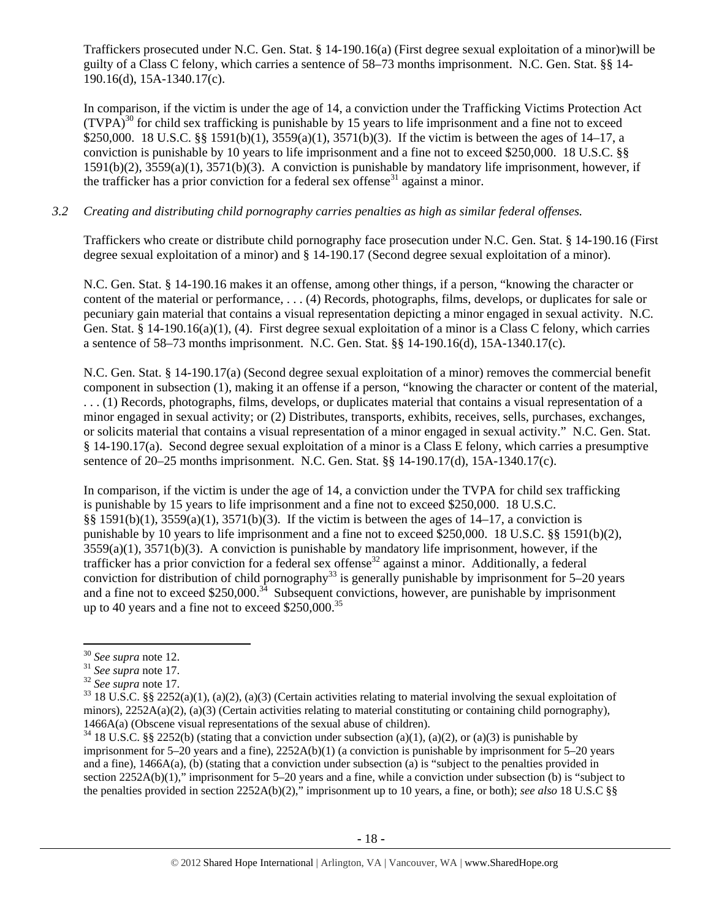Traffickers prosecuted under N.C. Gen. Stat. § 14-190.16(a) (First degree sexual exploitation of a minor)will be guilty of a Class C felony, which carries a sentence of 58–73 months imprisonment. N.C. Gen. Stat. §§ 14- 190.16(d), 15A-1340.17(c).

In comparison, if the victim is under the age of 14, a conviction under the Trafficking Victims Protection Act  $(TVPA)^{30}$  for child sex trafficking is punishable by 15 years to life imprisonment and a fine not to exceed \$250,000. 18 U.S.C. §§ 1591(b)(1), 3559(a)(1), 3571(b)(3). If the victim is between the ages of 14–17, a conviction is punishable by 10 years to life imprisonment and a fine not to exceed \$250,000. 18 U.S.C. §§ 1591(b)(2), 3559(a)(1), 3571(b)(3). A conviction is punishable by mandatory life imprisonment, however, if the trafficker has a prior conviction for a federal sex offense<sup>31</sup> against a minor.

## *3.2 Creating and distributing child pornography carries penalties as high as similar federal offenses.*

Traffickers who create or distribute child pornography face prosecution under N.C. Gen. Stat. § 14-190.16 (First degree sexual exploitation of a minor) and § 14-190.17 (Second degree sexual exploitation of a minor).

N.C. Gen. Stat. § 14-190.16 makes it an offense, among other things, if a person, "knowing the character or content of the material or performance, . . . (4) Records, photographs, films, develops, or duplicates for sale or pecuniary gain material that contains a visual representation depicting a minor engaged in sexual activity. N.C. Gen. Stat. § 14-190.16(a)(1), (4). First degree sexual exploitation of a minor is a Class C felony, which carries a sentence of 58–73 months imprisonment. N.C. Gen. Stat. §§ 14-190.16(d), 15A-1340.17(c).

N.C. Gen. Stat. § 14-190.17(a) (Second degree sexual exploitation of a minor) removes the commercial benefit component in subsection (1), making it an offense if a person, "knowing the character or content of the material, . . . (1) Records, photographs, films, develops, or duplicates material that contains a visual representation of a minor engaged in sexual activity; or (2) Distributes, transports, exhibits, receives, sells, purchases, exchanges, or solicits material that contains a visual representation of a minor engaged in sexual activity." N.C. Gen. Stat. § 14-190.17(a). Second degree sexual exploitation of a minor is a Class E felony, which carries a presumptive sentence of 20–25 months imprisonment. N.C. Gen. Stat. §§ 14-190.17(d), 15A-1340.17(c).

In comparison, if the victim is under the age of 14, a conviction under the TVPA for child sex trafficking is punishable by 15 years to life imprisonment and a fine not to exceed \$250,000. 18 U.S.C. §§ 1591(b)(1), 3559(a)(1), 3571(b)(3). If the victim is between the ages of 14–17, a conviction is punishable by 10 years to life imprisonment and a fine not to exceed \$250,000. 18 U.S.C. §§ 1591(b)(2), 3559(a)(1), 3571(b)(3). A conviction is punishable by mandatory life imprisonment, however, if the trafficker has a prior conviction for a federal sex offense<sup>32</sup> against a minor. Additionally, a federal conviction for distribution of child pornography<sup>33</sup> is generally punishable by imprisonment for 5–20 years and a fine not to exceed \$250,000.<sup>34</sup> Subsequent convictions, however, are punishable by imprisonment up to 40 years and a fine not to exceed  $$250,000.<sup>35</sup>$ 

<sup>&</sup>lt;sup>30</sup> *See supra* note 12.<br><sup>31</sup> *See supra* note 17.<br><sup>32</sup> *See supra* note 17.<br><sup>33</sup> 18 U.S.C. §§ 2252(a)(1), (a)(2), (a)(3) (Certain activities relating to material involving the sexual exploitation of minors),  $2252A(a)(2)$ ,  $(a)(3)$  (Certain activities relating to material constituting or containing child pornography), 1466A(a) (Obscene visual representations of the sexual abuse of children).<br><sup>34</sup> 18 U.S.C. §§ 2252(b) (stating that a conviction under subsection (a)(1), (a)(2), or (a)(3) is punishable by

imprisonment for 5–20 years and a fine), 2252A(b)(1) (a conviction is punishable by imprisonment for 5–20 years and a fine), 1466A(a), (b) (stating that a conviction under subsection (a) is "subject to the penalties provided in section 2252A(b)(1)," imprisonment for 5–20 years and a fine, while a conviction under subsection (b) is "subject to the penalties provided in section 2252A(b)(2)," imprisonment up to 10 years, a fine, or both); *see also* 18 U.S.C §§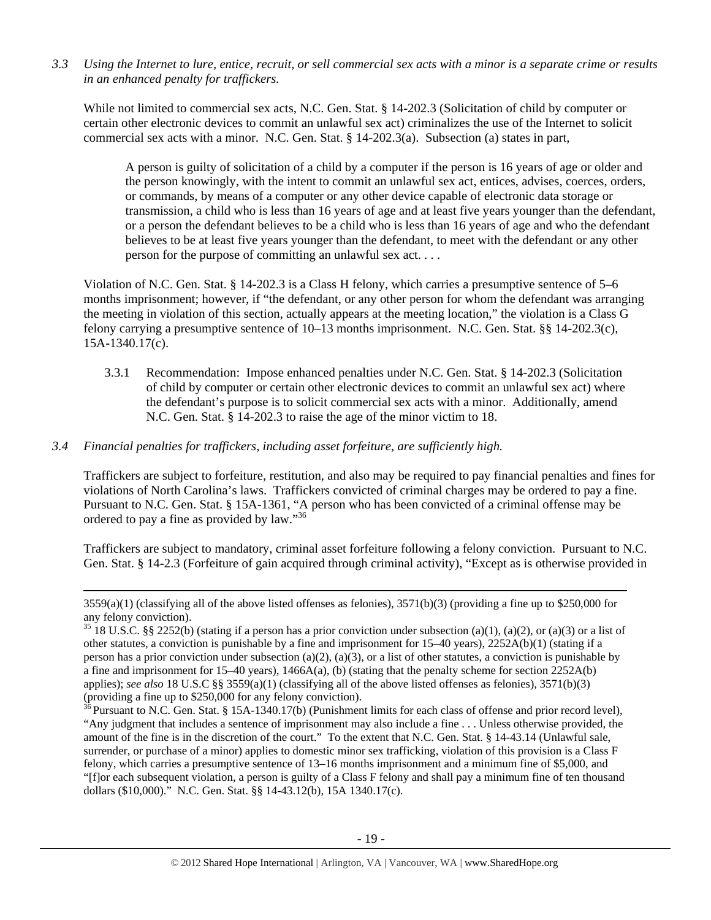*3.3 Using the Internet to lure, entice, recruit, or sell commercial sex acts with a minor is a separate crime or results in an enhanced penalty for traffickers.* 

While not limited to commercial sex acts, N.C. Gen. Stat. § 14-202.3 (Solicitation of child by computer or certain other electronic devices to commit an unlawful sex act) criminalizes the use of the Internet to solicit commercial sex acts with a minor. N.C. Gen. Stat. § 14-202.3(a). Subsection (a) states in part,

A person is guilty of solicitation of a child by a computer if the person is 16 years of age or older and the person knowingly, with the intent to commit an unlawful sex act, entices, advises, coerces, orders, or commands, by means of a computer or any other device capable of electronic data storage or transmission, a child who is less than 16 years of age and at least five years younger than the defendant, or a person the defendant believes to be a child who is less than 16 years of age and who the defendant believes to be at least five years younger than the defendant, to meet with the defendant or any other person for the purpose of committing an unlawful sex act. . . .

Violation of N.C. Gen. Stat. § 14-202.3 is a Class H felony, which carries a presumptive sentence of 5–6 months imprisonment; however, if "the defendant, or any other person for whom the defendant was arranging the meeting in violation of this section, actually appears at the meeting location," the violation is a Class G felony carrying a presumptive sentence of 10–13 months imprisonment. N.C. Gen. Stat. §§ 14-202.3(c), 15A-1340.17(c).

3.3.1 Recommendation: Impose enhanced penalties under N.C. Gen. Stat. § 14-202.3 (Solicitation of child by computer or certain other electronic devices to commit an unlawful sex act) where the defendant's purpose is to solicit commercial sex acts with a minor. Additionally, amend N.C. Gen. Stat. § 14-202.3 to raise the age of the minor victim to 18.

## *3.4 Financial penalties for traffickers, including asset forfeiture, are sufficiently high.*

Traffickers are subject to forfeiture, restitution, and also may be required to pay financial penalties and fines for violations of North Carolina's laws. Traffickers convicted of criminal charges may be ordered to pay a fine. Pursuant to N.C. Gen. Stat. § 15A-1361, "A person who has been convicted of a criminal offense may be ordered to pay a fine as provided by law."36

Traffickers are subject to mandatory, criminal asset forfeiture following a felony conviction. Pursuant to N.C. Gen. Stat. § 14-2.3 (Forfeiture of gain acquired through criminal activity), "Except as is otherwise provided in

<u> 1989 - Johann Stoff, fransk politik (d. 1989)</u>

 $3559(a)(1)$  (classifying all of the above listed offenses as felonies),  $3571(b)(3)$  (providing a fine up to \$250,000 for any felony conviction).

 $35\,18$  U.S.C. §§ 2252(b) (stating if a person has a prior conviction under subsection (a)(1), (a)(2), or (a)(3) or a list of other statutes, a conviction is punishable by a fine and imprisonment for  $15-40$  years),  $2252A(b)(1)$  (stating if a person has a prior conviction under subsection (a)(2), (a)(3), or a list of other statutes, a conviction is punishable by a fine and imprisonment for 15–40 years), 1466A(a), (b) (stating that the penalty scheme for section 2252A(b) applies); *see also* 18 U.S.C §§ 3559(a)(1) (classifying all of the above listed offenses as felonies), 3571(b)(3) (providing a fine up to \$250,000 for any felony conviction).

 $\frac{3}{5}$  Pursuant to N.C. Gen. Stat. § 15A-1340.17(b) (Punishment limits for each class of offense and prior record level), "Any judgment that includes a sentence of imprisonment may also include a fine . . . Unless otherwise provided, the amount of the fine is in the discretion of the court." To the extent that N.C. Gen. Stat. § 14-43.14 (Unlawful sale, surrender, or purchase of a minor) applies to domestic minor sex trafficking, violation of this provision is a Class F felony, which carries a presumptive sentence of 13–16 months imprisonment and a minimum fine of \$5,000, and "[f]or each subsequent violation, a person is guilty of a Class F felony and shall pay a minimum fine of ten thousand dollars (\$10,000)." N.C. Gen. Stat. §§ 14-43.12(b), 15A 1340.17(c).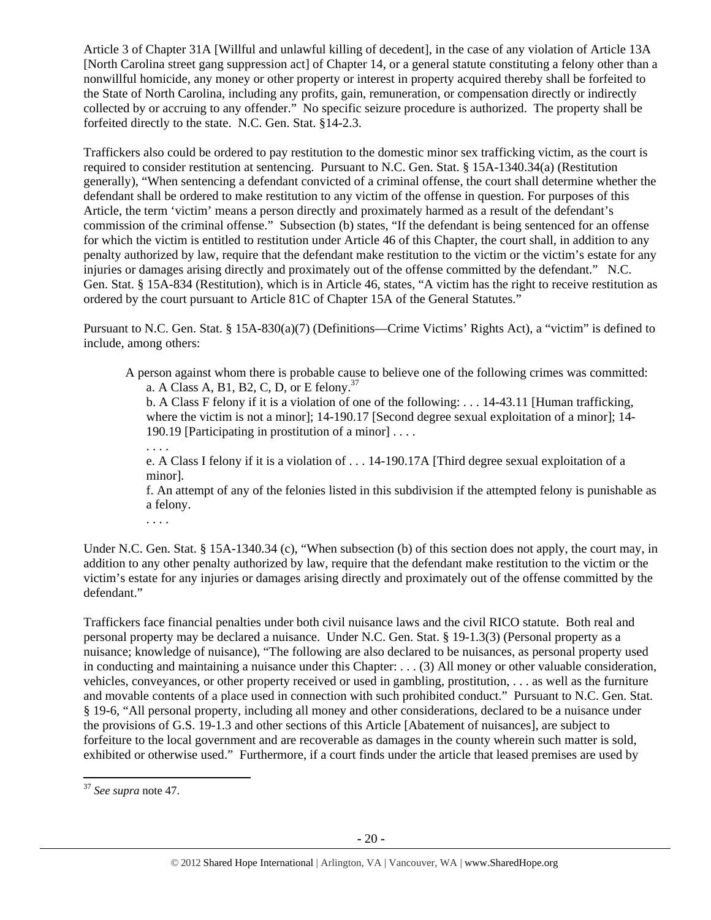Article 3 of Chapter 31A [Willful and unlawful killing of decedent], in the case of any violation of Article 13A [North Carolina street gang suppression act] of Chapter 14, or a general statute constituting a felony other than a nonwillful homicide, any money or other property or interest in property acquired thereby shall be forfeited to the State of North Carolina, including any profits, gain, remuneration, or compensation directly or indirectly collected by or accruing to any offender." No specific seizure procedure is authorized. The property shall be forfeited directly to the state. N.C. Gen. Stat. §14-2.3.

Traffickers also could be ordered to pay restitution to the domestic minor sex trafficking victim, as the court is required to consider restitution at sentencing. Pursuant to N.C. Gen. Stat. § 15A-1340.34(a) (Restitution generally), "When sentencing a defendant convicted of a criminal offense, the court shall determine whether the defendant shall be ordered to make restitution to any victim of the offense in question. For purposes of this Article, the term 'victim' means a person directly and proximately harmed as a result of the defendant's commission of the criminal offense." Subsection (b) states, "If the defendant is being sentenced for an offense for which the victim is entitled to restitution under Article 46 of this Chapter, the court shall, in addition to any penalty authorized by law, require that the defendant make restitution to the victim or the victim's estate for any injuries or damages arising directly and proximately out of the offense committed by the defendant." N.C. Gen. Stat. § 15A-834 (Restitution), which is in Article 46, states, "A victim has the right to receive restitution as ordered by the court pursuant to Article 81C of Chapter 15A of the General Statutes."

Pursuant to N.C. Gen. Stat. § 15A-830(a)(7) (Definitions—Crime Victims' Rights Act), a "victim" is defined to include, among others:

A person against whom there is probable cause to believe one of the following crimes was committed: a. A Class A, B1, B2, C, D, or E felony.<sup>37</sup>

b. A Class F felony if it is a violation of one of the following: . . . 14-43.11 [Human trafficking, where the victim is not a minor]; 14-190.17 [Second degree sexual exploitation of a minor]; 14-190.19 [Participating in prostitution of a minor] . . . .

e. A Class I felony if it is a violation of . . . 14-190.17A [Third degree sexual exploitation of a minor].

f. An attempt of any of the felonies listed in this subdivision if the attempted felony is punishable as a felony.

. . . .

. . . .

Under N.C. Gen. Stat. § 15A-1340.34 (c), "When subsection (b) of this section does not apply, the court may, in addition to any other penalty authorized by law, require that the defendant make restitution to the victim or the victim's estate for any injuries or damages arising directly and proximately out of the offense committed by the defendant."

Traffickers face financial penalties under both civil nuisance laws and the civil RICO statute. Both real and personal property may be declared a nuisance. Under N.C. Gen. Stat. § 19-1.3(3) (Personal property as a nuisance; knowledge of nuisance), "The following are also declared to be nuisances, as personal property used in conducting and maintaining a nuisance under this Chapter: . . . (3) All money or other valuable consideration, vehicles, conveyances, or other property received or used in gambling, prostitution, . . . as well as the furniture and movable contents of a place used in connection with such prohibited conduct." Pursuant to N.C. Gen. Stat. § 19-6, "All personal property, including all money and other considerations, declared to be a nuisance under the provisions of G.S. 19-1.3 and other sections of this Article [Abatement of nuisances], are subject to forfeiture to the local government and are recoverable as damages in the county wherein such matter is sold, exhibited or otherwise used." Furthermore, if a court finds under the article that leased premises are used by

 <sup>37</sup> *See supra* note 47.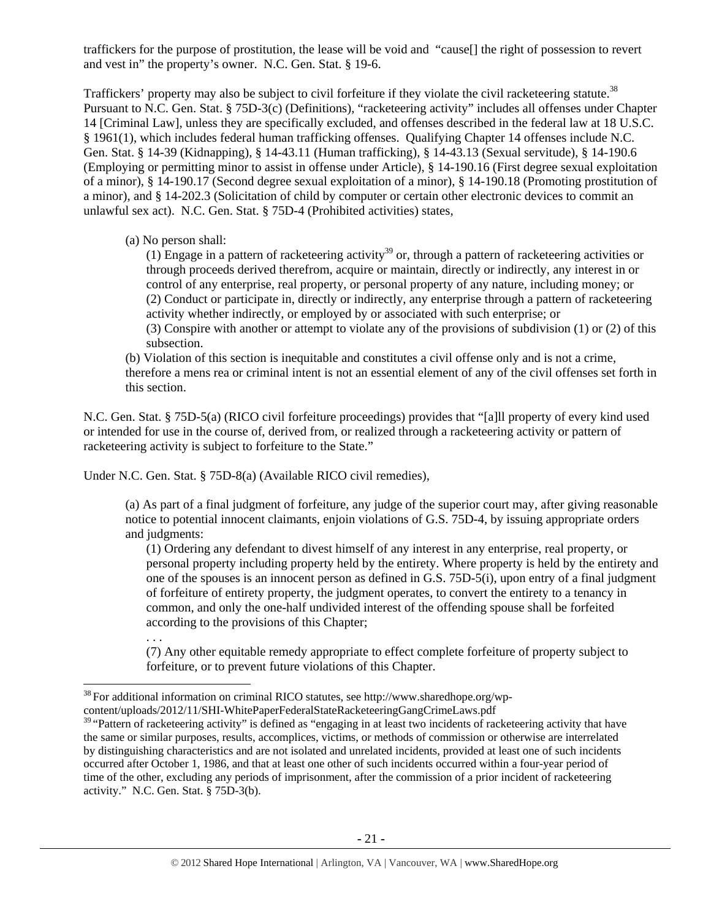traffickers for the purpose of prostitution, the lease will be void and "cause[] the right of possession to revert and vest in" the property's owner. N.C. Gen. Stat. § 19-6.

Traffickers' property may also be subject to civil forfeiture if they violate the civil racketeering statute.<sup>38</sup> Pursuant to N.C. Gen. Stat. § 75D-3(c) (Definitions), "racketeering activity" includes all offenses under Chapter 14 [Criminal Law], unless they are specifically excluded, and offenses described in the federal law at 18 U.S.C. § 1961(1), which includes federal human trafficking offenses. Qualifying Chapter 14 offenses include N.C. Gen. Stat. § 14-39 (Kidnapping), § 14-43.11 (Human trafficking), § 14-43.13 (Sexual servitude), § 14-190.6 (Employing or permitting minor to assist in offense under Article), § 14-190.16 (First degree sexual exploitation of a minor), § 14-190.17 (Second degree sexual exploitation of a minor), § 14-190.18 (Promoting prostitution of a minor), and § 14-202.3 (Solicitation of child by computer or certain other electronic devices to commit an unlawful sex act). N.C. Gen. Stat. § 75D-4 (Prohibited activities) states,

(a) No person shall:

 $(1)$  Engage in a pattern of racketeering activity<sup>39</sup> or, through a pattern of racketeering activities or through proceeds derived therefrom, acquire or maintain, directly or indirectly, any interest in or control of any enterprise, real property, or personal property of any nature, including money; or (2) Conduct or participate in, directly or indirectly, any enterprise through a pattern of racketeering activity whether indirectly, or employed by or associated with such enterprise; or

(3) Conspire with another or attempt to violate any of the provisions of subdivision (1) or (2) of this subsection.

(b) Violation of this section is inequitable and constitutes a civil offense only and is not a crime, therefore a mens rea or criminal intent is not an essential element of any of the civil offenses set forth in this section.

N.C. Gen. Stat. § 75D-5(a) (RICO civil forfeiture proceedings) provides that "[a]ll property of every kind used or intended for use in the course of, derived from, or realized through a racketeering activity or pattern of racketeering activity is subject to forfeiture to the State."

Under N.C. Gen. Stat. § 75D-8(a) (Available RICO civil remedies),

(a) As part of a final judgment of forfeiture, any judge of the superior court may, after giving reasonable notice to potential innocent claimants, enjoin violations of G.S. 75D-4, by issuing appropriate orders and judgments:

(1) Ordering any defendant to divest himself of any interest in any enterprise, real property, or personal property including property held by the entirety. Where property is held by the entirety and one of the spouses is an innocent person as defined in G.S. 75D-5(i), upon entry of a final judgment of forfeiture of entirety property, the judgment operates, to convert the entirety to a tenancy in common, and only the one-half undivided interest of the offending spouse shall be forfeited according to the provisions of this Chapter;

. . .

(7) Any other equitable remedy appropriate to effect complete forfeiture of property subject to forfeiture, or to prevent future violations of this Chapter.

 $38$  For additional information on criminal RICO statutes, see http://www.sharedhope.org/wp-

content/uploads/2012/11/SHI-WhitePaperFederalStateRacketeeringGangCrimeLaws.pdf

 $39$  "Pattern of racketeering activity" is defined as "engaging in at least two incidents of racketeering activity that have the same or similar purposes, results, accomplices, victims, or methods of commission or otherwise are interrelated by distinguishing characteristics and are not isolated and unrelated incidents, provided at least one of such incidents occurred after October 1, 1986, and that at least one other of such incidents occurred within a four-year period of time of the other, excluding any periods of imprisonment, after the commission of a prior incident of racketeering activity." N.C. Gen. Stat. § 75D-3(b).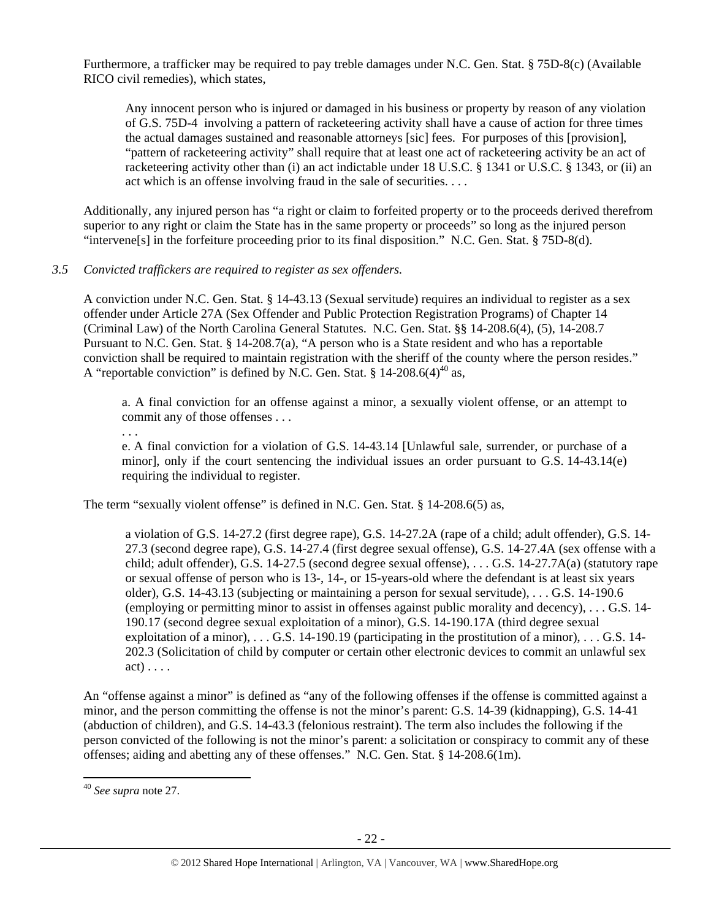Furthermore, a trafficker may be required to pay treble damages under N.C. Gen. Stat. § 75D-8(c) (Available RICO civil remedies), which states,

Any innocent person who is injured or damaged in his business or property by reason of any violation of G.S. 75D-4 involving a pattern of racketeering activity shall have a cause of action for three times the actual damages sustained and reasonable attorneys [sic] fees. For purposes of this [provision], "pattern of racketeering activity" shall require that at least one act of racketeering activity be an act of racketeering activity other than (i) an act indictable under 18 U.S.C. § 1341 or U.S.C. § 1343, or (ii) an act which is an offense involving fraud in the sale of securities. . . .

Additionally, any injured person has "a right or claim to forfeited property or to the proceeds derived therefrom superior to any right or claim the State has in the same property or proceeds" so long as the injured person "intervene[s] in the forfeiture proceeding prior to its final disposition." N.C. Gen. Stat. § 75D-8(d).

#### *3.5 Convicted traffickers are required to register as sex offenders.*

A conviction under N.C. Gen. Stat. § 14-43.13 (Sexual servitude) requires an individual to register as a sex offender under Article 27A (Sex Offender and Public Protection Registration Programs) of Chapter 14 (Criminal Law) of the North Carolina General Statutes. N.C. Gen. Stat. §§ 14-208.6(4), (5), 14-208.7 Pursuant to N.C. Gen. Stat. § 14-208.7(a), "A person who is a State resident and who has a reportable conviction shall be required to maintain registration with the sheriff of the county where the person resides." A "reportable conviction" is defined by N.C. Gen. Stat. § 14-208.6(4)<sup>40</sup> as,

a. A final conviction for an offense against a minor, a sexually violent offense, or an attempt to commit any of those offenses . . .

. . .

e. A final conviction for a violation of G.S. 14-43.14 [Unlawful sale, surrender, or purchase of a minor], only if the court sentencing the individual issues an order pursuant to G.S. 14-43.14(e) requiring the individual to register.

The term "sexually violent offense" is defined in N.C. Gen. Stat. § 14-208.6(5) as,

a violation of G.S. 14-27.2 (first degree rape), G.S. 14-27.2A (rape of a child; adult offender), G.S. 14- 27.3 (second degree rape), G.S. 14-27.4 (first degree sexual offense), G.S. 14-27.4A (sex offense with a child; adult offender), G.S. 14-27.5 (second degree sexual offense), . . . G.S. 14-27.7A(a) (statutory rape or sexual offense of person who is 13-, 14-, or 15-years-old where the defendant is at least six years older), G.S. 14-43.13 (subjecting or maintaining a person for sexual servitude), . . . G.S. 14-190.6 (employing or permitting minor to assist in offenses against public morality and decency), . . . G.S. 14- 190.17 (second degree sexual exploitation of a minor), G.S. 14-190.17A (third degree sexual exploitation of a minor), . . . G.S. 14-190.19 (participating in the prostitution of a minor), . . . G.S. 14- 202.3 (Solicitation of child by computer or certain other electronic devices to commit an unlawful sex act) . . . .

An "offense against a minor" is defined as "any of the following offenses if the offense is committed against a minor, and the person committing the offense is not the minor's parent: G.S. 14-39 (kidnapping), G.S. 14-41 (abduction of children), and G.S. 14-43.3 (felonious restraint). The term also includes the following if the person convicted of the following is not the minor's parent: a solicitation or conspiracy to commit any of these offenses; aiding and abetting any of these offenses." N.C. Gen. Stat. § 14-208.6(1m).

<sup>40</sup> *See supra* note 27.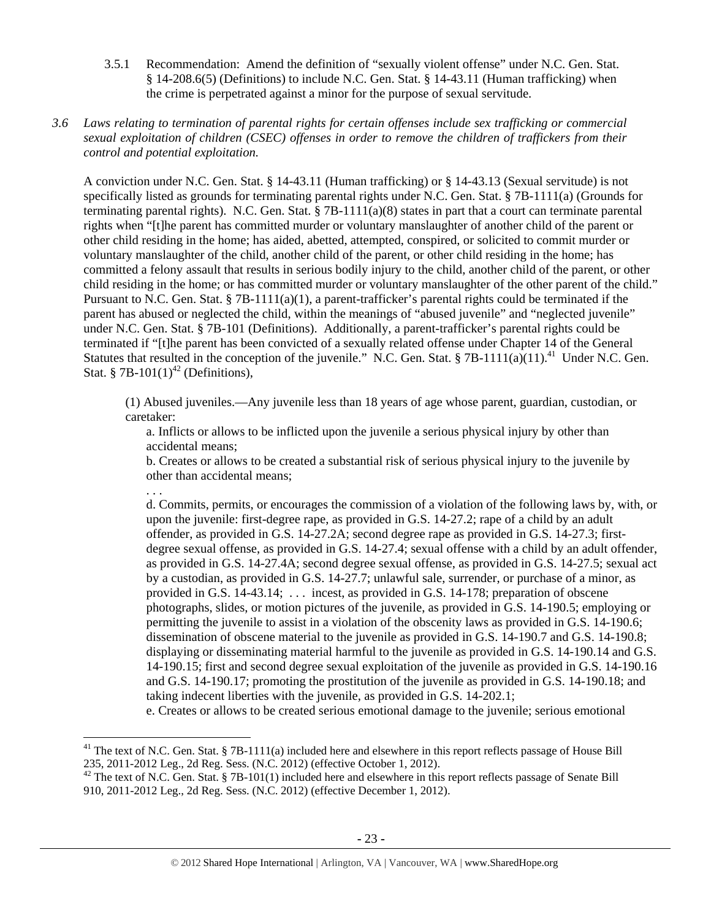3.5.1 Recommendation: Amend the definition of "sexually violent offense" under N.C. Gen. Stat. § 14-208.6(5) (Definitions) to include N.C. Gen. Stat. § 14-43.11 (Human trafficking) when the crime is perpetrated against a minor for the purpose of sexual servitude.

## *3.6 Laws relating to termination of parental rights for certain offenses include sex trafficking or commercial sexual exploitation of children (CSEC) offenses in order to remove the children of traffickers from their control and potential exploitation.*

A conviction under N.C. Gen. Stat. § 14-43.11 (Human trafficking) or § 14-43.13 (Sexual servitude) is not specifically listed as grounds for terminating parental rights under N.C. Gen. Stat. § 7B-1111(a) (Grounds for terminating parental rights). N.C. Gen. Stat. § 7B-1111(a)(8) states in part that a court can terminate parental rights when "[t]he parent has committed murder or voluntary manslaughter of another child of the parent or other child residing in the home; has aided, abetted, attempted, conspired, or solicited to commit murder or voluntary manslaughter of the child, another child of the parent, or other child residing in the home; has committed a felony assault that results in serious bodily injury to the child, another child of the parent, or other child residing in the home; or has committed murder or voluntary manslaughter of the other parent of the child." Pursuant to N.C. Gen. Stat. § 7B-1111(a)(1), a parent-trafficker's parental rights could be terminated if the parent has abused or neglected the child, within the meanings of "abused juvenile" and "neglected juvenile" under N.C. Gen. Stat. § 7B-101 (Definitions). Additionally, a parent-trafficker's parental rights could be terminated if "[t]he parent has been convicted of a sexually related offense under Chapter 14 of the General Statutes that resulted in the conception of the juvenile." N.C. Gen. Stat. § 7B-1111(a)(11).<sup>41</sup> Under N.C. Gen. Stat. § 7B-101 $(1)^{42}$  (Definitions),

(1) Abused juveniles.—Any juvenile less than 18 years of age whose parent, guardian, custodian, or caretaker:

a. Inflicts or allows to be inflicted upon the juvenile a serious physical injury by other than accidental means;

b. Creates or allows to be created a substantial risk of serious physical injury to the juvenile by other than accidental means;

. . .

d. Commits, permits, or encourages the commission of a violation of the following laws by, with, or upon the juvenile: first-degree rape, as provided in G.S. 14-27.2; rape of a child by an adult offender, as provided in G.S. 14-27.2A; second degree rape as provided in G.S. 14-27.3; firstdegree sexual offense, as provided in G.S. 14-27.4; sexual offense with a child by an adult offender, as provided in G.S. 14-27.4A; second degree sexual offense, as provided in G.S. 14-27.5; sexual act by a custodian, as provided in G.S. 14-27.7; unlawful sale, surrender, or purchase of a minor, as provided in G.S. 14-43.14; . . . incest, as provided in G.S. 14-178; preparation of obscene photographs, slides, or motion pictures of the juvenile, as provided in G.S. 14-190.5; employing or permitting the juvenile to assist in a violation of the obscenity laws as provided in G.S. 14-190.6; dissemination of obscene material to the juvenile as provided in G.S. 14-190.7 and G.S. 14-190.8; displaying or disseminating material harmful to the juvenile as provided in G.S. 14-190.14 and G.S. 14-190.15; first and second degree sexual exploitation of the juvenile as provided in G.S. 14-190.16 and G.S. 14-190.17; promoting the prostitution of the juvenile as provided in G.S. 14-190.18; and taking indecent liberties with the juvenile, as provided in G.S. 14-202.1;

e. Creates or allows to be created serious emotional damage to the juvenile; serious emotional

<sup>&</sup>lt;sup>41</sup> The text of N.C. Gen. Stat. § 7B-1111(a) included here and elsewhere in this report reflects passage of House Bill 235, 2011-2012 Leg., 2d Reg. Sess. (N.C. 2012) (effective October 1, 2012).

 $42$  The text of N.C. Gen. Stat. § 7B-101(1) included here and elsewhere in this report reflects passage of Senate Bill 910, 2011-2012 Leg., 2d Reg. Sess. (N.C. 2012) (effective December 1, 2012).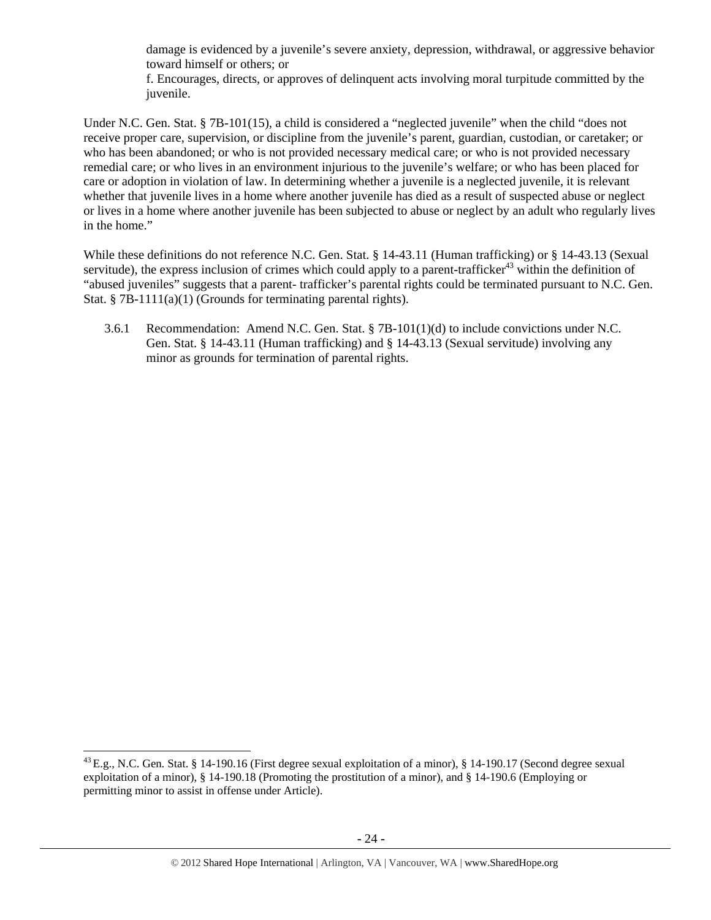damage is evidenced by a juvenile's severe anxiety, depression, withdrawal, or aggressive behavior toward himself or others; or

f. Encourages, directs, or approves of delinquent acts involving moral turpitude committed by the juvenile.

Under N.C. Gen. Stat. § 7B-101(15), a child is considered a "neglected juvenile" when the child "does not receive proper care, supervision, or discipline from the juvenile's parent, guardian, custodian, or caretaker; or who has been abandoned; or who is not provided necessary medical care; or who is not provided necessary remedial care; or who lives in an environment injurious to the juvenile's welfare; or who has been placed for care or adoption in violation of law. In determining whether a juvenile is a neglected juvenile, it is relevant whether that juvenile lives in a home where another juvenile has died as a result of suspected abuse or neglect or lives in a home where another juvenile has been subjected to abuse or neglect by an adult who regularly lives in the home."

While these definitions do not reference N.C. Gen. Stat. § 14-43.11 (Human trafficking) or § 14-43.13 (Sexual servitude), the express inclusion of crimes which could apply to a parent-trafficker<sup>43</sup> within the definition of "abused juveniles" suggests that a parent- trafficker's parental rights could be terminated pursuant to N.C. Gen. Stat. § 7B-1111(a)(1) (Grounds for terminating parental rights).

3.6.1 Recommendation: Amend N.C. Gen. Stat. § 7B-101(1)(d) to include convictions under N.C. Gen. Stat. § 14-43.11 (Human trafficking) and § 14-43.13 (Sexual servitude) involving any minor as grounds for termination of parental rights.

 $^{43}$  E.g., N.C. Gen. Stat. § 14-190.16 (First degree sexual exploitation of a minor), § 14-190.17 (Second degree sexual exploitation of a minor), § 14-190.18 (Promoting the prostitution of a minor), and § 14-190.6 (Employing or permitting minor to assist in offense under Article).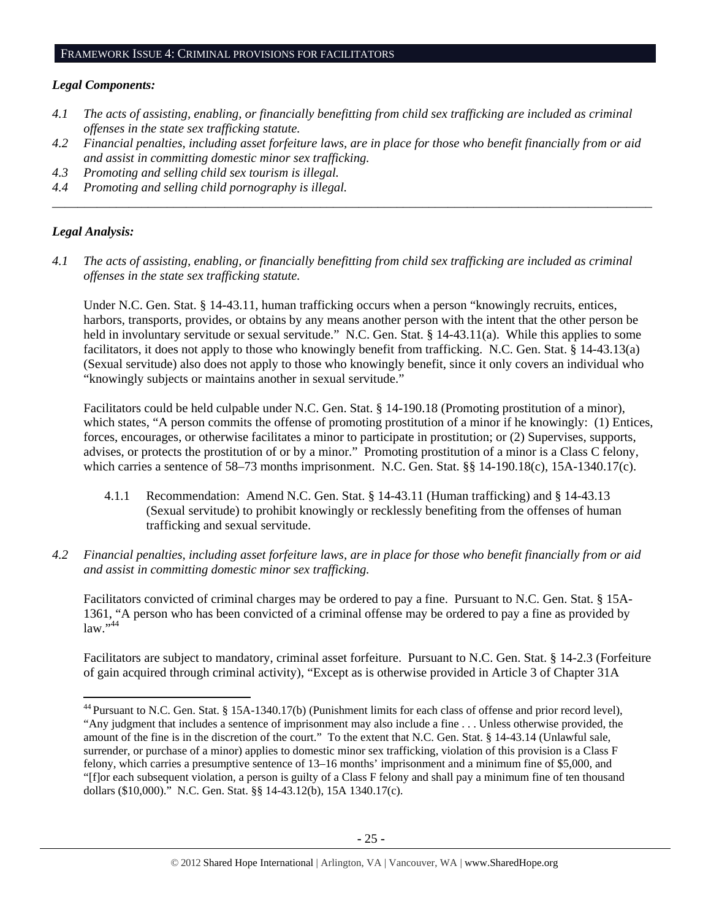#### *Legal Components:*

- *4.1 The acts of assisting, enabling, or financially benefitting from child sex trafficking are included as criminal offenses in the state sex trafficking statute.*
- *4.2 Financial penalties, including asset forfeiture laws, are in place for those who benefit financially from or aid and assist in committing domestic minor sex trafficking.*

*\_\_\_\_\_\_\_\_\_\_\_\_\_\_\_\_\_\_\_\_\_\_\_\_\_\_\_\_\_\_\_\_\_\_\_\_\_\_\_\_\_\_\_\_\_\_\_\_\_\_\_\_\_\_\_\_\_\_\_\_\_\_\_\_\_\_\_\_\_\_\_\_\_\_\_\_\_\_\_\_\_\_\_\_\_\_\_\_\_\_\_\_\_\_* 

*4.3 Promoting and selling child sex tourism is illegal.* 

*4.4 Promoting and selling child pornography is illegal.* 

#### *Legal Analysis:*

*4.1 The acts of assisting, enabling, or financially benefitting from child sex trafficking are included as criminal offenses in the state sex trafficking statute.*

Under N.C. Gen. Stat. § 14-43.11, human trafficking occurs when a person "knowingly recruits, entices, harbors, transports, provides, or obtains by any means another person with the intent that the other person be held in involuntary servitude or sexual servitude." N.C. Gen. Stat. § 14-43.11(a). While this applies to some facilitators, it does not apply to those who knowingly benefit from trafficking. N.C. Gen. Stat. § 14-43.13(a) (Sexual servitude) also does not apply to those who knowingly benefit, since it only covers an individual who "knowingly subjects or maintains another in sexual servitude."

Facilitators could be held culpable under N.C. Gen. Stat. § 14-190.18 (Promoting prostitution of a minor), which states, "A person commits the offense of promoting prostitution of a minor if he knowingly: (1) Entices, forces, encourages, or otherwise facilitates a minor to participate in prostitution; or (2) Supervises, supports, advises, or protects the prostitution of or by a minor." Promoting prostitution of a minor is a Class C felony, which carries a sentence of 58–73 months imprisonment. N.C. Gen. Stat. §§ 14-190.18(c), 15A-1340.17(c).

- 4.1.1 Recommendation: Amend N.C. Gen. Stat. § 14-43.11 (Human trafficking) and § 14-43.13 (Sexual servitude) to prohibit knowingly or recklessly benefiting from the offenses of human trafficking and sexual servitude.
- *4.2 Financial penalties, including asset forfeiture laws, are in place for those who benefit financially from or aid and assist in committing domestic minor sex trafficking.*

Facilitators convicted of criminal charges may be ordered to pay a fine. Pursuant to N.C. Gen. Stat. § 15A-1361, "A person who has been convicted of a criminal offense may be ordered to pay a fine as provided by law."<sup>44</sup>

Facilitators are subject to mandatory, criminal asset forfeiture. Pursuant to N.C. Gen. Stat. § 14-2.3 (Forfeiture of gain acquired through criminal activity), "Except as is otherwise provided in Article 3 of Chapter 31A

<sup>&</sup>lt;sup>44</sup> Pursuant to N.C. Gen. Stat. § 15A-1340.17(b) (Punishment limits for each class of offense and prior record level), "Any judgment that includes a sentence of imprisonment may also include a fine . . . Unless otherwise provided, the amount of the fine is in the discretion of the court." To the extent that N.C. Gen. Stat. § 14-43.14 (Unlawful sale, surrender, or purchase of a minor) applies to domestic minor sex trafficking, violation of this provision is a Class F felony, which carries a presumptive sentence of 13–16 months' imprisonment and a minimum fine of \$5,000, and "[f]or each subsequent violation, a person is guilty of a Class F felony and shall pay a minimum fine of ten thousand dollars (\$10,000)." N.C. Gen. Stat. §§ 14-43.12(b), 15A 1340.17(c).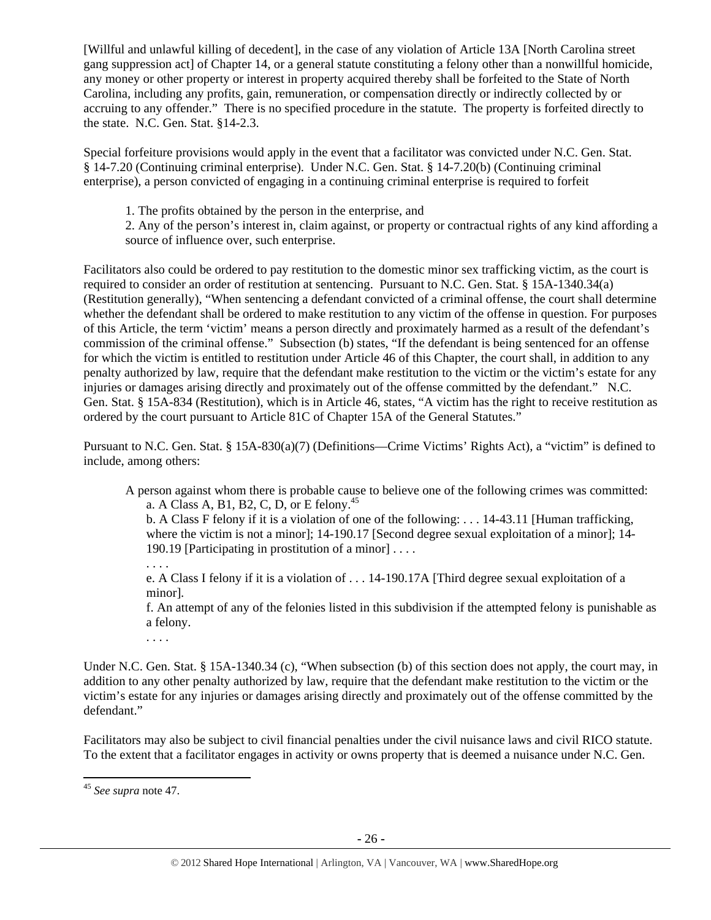[Willful and unlawful killing of decedent], in the case of any violation of Article 13A [North Carolina street gang suppression act] of Chapter 14, or a general statute constituting a felony other than a nonwillful homicide, any money or other property or interest in property acquired thereby shall be forfeited to the State of North Carolina, including any profits, gain, remuneration, or compensation directly or indirectly collected by or accruing to any offender." There is no specified procedure in the statute. The property is forfeited directly to the state. N.C. Gen. Stat. §14-2.3.

Special forfeiture provisions would apply in the event that a facilitator was convicted under N.C. Gen. Stat. § 14-7.20 (Continuing criminal enterprise). Under N.C. Gen. Stat. § 14-7.20(b) (Continuing criminal enterprise), a person convicted of engaging in a continuing criminal enterprise is required to forfeit

1. The profits obtained by the person in the enterprise, and

2. Any of the person's interest in, claim against, or property or contractual rights of any kind affording a source of influence over, such enterprise.

Facilitators also could be ordered to pay restitution to the domestic minor sex trafficking victim, as the court is required to consider an order of restitution at sentencing. Pursuant to N.C. Gen. Stat. § 15A-1340.34(a) (Restitution generally), "When sentencing a defendant convicted of a criminal offense, the court shall determine whether the defendant shall be ordered to make restitution to any victim of the offense in question. For purposes of this Article, the term 'victim' means a person directly and proximately harmed as a result of the defendant's commission of the criminal offense." Subsection (b) states, "If the defendant is being sentenced for an offense for which the victim is entitled to restitution under Article 46 of this Chapter, the court shall, in addition to any penalty authorized by law, require that the defendant make restitution to the victim or the victim's estate for any injuries or damages arising directly and proximately out of the offense committed by the defendant." N.C. Gen. Stat. § 15A-834 (Restitution), which is in Article 46, states, "A victim has the right to receive restitution as ordered by the court pursuant to Article 81C of Chapter 15A of the General Statutes."

Pursuant to N.C. Gen. Stat. § 15A-830(a)(7) (Definitions—Crime Victims' Rights Act), a "victim" is defined to include, among others:

A person against whom there is probable cause to believe one of the following crimes was committed: a. A Class A, B1, B2, C, D, or E felony.<sup>45</sup>

b. A Class F felony if it is a violation of one of the following: . . . 14-43.11 [Human trafficking, where the victim is not a minor]; 14-190.17 [Second degree sexual exploitation of a minor]; 14-190.19 [Participating in prostitution of a minor] . . . .

. . . .

e. A Class I felony if it is a violation of . . . 14-190.17A [Third degree sexual exploitation of a minor].

f. An attempt of any of the felonies listed in this subdivision if the attempted felony is punishable as a felony.

. . . .

Under N.C. Gen. Stat. § 15A-1340.34 (c), "When subsection (b) of this section does not apply, the court may, in addition to any other penalty authorized by law, require that the defendant make restitution to the victim or the victim's estate for any injuries or damages arising directly and proximately out of the offense committed by the defendant."

Facilitators may also be subject to civil financial penalties under the civil nuisance laws and civil RICO statute. To the extent that a facilitator engages in activity or owns property that is deemed a nuisance under N.C. Gen.

<sup>45</sup> *See supra* note 47.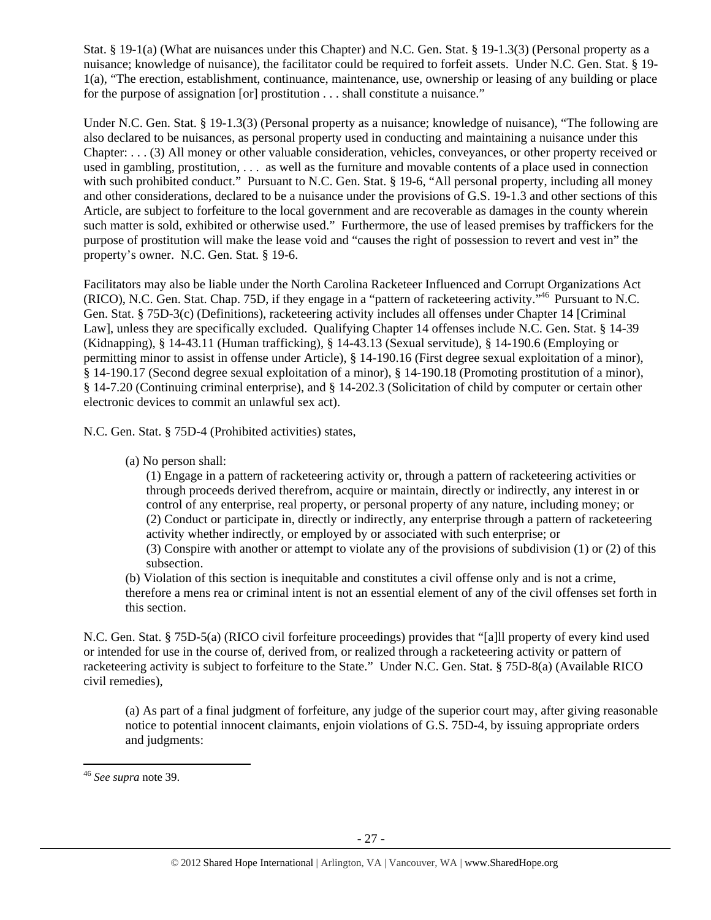Stat. § 19-1(a) (What are nuisances under this Chapter) and N.C. Gen. Stat. § 19-1.3(3) (Personal property as a nuisance; knowledge of nuisance), the facilitator could be required to forfeit assets. Under N.C. Gen. Stat. § 19- 1(a), "The erection, establishment, continuance, maintenance, use, ownership or leasing of any building or place for the purpose of assignation [or] prostitution . . . shall constitute a nuisance."

Under N.C. Gen. Stat. § 19-1.3(3) (Personal property as a nuisance; knowledge of nuisance), "The following are also declared to be nuisances, as personal property used in conducting and maintaining a nuisance under this Chapter: . . . (3) All money or other valuable consideration, vehicles, conveyances, or other property received or used in gambling, prostitution, . . . as well as the furniture and movable contents of a place used in connection with such prohibited conduct." Pursuant to N.C. Gen. Stat. § 19-6, "All personal property, including all money and other considerations, declared to be a nuisance under the provisions of G.S. 19-1.3 and other sections of this Article, are subject to forfeiture to the local government and are recoverable as damages in the county wherein such matter is sold, exhibited or otherwise used." Furthermore, the use of leased premises by traffickers for the purpose of prostitution will make the lease void and "causes the right of possession to revert and vest in" the property's owner. N.C. Gen. Stat. § 19-6.

Facilitators may also be liable under the North Carolina Racketeer Influenced and Corrupt Organizations Act (RICO), N.C. Gen. Stat. Chap. 75D, if they engage in a "pattern of racketeering activity."46 Pursuant to N.C. Gen. Stat. § 75D-3(c) (Definitions), racketeering activity includes all offenses under Chapter 14 [Criminal Law], unless they are specifically excluded. Qualifying Chapter 14 offenses include N.C. Gen. Stat. § 14-39 (Kidnapping), § 14-43.11 (Human trafficking), § 14-43.13 (Sexual servitude), § 14-190.6 (Employing or permitting minor to assist in offense under Article), § 14-190.16 (First degree sexual exploitation of a minor), § 14-190.17 (Second degree sexual exploitation of a minor), § 14-190.18 (Promoting prostitution of a minor), § 14-7.20 (Continuing criminal enterprise), and § 14-202.3 (Solicitation of child by computer or certain other electronic devices to commit an unlawful sex act).

N.C. Gen. Stat. § 75D-4 (Prohibited activities) states,

(a) No person shall:

(1) Engage in a pattern of racketeering activity or, through a pattern of racketeering activities or through proceeds derived therefrom, acquire or maintain, directly or indirectly, any interest in or control of any enterprise, real property, or personal property of any nature, including money; or (2) Conduct or participate in, directly or indirectly, any enterprise through a pattern of racketeering activity whether indirectly, or employed by or associated with such enterprise; or (3) Conspire with another or attempt to violate any of the provisions of subdivision (1) or (2) of this subsection.

(b) Violation of this section is inequitable and constitutes a civil offense only and is not a crime, therefore a mens rea or criminal intent is not an essential element of any of the civil offenses set forth in this section.

N.C. Gen. Stat. § 75D-5(a) (RICO civil forfeiture proceedings) provides that "[a]ll property of every kind used or intended for use in the course of, derived from, or realized through a racketeering activity or pattern of racketeering activity is subject to forfeiture to the State." Under N.C. Gen. Stat. § 75D-8(a) (Available RICO civil remedies),

(a) As part of a final judgment of forfeiture, any judge of the superior court may, after giving reasonable notice to potential innocent claimants, enjoin violations of G.S. 75D-4, by issuing appropriate orders and judgments:

<sup>46</sup> *See supra* note 39.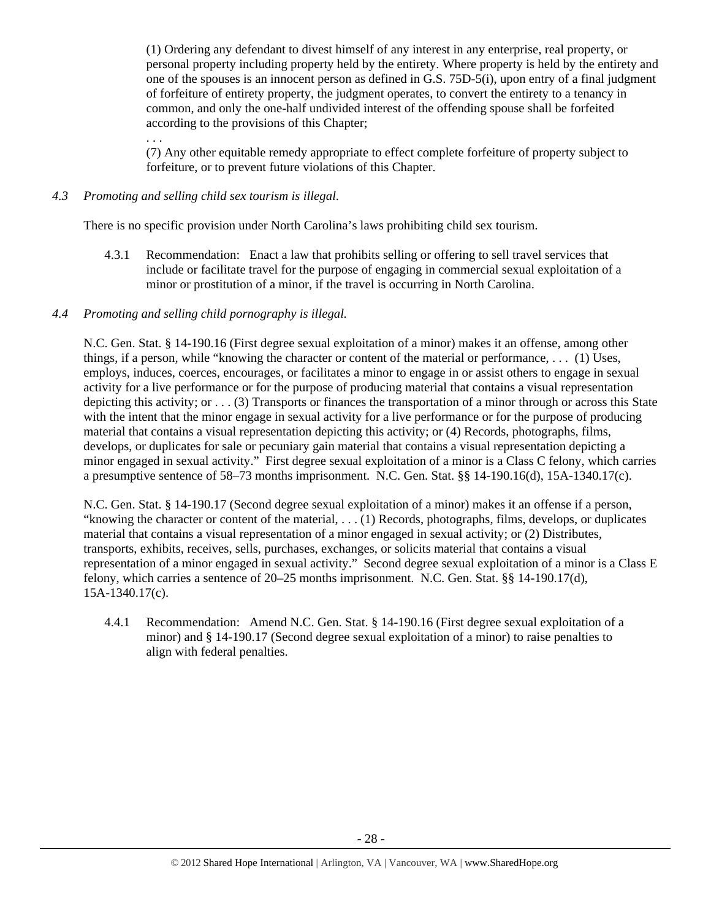(1) Ordering any defendant to divest himself of any interest in any enterprise, real property, or personal property including property held by the entirety. Where property is held by the entirety and one of the spouses is an innocent person as defined in G.S. 75D-5(i), upon entry of a final judgment of forfeiture of entirety property, the judgment operates, to convert the entirety to a tenancy in common, and only the one-half undivided interest of the offending spouse shall be forfeited according to the provisions of this Chapter;

(7) Any other equitable remedy appropriate to effect complete forfeiture of property subject to forfeiture, or to prevent future violations of this Chapter.

## *4.3 Promoting and selling child sex tourism is illegal*.

. . .

There is no specific provision under North Carolina's laws prohibiting child sex tourism.

4.3.1 Recommendation: Enact a law that prohibits selling or offering to sell travel services that include or facilitate travel for the purpose of engaging in commercial sexual exploitation of a minor or prostitution of a minor, if the travel is occurring in North Carolina.

## *4.4 Promoting and selling child pornography is illegal.*

N.C. Gen. Stat. § 14-190.16 (First degree sexual exploitation of a minor) makes it an offense, among other things, if a person, while "knowing the character or content of the material or performance, . . . (1) Uses, employs, induces, coerces, encourages, or facilitates a minor to engage in or assist others to engage in sexual activity for a live performance or for the purpose of producing material that contains a visual representation depicting this activity; or . . . (3) Transports or finances the transportation of a minor through or across this State with the intent that the minor engage in sexual activity for a live performance or for the purpose of producing material that contains a visual representation depicting this activity; or (4) Records, photographs, films, develops, or duplicates for sale or pecuniary gain material that contains a visual representation depicting a minor engaged in sexual activity." First degree sexual exploitation of a minor is a Class C felony, which carries a presumptive sentence of 58–73 months imprisonment. N.C. Gen. Stat. §§ 14-190.16(d), 15A-1340.17(c).

N.C. Gen. Stat. § 14-190.17 (Second degree sexual exploitation of a minor) makes it an offense if a person, "knowing the character or content of the material, . . . (1) Records, photographs, films, develops, or duplicates material that contains a visual representation of a minor engaged in sexual activity; or (2) Distributes, transports, exhibits, receives, sells, purchases, exchanges, or solicits material that contains a visual representation of a minor engaged in sexual activity." Second degree sexual exploitation of a minor is a Class E felony, which carries a sentence of 20–25 months imprisonment. N.C. Gen. Stat. §§ 14-190.17(d), 15A-1340.17(c).

4.4.1 Recommendation: Amend N.C. Gen. Stat. § 14-190.16 (First degree sexual exploitation of a minor) and § 14-190.17 (Second degree sexual exploitation of a minor) to raise penalties to align with federal penalties.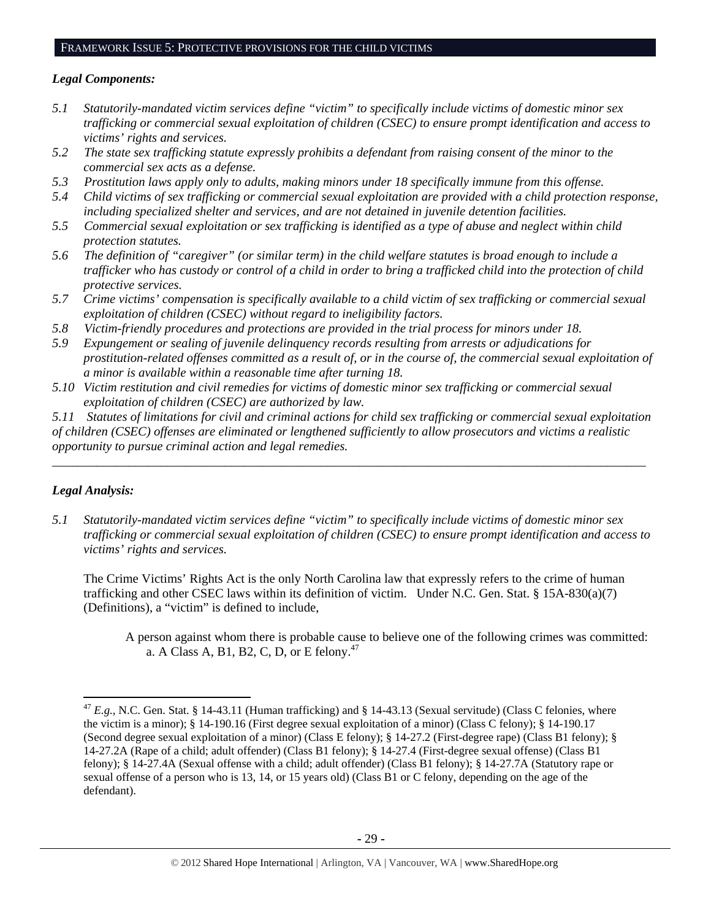# FRAMEWORK ISSUE 5: PROTECTIVE PROVISIONS FOR THE CHILD VICTIMS

# *Legal Components:*

- *5.1 Statutorily-mandated victim services define "victim" to specifically include victims of domestic minor sex trafficking or commercial sexual exploitation of children (CSEC) to ensure prompt identification and access to victims' rights and services.*
- *5.2 The state sex trafficking statute expressly prohibits a defendant from raising consent of the minor to the commercial sex acts as a defense.*
- *5.3 Prostitution laws apply only to adults, making minors under 18 specifically immune from this offense.*
- *5.4 Child victims of sex trafficking or commercial sexual exploitation are provided with a child protection response, including specialized shelter and services, and are not detained in juvenile detention facilities.*
- *5.5 Commercial sexual exploitation or sex trafficking is identified as a type of abuse and neglect within child protection statutes.*
- *5.6 The definition of "caregiver" (or similar term) in the child welfare statutes is broad enough to include a trafficker who has custody or control of a child in order to bring a trafficked child into the protection of child protective services.*
- *5.7 Crime victims' compensation is specifically available to a child victim of sex trafficking or commercial sexual exploitation of children (CSEC) without regard to ineligibility factors.*
- *5.8 Victim-friendly procedures and protections are provided in the trial process for minors under 18.*
- *5.9 Expungement or sealing of juvenile delinquency records resulting from arrests or adjudications for prostitution-related offenses committed as a result of, or in the course of, the commercial sexual exploitation of a minor is available within a reasonable time after turning 18.*
- *5.10 Victim restitution and civil remedies for victims of domestic minor sex trafficking or commercial sexual exploitation of children (CSEC) are authorized by law.*

*5.11 Statutes of limitations for civil and criminal actions for child sex trafficking or commercial sexual exploitation of children (CSEC) offenses are eliminated or lengthened sufficiently to allow prosecutors and victims a realistic opportunity to pursue criminal action and legal remedies.* 

*\_\_\_\_\_\_\_\_\_\_\_\_\_\_\_\_\_\_\_\_\_\_\_\_\_\_\_\_\_\_\_\_\_\_\_\_\_\_\_\_\_\_\_\_\_\_\_\_\_\_\_\_\_\_\_\_\_\_\_\_\_\_\_\_\_\_\_\_\_\_\_\_\_\_\_\_\_\_\_\_\_\_\_\_\_\_\_\_\_\_\_\_\_* 

# *Legal Analysis:*

*5.1 Statutorily-mandated victim services define "victim" to specifically include victims of domestic minor sex trafficking or commercial sexual exploitation of children (CSEC) to ensure prompt identification and access to victims' rights and services.* 

The Crime Victims' Rights Act is the only North Carolina law that expressly refers to the crime of human trafficking and other CSEC laws within its definition of victim. Under N.C. Gen. Stat. § 15A-830(a)(7) (Definitions), a "victim" is defined to include,

A person against whom there is probable cause to believe one of the following crimes was committed: a. A Class A, B1, B2, C, D, or E felony.47

  $^{47}$  *E.g.*, N.C. Gen. Stat. § 14-43.11 (Human trafficking) and § 14-43.13 (Sexual servitude) (Class C felonies, where the victim is a minor); § 14-190.16 (First degree sexual exploitation of a minor) (Class C felony); § 14-190.17 (Second degree sexual exploitation of a minor) (Class E felony); § 14-27.2 (First-degree rape) (Class B1 felony); § 14-27.2A (Rape of a child; adult offender) (Class B1 felony); § 14-27.4 (First-degree sexual offense) (Class B1 felony); § 14-27.4A (Sexual offense with a child; adult offender) (Class B1 felony); § 14-27.7A (Statutory rape or sexual offense of a person who is 13, 14, or 15 years old) (Class B1 or C felony, depending on the age of the defendant).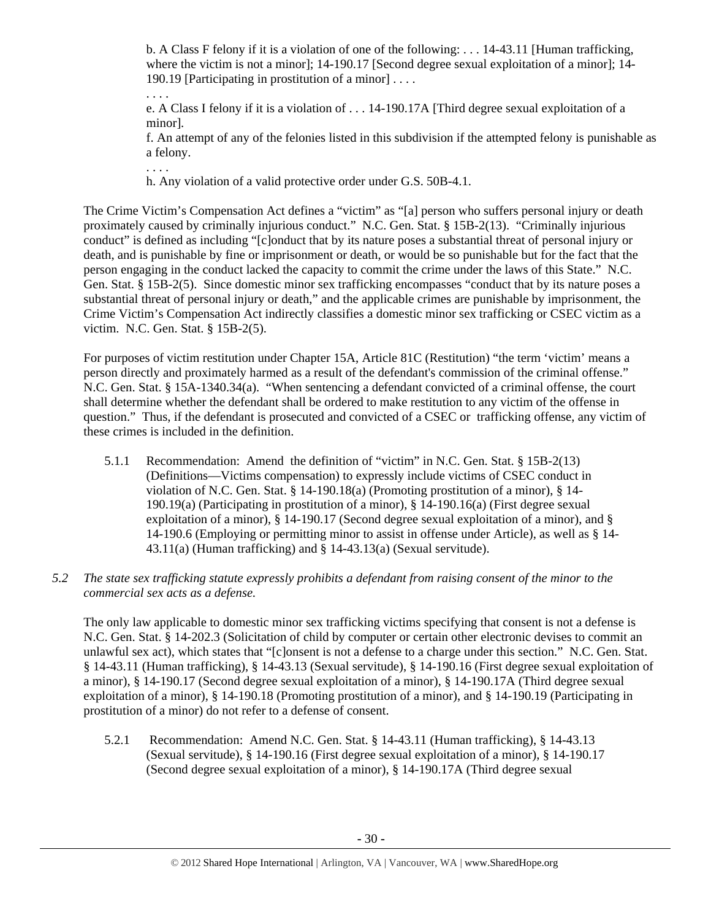b. A Class F felony if it is a violation of one of the following: . . . 14-43.11 [Human trafficking, where the victim is not a minor]; 14-190.17 [Second degree sexual exploitation of a minor]; 14- 190.19 [Participating in prostitution of a minor] . . . .

. . . . e. A Class I felony if it is a violation of . . . 14-190.17A [Third degree sexual exploitation of a minor].

f. An attempt of any of the felonies listed in this subdivision if the attempted felony is punishable as a felony.

h. Any violation of a valid protective order under G.S. 50B-4.1.

. . . .

The Crime Victim's Compensation Act defines a "victim" as "[a] person who suffers personal injury or death proximately caused by criminally injurious conduct." N.C. Gen. Stat. § 15B-2(13). "Criminally injurious conduct" is defined as including "[c]onduct that by its nature poses a substantial threat of personal injury or death, and is punishable by fine or imprisonment or death, or would be so punishable but for the fact that the person engaging in the conduct lacked the capacity to commit the crime under the laws of this State." N.C. Gen. Stat. § 15B-2(5). Since domestic minor sex trafficking encompasses "conduct that by its nature poses a substantial threat of personal injury or death," and the applicable crimes are punishable by imprisonment, the Crime Victim's Compensation Act indirectly classifies a domestic minor sex trafficking or CSEC victim as a victim. N.C. Gen. Stat. § 15B-2(5).

For purposes of victim restitution under Chapter 15A, Article 81C (Restitution) "the term 'victim' means a person directly and proximately harmed as a result of the defendant's commission of the criminal offense." N.C. Gen. Stat. § 15A-1340.34(a). "When sentencing a defendant convicted of a criminal offense, the court shall determine whether the defendant shall be ordered to make restitution to any victim of the offense in question." Thus, if the defendant is prosecuted and convicted of a CSEC or trafficking offense, any victim of these crimes is included in the definition.

- 5.1.1 Recommendation: Amend the definition of "victim" in N.C. Gen. Stat. § 15B-2(13) (Definitions—Victims compensation) to expressly include victims of CSEC conduct in violation of N.C. Gen. Stat. § 14-190.18(a) (Promoting prostitution of a minor), § 14- 190.19(a) (Participating in prostitution of a minor), § 14-190.16(a) (First degree sexual exploitation of a minor), § 14-190.17 (Second degree sexual exploitation of a minor), and § 14-190.6 (Employing or permitting minor to assist in offense under Article), as well as § 14- 43.11(a) (Human trafficking) and § 14-43.13(a) (Sexual servitude).
- *5.2 The state sex trafficking statute expressly prohibits a defendant from raising consent of the minor to the commercial sex acts as a defense.*

The only law applicable to domestic minor sex trafficking victims specifying that consent is not a defense is N.C. Gen. Stat. § 14-202.3 (Solicitation of child by computer or certain other electronic devises to commit an unlawful sex act), which states that "[c]onsent is not a defense to a charge under this section." N.C. Gen. Stat. § 14-43.11 (Human trafficking), § 14-43.13 (Sexual servitude), § 14-190.16 (First degree sexual exploitation of a minor), § 14-190.17 (Second degree sexual exploitation of a minor), § 14-190.17A (Third degree sexual exploitation of a minor), § 14-190.18 (Promoting prostitution of a minor), and § 14-190.19 (Participating in prostitution of a minor) do not refer to a defense of consent.

5.2.1 Recommendation: Amend N.C. Gen. Stat. § 14-43.11 (Human trafficking), § 14-43.13 (Sexual servitude), § 14-190.16 (First degree sexual exploitation of a minor), § 14-190.17 (Second degree sexual exploitation of a minor), § 14-190.17A (Third degree sexual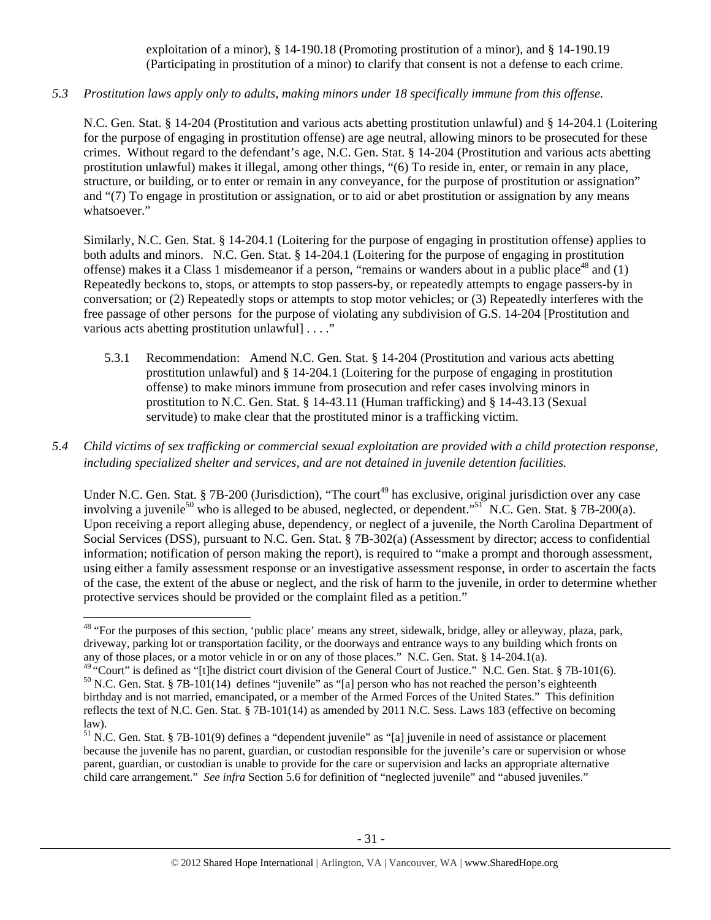exploitation of a minor), § 14-190.18 (Promoting prostitution of a minor), and § 14-190.19 (Participating in prostitution of a minor) to clarify that consent is not a defense to each crime.

*5.3 Prostitution laws apply only to adults, making minors under 18 specifically immune from this offense.* 

N.C. Gen. Stat. § 14-204 (Prostitution and various acts abetting prostitution unlawful) and § 14-204.1 (Loitering for the purpose of engaging in prostitution offense) are age neutral, allowing minors to be prosecuted for these crimes. Without regard to the defendant's age, N.C. Gen. Stat. § 14-204 (Prostitution and various acts abetting prostitution unlawful) makes it illegal, among other things, "(6) To reside in, enter, or remain in any place, structure, or building, or to enter or remain in any conveyance, for the purpose of prostitution or assignation" and "(7) To engage in prostitution or assignation, or to aid or abet prostitution or assignation by any means whatsoever."

Similarly, N.C. Gen. Stat. § 14-204.1 (Loitering for the purpose of engaging in prostitution offense) applies to both adults and minors. N.C. Gen. Stat. § 14-204.1 (Loitering for the purpose of engaging in prostitution offense) makes it a Class 1 misdemeanor if a person, "remains or wanders about in a public place<sup>48</sup> and  $(1)$ Repeatedly beckons to, stops, or attempts to stop passers-by, or repeatedly attempts to engage passers-by in conversation; or (2) Repeatedly stops or attempts to stop motor vehicles; or (3) Repeatedly interferes with the free passage of other persons for the purpose of violating any subdivision of G.S. 14-204 [Prostitution and various acts abetting prostitution unlawful] . . . ."

- 5.3.1 Recommendation: Amend N.C. Gen. Stat. § 14-204 (Prostitution and various acts abetting prostitution unlawful) and § 14-204.1 (Loitering for the purpose of engaging in prostitution offense) to make minors immune from prosecution and refer cases involving minors in prostitution to N.C. Gen. Stat. § 14-43.11 (Human trafficking) and § 14-43.13 (Sexual servitude) to make clear that the prostituted minor is a trafficking victim.
- *5.4 Child victims of sex trafficking or commercial sexual exploitation are provided with a child protection response, including specialized shelter and services, and are not detained in juvenile detention facilities.*

Under N.C. Gen. Stat. § 7B-200 (Jurisdiction), "The court<sup>49</sup> has exclusive, original jurisdiction over any case involving a juvenile<sup>50</sup> who is alleged to be abused, neglected, or dependent."<sup>51</sup> N.C. Gen. Stat. § 7B-200(a). Upon receiving a report alleging abuse, dependency, or neglect of a juvenile, the North Carolina Department of Social Services (DSS), pursuant to N.C. Gen. Stat. § 7B-302(a) (Assessment by director; access to confidential information; notification of person making the report), is required to "make a prompt and thorough assessment, using either a family assessment response or an investigative assessment response, in order to ascertain the facts of the case, the extent of the abuse or neglect, and the risk of harm to the juvenile, in order to determine whether protective services should be provided or the complaint filed as a petition."

 <sup>48</sup> "For the purposes of this section, 'public place' means any street, sidewalk, bridge, alley or alleyway, plaza, park, driveway, parking lot or transportation facility, or the doorways and entrance ways to any building which fronts on any of those places, or a motor vehicle in or on any of those places." N.C. Gen. Stat. § 14-204.1(a).

<sup>&</sup>lt;sup>49</sup> "Court" is defined as "[t]he district court division of the General Court of Justice." N.C. Gen. Stat. § 7B-101(6).<br><sup>50</sup> N.C. Gen. Stat. § 7B-101(14) defines "juvenile" as "[a] person who has not reached the person's birthday and is not married, emancipated, or a member of the Armed Forces of the United States." This definition reflects the text of N.C. Gen. Stat. § 7B-101(14) as amended by 2011 N.C. Sess. Laws 183 (effective on becoming law).

<sup>&</sup>lt;sup>51</sup> N.C. Gen. Stat. § 7B-101(9) defines a "dependent juvenile" as "[a] juvenile in need of assistance or placement because the juvenile has no parent, guardian, or custodian responsible for the juvenile's care or supervision or whose parent, guardian, or custodian is unable to provide for the care or supervision and lacks an appropriate alternative child care arrangement." *See infra* Section 5.6 for definition of "neglected juvenile" and "abused juveniles."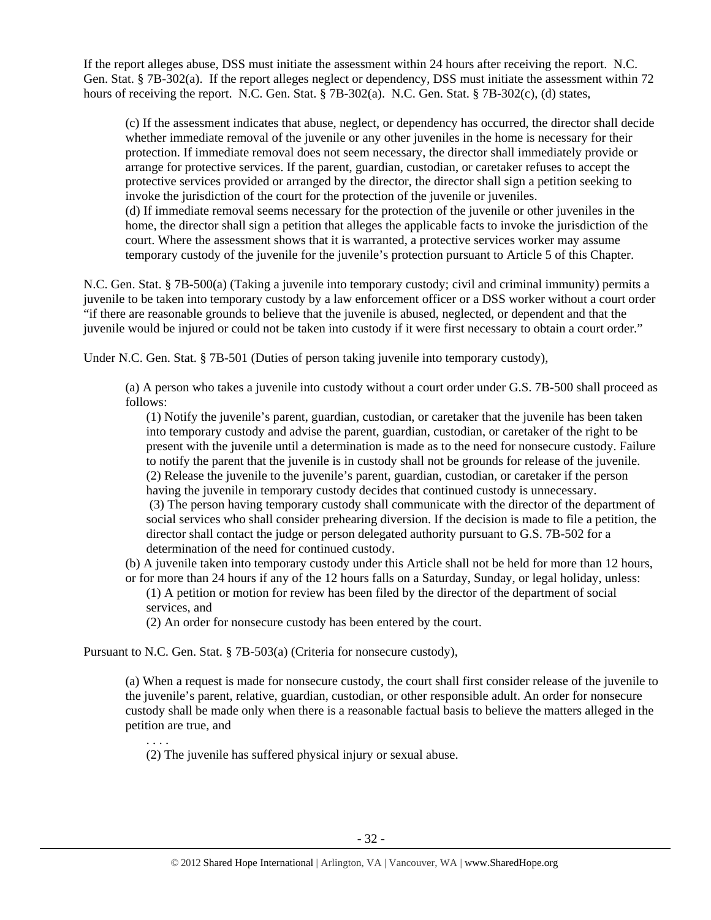If the report alleges abuse, DSS must initiate the assessment within 24 hours after receiving the report. N.C. Gen. Stat. § 7B-302(a). If the report alleges neglect or dependency, DSS must initiate the assessment within 72 hours of receiving the report. N.C. Gen. Stat. § 7B-302(a). N.C. Gen. Stat. § 7B-302(c), (d) states,

(c) If the assessment indicates that abuse, neglect, or dependency has occurred, the director shall decide whether immediate removal of the juvenile or any other juveniles in the home is necessary for their protection. If immediate removal does not seem necessary, the director shall immediately provide or arrange for protective services. If the parent, guardian, custodian, or caretaker refuses to accept the protective services provided or arranged by the director, the director shall sign a petition seeking to invoke the jurisdiction of the court for the protection of the juvenile or juveniles. (d) If immediate removal seems necessary for the protection of the juvenile or other juveniles in the home, the director shall sign a petition that alleges the applicable facts to invoke the jurisdiction of the court. Where the assessment shows that it is warranted, a protective services worker may assume temporary custody of the juvenile for the juvenile's protection pursuant to Article 5 of this Chapter.

N.C. Gen. Stat. § 7B-500(a) (Taking a juvenile into temporary custody; civil and criminal immunity) permits a juvenile to be taken into temporary custody by a law enforcement officer or a DSS worker without a court order "if there are reasonable grounds to believe that the juvenile is abused, neglected, or dependent and that the juvenile would be injured or could not be taken into custody if it were first necessary to obtain a court order."

Under N.C. Gen. Stat. § 7B-501 (Duties of person taking juvenile into temporary custody),

(a) A person who takes a juvenile into custody without a court order under G.S. 7B-500 shall proceed as follows:

(1) Notify the juvenile's parent, guardian, custodian, or caretaker that the juvenile has been taken into temporary custody and advise the parent, guardian, custodian, or caretaker of the right to be present with the juvenile until a determination is made as to the need for nonsecure custody. Failure to notify the parent that the juvenile is in custody shall not be grounds for release of the juvenile. (2) Release the juvenile to the juvenile's parent, guardian, custodian, or caretaker if the person having the juvenile in temporary custody decides that continued custody is unnecessary. (3) The person having temporary custody shall communicate with the director of the department of social services who shall consider prehearing diversion. If the decision is made to file a petition, the director shall contact the judge or person delegated authority pursuant to G.S. 7B-502 for a determination of the need for continued custody.

(b) A juvenile taken into temporary custody under this Article shall not be held for more than 12 hours, or for more than 24 hours if any of the 12 hours falls on a Saturday, Sunday, or legal holiday, unless:

(1) A petition or motion for review has been filed by the director of the department of social services, and

(2) An order for nonsecure custody has been entered by the court.

Pursuant to N.C. Gen. Stat. § 7B-503(a) (Criteria for nonsecure custody),

. . . .

(a) When a request is made for nonsecure custody, the court shall first consider release of the juvenile to the juvenile's parent, relative, guardian, custodian, or other responsible adult. An order for nonsecure custody shall be made only when there is a reasonable factual basis to believe the matters alleged in the petition are true, and

(2) The juvenile has suffered physical injury or sexual abuse.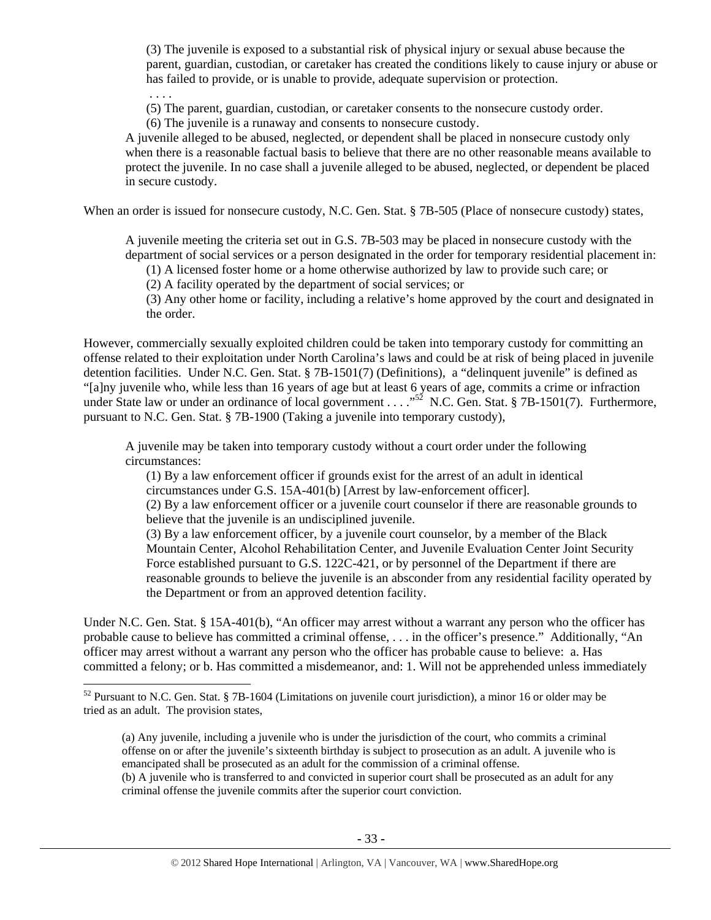(3) The juvenile is exposed to a substantial risk of physical injury or sexual abuse because the parent, guardian, custodian, or caretaker has created the conditions likely to cause injury or abuse or has failed to provide, or is unable to provide, adequate supervision or protection.

 . . . . (5) The parent, guardian, custodian, or caretaker consents to the nonsecure custody order.

(6) The juvenile is a runaway and consents to nonsecure custody.

A juvenile alleged to be abused, neglected, or dependent shall be placed in nonsecure custody only when there is a reasonable factual basis to believe that there are no other reasonable means available to protect the juvenile. In no case shall a juvenile alleged to be abused, neglected, or dependent be placed in secure custody.

When an order is issued for nonsecure custody, N.C. Gen. Stat. § 7B-505 (Place of nonsecure custody) states,

A juvenile meeting the criteria set out in G.S. 7B-503 may be placed in nonsecure custody with the department of social services or a person designated in the order for temporary residential placement in:

(1) A licensed foster home or a home otherwise authorized by law to provide such care; or

(2) A facility operated by the department of social services; or

(3) Any other home or facility, including a relative's home approved by the court and designated in the order.

However, commercially sexually exploited children could be taken into temporary custody for committing an offense related to their exploitation under North Carolina's laws and could be at risk of being placed in juvenile detention facilities. Under N.C. Gen. Stat. § 7B-1501(7) (Definitions), a "delinquent juvenile" is defined as "[a]ny juvenile who, while less than 16 years of age but at least 6 years of age, commits a crime or infraction under State law or under an ordinance of local government . . . .<sup>52</sup> N.C. Gen. Stat. § 7B-1501(7). Furthermore, pursuant to N.C. Gen. Stat. § 7B-1900 (Taking a juvenile into temporary custody),

A juvenile may be taken into temporary custody without a court order under the following circumstances:

(1) By a law enforcement officer if grounds exist for the arrest of an adult in identical circumstances under G.S. 15A-401(b) [Arrest by law-enforcement officer].

(2) By a law enforcement officer or a juvenile court counselor if there are reasonable grounds to believe that the juvenile is an undisciplined juvenile.

(3) By a law enforcement officer, by a juvenile court counselor, by a member of the Black Mountain Center, Alcohol Rehabilitation Center, and Juvenile Evaluation Center Joint Security Force established pursuant to G.S. 122C-421, or by personnel of the Department if there are reasonable grounds to believe the juvenile is an absconder from any residential facility operated by the Department or from an approved detention facility.

Under N.C. Gen. Stat. § 15A-401(b), "An officer may arrest without a warrant any person who the officer has probable cause to believe has committed a criminal offense, . . . in the officer's presence." Additionally, "An officer may arrest without a warrant any person who the officer has probable cause to believe: a. Has committed a felony; or b. Has committed a misdemeanor, and: 1. Will not be apprehended unless immediately

<sup>&</sup>lt;sup>52</sup> Pursuant to N.C. Gen. Stat. § 7B-1604 (Limitations on juvenile court jurisdiction), a minor 16 or older may be tried as an adult. The provision states,

<sup>(</sup>a) Any juvenile, including a juvenile who is under the jurisdiction of the court, who commits a criminal offense on or after the juvenile's sixteenth birthday is subject to prosecution as an adult. A juvenile who is emancipated shall be prosecuted as an adult for the commission of a criminal offense.

<sup>(</sup>b) A juvenile who is transferred to and convicted in superior court shall be prosecuted as an adult for any criminal offense the juvenile commits after the superior court conviction.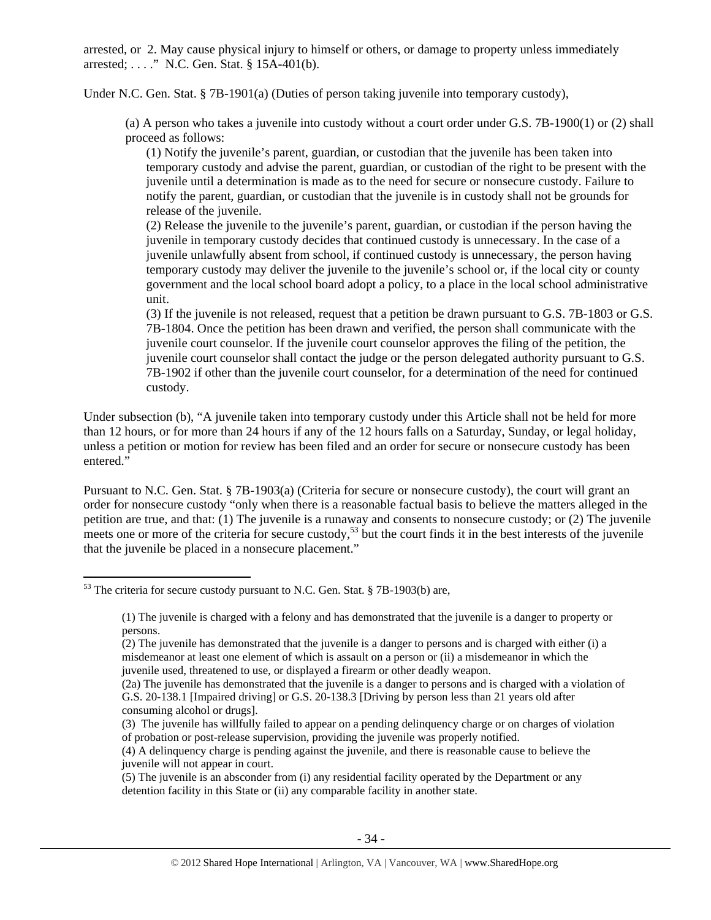arrested, or 2. May cause physical injury to himself or others, or damage to property unless immediately arrested; . . . ." N.C. Gen. Stat. § 15A-401(b).

Under N.C. Gen. Stat. § 7B-1901(a) (Duties of person taking juvenile into temporary custody),

(a) A person who takes a juvenile into custody without a court order under G.S. 7B-1900(1) or (2) shall proceed as follows:

(1) Notify the juvenile's parent, guardian, or custodian that the juvenile has been taken into temporary custody and advise the parent, guardian, or custodian of the right to be present with the juvenile until a determination is made as to the need for secure or nonsecure custody. Failure to notify the parent, guardian, or custodian that the juvenile is in custody shall not be grounds for release of the juvenile.

(2) Release the juvenile to the juvenile's parent, guardian, or custodian if the person having the juvenile in temporary custody decides that continued custody is unnecessary. In the case of a juvenile unlawfully absent from school, if continued custody is unnecessary, the person having temporary custody may deliver the juvenile to the juvenile's school or, if the local city or county government and the local school board adopt a policy, to a place in the local school administrative unit.

(3) If the juvenile is not released, request that a petition be drawn pursuant to G.S. 7B-1803 or G.S. 7B-1804. Once the petition has been drawn and verified, the person shall communicate with the juvenile court counselor. If the juvenile court counselor approves the filing of the petition, the juvenile court counselor shall contact the judge or the person delegated authority pursuant to G.S. 7B-1902 if other than the juvenile court counselor, for a determination of the need for continued custody.

Under subsection (b), "A juvenile taken into temporary custody under this Article shall not be held for more than 12 hours, or for more than 24 hours if any of the 12 hours falls on a Saturday, Sunday, or legal holiday, unless a petition or motion for review has been filed and an order for secure or nonsecure custody has been entered."

Pursuant to N.C. Gen. Stat. § 7B-1903(a) (Criteria for secure or nonsecure custody), the court will grant an order for nonsecure custody "only when there is a reasonable factual basis to believe the matters alleged in the petition are true, and that: (1) The juvenile is a runaway and consents to nonsecure custody; or (2) The juvenile meets one or more of the criteria for secure custody,<sup>53</sup> but the court finds it in the best interests of the juvenile that the juvenile be placed in a nonsecure placement."

(3) The juvenile has willfully failed to appear on a pending delinquency charge or on charges of violation of probation or post-release supervision, providing the juvenile was properly notified.

 $53$  The criteria for secure custody pursuant to N.C. Gen. Stat. § 7B-1903(b) are,

<sup>(1)</sup> The juvenile is charged with a felony and has demonstrated that the juvenile is a danger to property or persons.

<sup>(2)</sup> The juvenile has demonstrated that the juvenile is a danger to persons and is charged with either (i) a misdemeanor at least one element of which is assault on a person or (ii) a misdemeanor in which the juvenile used, threatened to use, or displayed a firearm or other deadly weapon.

<sup>(2</sup>a) The juvenile has demonstrated that the juvenile is a danger to persons and is charged with a violation of G.S. 20-138.1 [Impaired driving] or G.S. 20-138.3 [Driving by person less than 21 years old after consuming alcohol or drugs].

<sup>(4)</sup> A delinquency charge is pending against the juvenile, and there is reasonable cause to believe the juvenile will not appear in court.

<sup>(5)</sup> The juvenile is an absconder from (i) any residential facility operated by the Department or any detention facility in this State or (ii) any comparable facility in another state.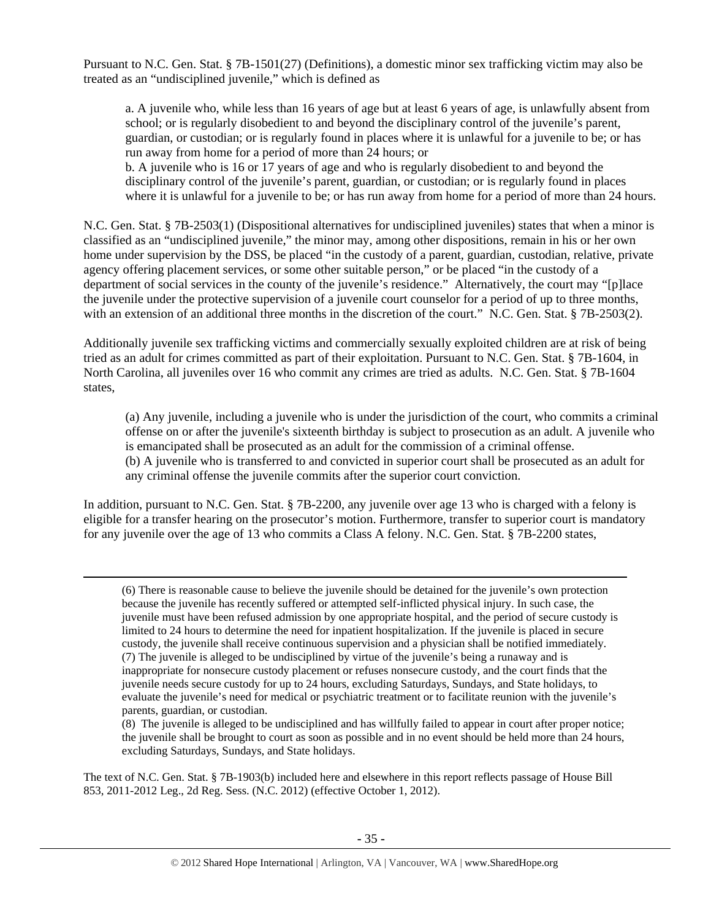Pursuant to N.C. Gen. Stat. § 7B-1501(27) (Definitions), a domestic minor sex trafficking victim may also be treated as an "undisciplined juvenile," which is defined as

a. A juvenile who, while less than 16 years of age but at least 6 years of age, is unlawfully absent from school; or is regularly disobedient to and beyond the disciplinary control of the juvenile's parent, guardian, or custodian; or is regularly found in places where it is unlawful for a juvenile to be; or has run away from home for a period of more than 24 hours; or

b. A juvenile who is 16 or 17 years of age and who is regularly disobedient to and beyond the disciplinary control of the juvenile's parent, guardian, or custodian; or is regularly found in places where it is unlawful for a juvenile to be; or has run away from home for a period of more than 24 hours.

N.C. Gen. Stat. § 7B-2503(1) (Dispositional alternatives for undisciplined juveniles) states that when a minor is classified as an "undisciplined juvenile," the minor may, among other dispositions, remain in his or her own home under supervision by the DSS, be placed "in the custody of a parent, guardian, custodian, relative, private agency offering placement services, or some other suitable person," or be placed "in the custody of a department of social services in the county of the juvenile's residence." Alternatively, the court may "[p]lace the juvenile under the protective supervision of a juvenile court counselor for a period of up to three months, with an extension of an additional three months in the discretion of the court." N.C. Gen. Stat. § 7B-2503(2).

Additionally juvenile sex trafficking victims and commercially sexually exploited children are at risk of being tried as an adult for crimes committed as part of their exploitation. Pursuant to N.C. Gen. Stat. § 7B-1604, in North Carolina, all juveniles over 16 who commit any crimes are tried as adults. N.C. Gen. Stat. § 7B-1604 states,

(a) Any juvenile, including a juvenile who is under the jurisdiction of the court, who commits a criminal offense on or after the juvenile's sixteenth birthday is subject to prosecution as an adult. A juvenile who is emancipated shall be prosecuted as an adult for the commission of a criminal offense. (b) A juvenile who is transferred to and convicted in superior court shall be prosecuted as an adult for any criminal offense the juvenile commits after the superior court conviction.

In addition, pursuant to N.C. Gen. Stat. § 7B-2200, any juvenile over age 13 who is charged with a felony is eligible for a transfer hearing on the prosecutor's motion. Furthermore, transfer to superior court is mandatory for any juvenile over the age of 13 who commits a Class A felony. N.C. Gen. Stat. § 7B-2200 states,

<u> 1989 - Johann Stoff, fransk politik (d. 1989)</u>

<sup>(6)</sup> There is reasonable cause to believe the juvenile should be detained for the juvenile's own protection because the juvenile has recently suffered or attempted self-inflicted physical injury. In such case, the juvenile must have been refused admission by one appropriate hospital, and the period of secure custody is limited to 24 hours to determine the need for inpatient hospitalization. If the juvenile is placed in secure custody, the juvenile shall receive continuous supervision and a physician shall be notified immediately. (7) The juvenile is alleged to be undisciplined by virtue of the juvenile's being a runaway and is inappropriate for nonsecure custody placement or refuses nonsecure custody, and the court finds that the juvenile needs secure custody for up to 24 hours, excluding Saturdays, Sundays, and State holidays, to evaluate the juvenile's need for medical or psychiatric treatment or to facilitate reunion with the juvenile's parents, guardian, or custodian.

<sup>(8)</sup> The juvenile is alleged to be undisciplined and has willfully failed to appear in court after proper notice; the juvenile shall be brought to court as soon as possible and in no event should be held more than 24 hours, excluding Saturdays, Sundays, and State holidays.

The text of N.C. Gen. Stat. § 7B-1903(b) included here and elsewhere in this report reflects passage of House Bill 853, 2011-2012 Leg., 2d Reg. Sess. (N.C. 2012) (effective October 1, 2012).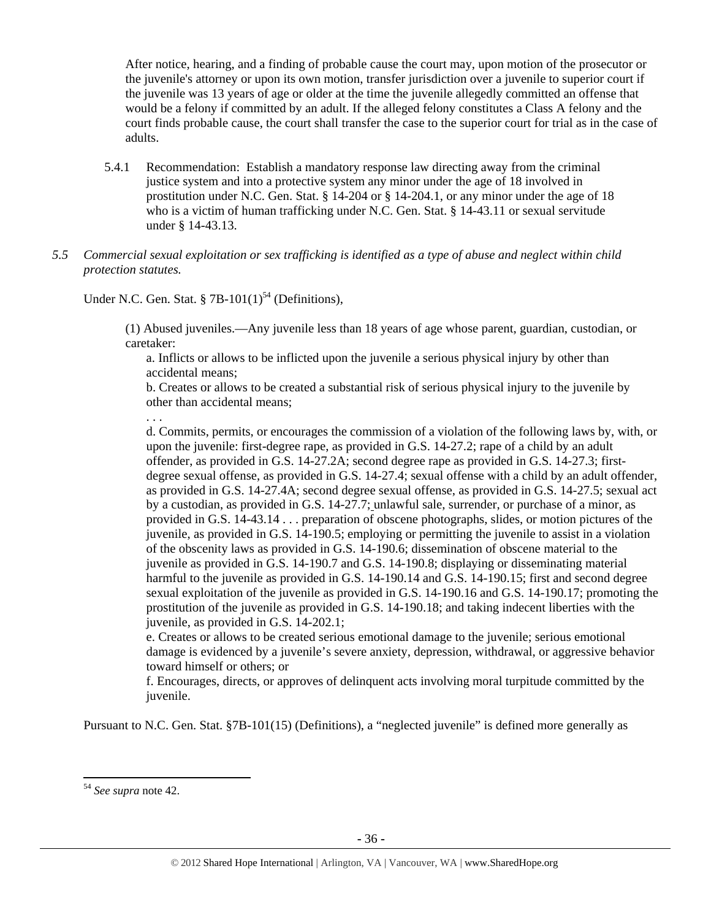After notice, hearing, and a finding of probable cause the court may, upon motion of the prosecutor or the juvenile's attorney or upon its own motion, transfer jurisdiction over a juvenile to superior court if the juvenile was 13 years of age or older at the time the juvenile allegedly committed an offense that would be a felony if committed by an adult. If the alleged felony constitutes a Class A felony and the court finds probable cause, the court shall transfer the case to the superior court for trial as in the case of adults.

- 5.4.1 Recommendation: Establish a mandatory response law directing away from the criminal justice system and into a protective system any minor under the age of 18 involved in prostitution under N.C. Gen. Stat. § 14-204 or § 14-204.1, or any minor under the age of 18 who is a victim of human trafficking under N.C. Gen. Stat. § 14-43.11 or sexual servitude under § 14-43.13.
- *5.5 Commercial sexual exploitation or sex trafficking is identified as a type of abuse and neglect within child protection statutes.*

Under N.C. Gen. Stat. § 7B-101(1)<sup>54</sup> (Definitions),

(1) Abused juveniles.—Any juvenile less than 18 years of age whose parent, guardian, custodian, or caretaker:

a. Inflicts or allows to be inflicted upon the juvenile a serious physical injury by other than accidental means;

b. Creates or allows to be created a substantial risk of serious physical injury to the juvenile by other than accidental means;

. . .

d. Commits, permits, or encourages the commission of a violation of the following laws by, with, or upon the juvenile: first-degree rape, as provided in G.S. 14-27.2; rape of a child by an adult offender, as provided in G.S. 14-27.2A; second degree rape as provided in G.S. 14-27.3; firstdegree sexual offense, as provided in G.S. 14-27.4; sexual offense with a child by an adult offender, as provided in G.S. 14-27.4A; second degree sexual offense, as provided in G.S. 14-27.5; sexual act by a custodian, as provided in G.S. 14-27.7; unlawful sale, surrender, or purchase of a minor, as provided in G.S. 14-43.14 . . . preparation of obscene photographs, slides, or motion pictures of the juvenile, as provided in G.S. 14-190.5; employing or permitting the juvenile to assist in a violation of the obscenity laws as provided in G.S. 14-190.6; dissemination of obscene material to the juvenile as provided in G.S. 14-190.7 and G.S. 14-190.8; displaying or disseminating material harmful to the juvenile as provided in G.S. 14-190.14 and G.S. 14-190.15; first and second degree sexual exploitation of the juvenile as provided in G.S. 14-190.16 and G.S. 14-190.17; promoting the prostitution of the juvenile as provided in G.S. 14-190.18; and taking indecent liberties with the juvenile, as provided in G.S. 14-202.1;

e. Creates or allows to be created serious emotional damage to the juvenile; serious emotional damage is evidenced by a juvenile's severe anxiety, depression, withdrawal, or aggressive behavior toward himself or others; or

f. Encourages, directs, or approves of delinquent acts involving moral turpitude committed by the juvenile.

Pursuant to N.C. Gen. Stat. §7B-101(15) (Definitions), a "neglected juvenile" is defined more generally as

<sup>54</sup> *See supra* note 42.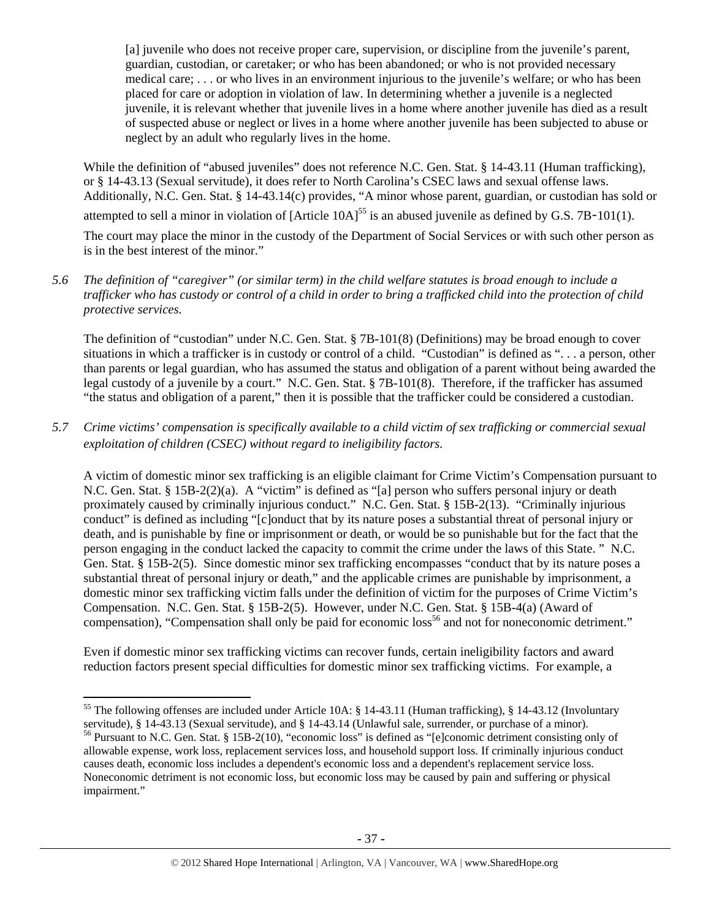[a] juvenile who does not receive proper care, supervision, or discipline from the juvenile's parent, guardian, custodian, or caretaker; or who has been abandoned; or who is not provided necessary medical care; . . . or who lives in an environment injurious to the juvenile's welfare; or who has been placed for care or adoption in violation of law. In determining whether a juvenile is a neglected juvenile, it is relevant whether that juvenile lives in a home where another juvenile has died as a result of suspected abuse or neglect or lives in a home where another juvenile has been subjected to abuse or neglect by an adult who regularly lives in the home.

While the definition of "abused juveniles" does not reference N.C. Gen. Stat. § 14-43.11 (Human trafficking), or § 14-43.13 (Sexual servitude), it does refer to North Carolina's CSEC laws and sexual offense laws. Additionally, N.C. Gen. Stat. § 14-43.14(c) provides, "A minor whose parent, guardian, or custodian has sold or attempted to sell a minor in violation of  $[Article 10A]^{55}$  is an abused juvenile as defined by G.S. 7B-101(1).

The court may place the minor in the custody of the Department of Social Services or with such other person as is in the best interest of the minor."

## *5.6 The definition of "caregiver" (or similar term) in the child welfare statutes is broad enough to include a trafficker who has custody or control of a child in order to bring a trafficked child into the protection of child protective services.*

The definition of "custodian" under N.C. Gen. Stat. § 7B-101(8) (Definitions) may be broad enough to cover situations in which a trafficker is in custody or control of a child. "Custodian" is defined as ". . . a person, other than parents or legal guardian, who has assumed the status and obligation of a parent without being awarded the legal custody of a juvenile by a court." N.C. Gen. Stat. § 7B-101(8). Therefore, if the trafficker has assumed "the status and obligation of a parent," then it is possible that the trafficker could be considered a custodian.

# *5.7 Crime victims' compensation is specifically available to a child victim of sex trafficking or commercial sexual exploitation of children (CSEC) without regard to ineligibility factors.*

A victim of domestic minor sex trafficking is an eligible claimant for Crime Victim's Compensation pursuant to N.C. Gen. Stat. § 15B-2(2)(a). A "victim" is defined as "[a] person who suffers personal injury or death proximately caused by criminally injurious conduct." N.C. Gen. Stat. § 15B-2(13). "Criminally injurious conduct" is defined as including "[c]onduct that by its nature poses a substantial threat of personal injury or death, and is punishable by fine or imprisonment or death, or would be so punishable but for the fact that the person engaging in the conduct lacked the capacity to commit the crime under the laws of this State. " N.C. Gen. Stat. § 15B-2(5). Since domestic minor sex trafficking encompasses "conduct that by its nature poses a substantial threat of personal injury or death," and the applicable crimes are punishable by imprisonment, a domestic minor sex trafficking victim falls under the definition of victim for the purposes of Crime Victim's Compensation. N.C. Gen. Stat. § 15B-2(5). However, under N.C. Gen. Stat. § 15B-4(a) (Award of compensation), "Compensation shall only be paid for economic loss<sup>56</sup> and not for noneconomic detriment."

Even if domestic minor sex trafficking victims can recover funds, certain ineligibility factors and award reduction factors present special difficulties for domestic minor sex trafficking victims. For example, a

<sup>&</sup>lt;sup>55</sup> The following offenses are included under Article 10A:  $\S$  14-43.11 (Human trafficking),  $\S$  14-43.12 (Involuntary servitude), § 14-43.13 (Sexual servitude), and § 14-43.14 (Unlawful sale, surrender, or purchase of a minor). <sup>56</sup> Pursuant to N.C. Gen. Stat. § 15B-2(10), "economic loss" is defined as "[e]conomic detriment consisting only of

allowable expense, work loss, replacement services loss, and household support loss. If criminally injurious conduct causes death, economic loss includes a dependent's economic loss and a dependent's replacement service loss. Noneconomic detriment is not economic loss, but economic loss may be caused by pain and suffering or physical impairment."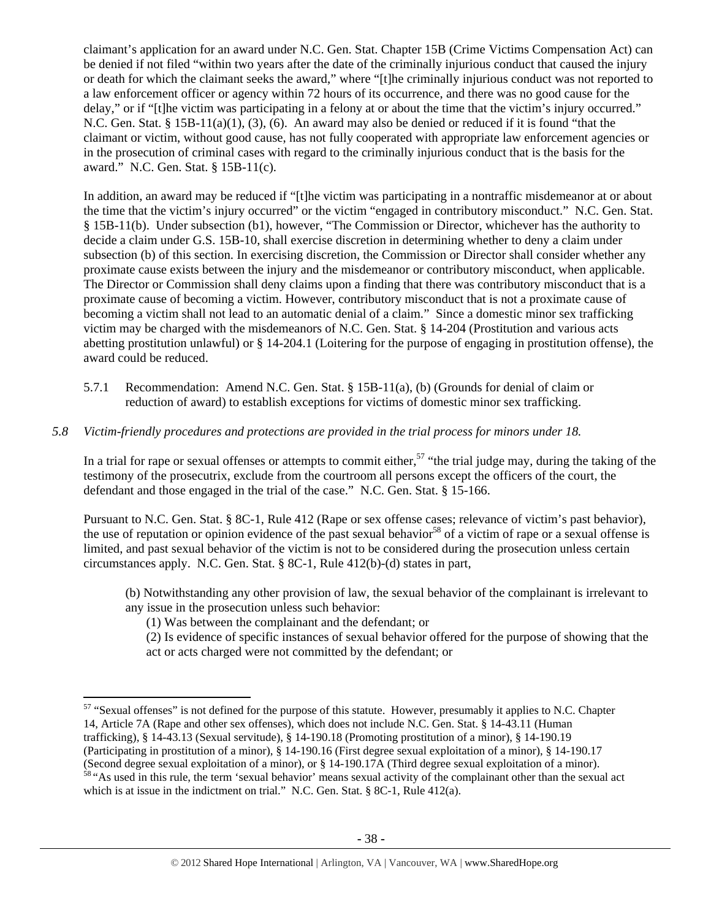claimant's application for an award under N.C. Gen. Stat. Chapter 15B (Crime Victims Compensation Act) can be denied if not filed "within two years after the date of the criminally injurious conduct that caused the injury or death for which the claimant seeks the award," where "[t]he criminally injurious conduct was not reported to a law enforcement officer or agency within 72 hours of its occurrence, and there was no good cause for the delay," or if "[t]he victim was participating in a felony at or about the time that the victim's injury occurred." N.C. Gen. Stat. § 15B-11(a)(1), (3), (6). An award may also be denied or reduced if it is found "that the claimant or victim, without good cause, has not fully cooperated with appropriate law enforcement agencies or in the prosecution of criminal cases with regard to the criminally injurious conduct that is the basis for the award." N.C. Gen. Stat. § 15B-11(c).

In addition, an award may be reduced if "[t]he victim was participating in a nontraffic misdemeanor at or about the time that the victim's injury occurred" or the victim "engaged in contributory misconduct." N.C. Gen. Stat. § 15B-11(b). Under subsection (b1), however, "The Commission or Director, whichever has the authority to decide a claim under G.S. 15B-10, shall exercise discretion in determining whether to deny a claim under subsection (b) of this section. In exercising discretion, the Commission or Director shall consider whether any proximate cause exists between the injury and the misdemeanor or contributory misconduct, when applicable. The Director or Commission shall deny claims upon a finding that there was contributory misconduct that is a proximate cause of becoming a victim. However, contributory misconduct that is not a proximate cause of becoming a victim shall not lead to an automatic denial of a claim." Since a domestic minor sex trafficking victim may be charged with the misdemeanors of N.C. Gen. Stat. § 14-204 (Prostitution and various acts abetting prostitution unlawful) or § 14-204.1 (Loitering for the purpose of engaging in prostitution offense), the award could be reduced.

5.7.1 Recommendation: Amend N.C. Gen. Stat. § 15B-11(a), (b) (Grounds for denial of claim or reduction of award) to establish exceptions for victims of domestic minor sex trafficking.

# *5.8 Victim-friendly procedures and protections are provided in the trial process for minors under 18.*

In a trial for rape or sexual offenses or attempts to commit either,  $57$  "the trial judge may, during the taking of the testimony of the prosecutrix, exclude from the courtroom all persons except the officers of the court, the defendant and those engaged in the trial of the case." N.C. Gen. Stat. § 15-166.

Pursuant to N.C. Gen. Stat. § 8C-1, Rule 412 (Rape or sex offense cases; relevance of victim's past behavior), the use of reputation or opinion evidence of the past sexual behavior<sup>58</sup> of a victim of rape or a sexual offense is limited, and past sexual behavior of the victim is not to be considered during the prosecution unless certain circumstances apply. N.C. Gen. Stat. § 8C-1, Rule 412(b)-(d) states in part,

- (b) Notwithstanding any other provision of law, the sexual behavior of the complainant is irrelevant to any issue in the prosecution unless such behavior:
	- (1) Was between the complainant and the defendant; or

(2) Is evidence of specific instances of sexual behavior offered for the purpose of showing that the act or acts charged were not committed by the defendant; or

<sup>&</sup>lt;sup>57</sup> "Sexual offenses" is not defined for the purpose of this statute. However, presumably it applies to N.C. Chapter 14, Article 7A (Rape and other sex offenses), which does not include N.C. Gen. Stat. § 14-43.11 (Human trafficking), § 14-43.13 (Sexual servitude), § 14-190.18 (Promoting prostitution of a minor), § 14-190.19 (Participating in prostitution of a minor), § 14-190.16 (First degree sexual exploitation of a minor), § 14-190.17 (Second degree sexual exploitation of a minor), or § 14-190.17A (Third degree sexual exploitation of a minor).

<sup>&</sup>lt;sup>58</sup> "As used in this rule, the term 'sexual behavior' means sexual activity of the complainant other than the sexual act which is at issue in the indictment on trial." N.C. Gen. Stat. § 8C-1, Rule 412(a).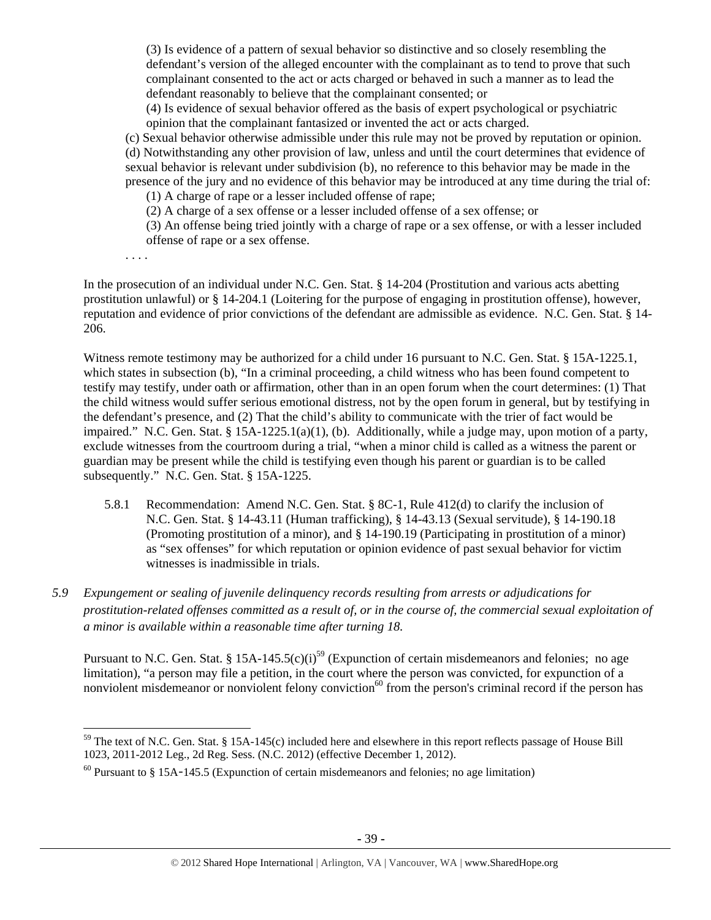(3) Is evidence of a pattern of sexual behavior so distinctive and so closely resembling the defendant's version of the alleged encounter with the complainant as to tend to prove that such complainant consented to the act or acts charged or behaved in such a manner as to lead the defendant reasonably to believe that the complainant consented; or

(4) Is evidence of sexual behavior offered as the basis of expert psychological or psychiatric opinion that the complainant fantasized or invented the act or acts charged.

(c) Sexual behavior otherwise admissible under this rule may not be proved by reputation or opinion. (d) Notwithstanding any other provision of law, unless and until the court determines that evidence of sexual behavior is relevant under subdivision (b), no reference to this behavior may be made in the presence of the jury and no evidence of this behavior may be introduced at any time during the trial of:

(1) A charge of rape or a lesser included offense of rape;

(2) A charge of a sex offense or a lesser included offense of a sex offense; or

(3) An offense being tried jointly with a charge of rape or a sex offense, or with a lesser included offense of rape or a sex offense.

. . . .

In the prosecution of an individual under N.C. Gen. Stat. § 14-204 (Prostitution and various acts abetting prostitution unlawful) or § 14-204.1 (Loitering for the purpose of engaging in prostitution offense), however, reputation and evidence of prior convictions of the defendant are admissible as evidence. N.C. Gen. Stat. § 14- 206.

Witness remote testimony may be authorized for a child under 16 pursuant to N.C. Gen. Stat. § 15A-1225.1, which states in subsection (b), "In a criminal proceeding, a child witness who has been found competent to testify may testify, under oath or affirmation, other than in an open forum when the court determines: (1) That the child witness would suffer serious emotional distress, not by the open forum in general, but by testifying in the defendant's presence, and (2) That the child's ability to communicate with the trier of fact would be impaired." N.C. Gen. Stat. § 15A-1225.1(a)(1), (b). Additionally, while a judge may, upon motion of a party, exclude witnesses from the courtroom during a trial, "when a minor child is called as a witness the parent or guardian may be present while the child is testifying even though his parent or guardian is to be called subsequently." N.C. Gen. Stat. § 15A-1225.

- 5.8.1 Recommendation: Amend N.C. Gen. Stat. § 8C-1, Rule 412(d) to clarify the inclusion of N.C. Gen. Stat. § 14-43.11 (Human trafficking), § 14-43.13 (Sexual servitude), § 14-190.18 (Promoting prostitution of a minor), and § 14-190.19 (Participating in prostitution of a minor) as "sex offenses" for which reputation or opinion evidence of past sexual behavior for victim witnesses is inadmissible in trials.
- *5.9 Expungement or sealing of juvenile delinquency records resulting from arrests or adjudications for prostitution-related offenses committed as a result of, or in the course of, the commercial sexual exploitation of a minor is available within a reasonable time after turning 18.*

Pursuant to N.C. Gen. Stat. § 15A-145.5(c)(i)<sup>59</sup> (Expunction of certain misdemeanors and felonies; no age limitation), "a person may file a petition, in the court where the person was convicted, for expunction of a nonviolent misdemeanor or nonviolent felony conviction<sup>60</sup> from the person's criminal record if the person has

 $59$  The text of N.C. Gen. Stat. § 15A-145(c) included here and elsewhere in this report reflects passage of House Bill 1023, 2011-2012 Leg., 2d Reg. Sess. (N.C. 2012) (effective December 1, 2012).

 $60$  Pursuant to § 15A-145.5 (Expunction of certain misdemeanors and felonies; no age limitation)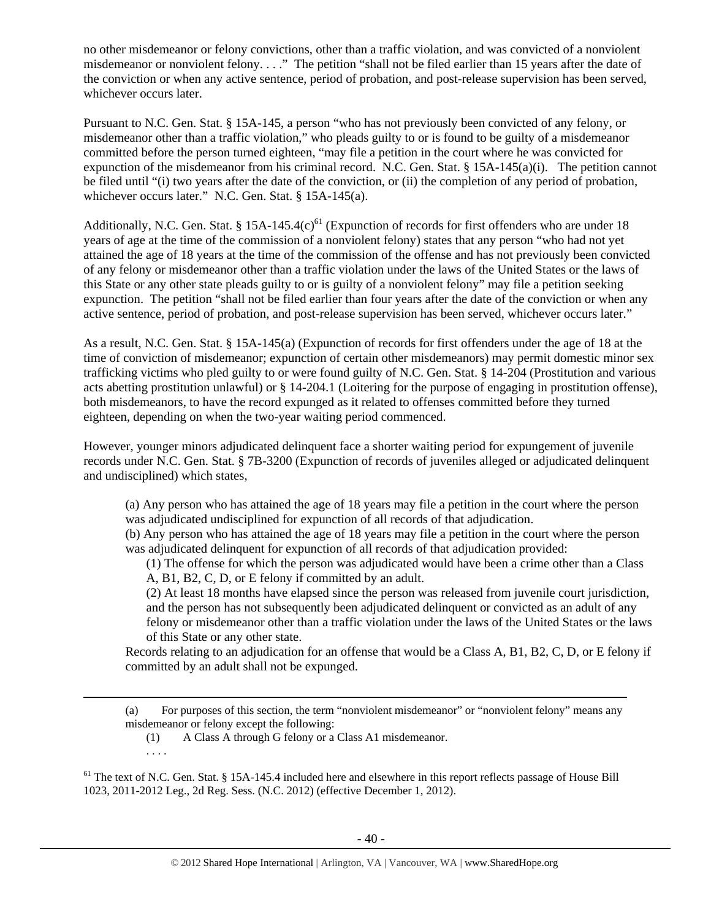no other misdemeanor or felony convictions, other than a traffic violation, and was convicted of a nonviolent misdemeanor or nonviolent felony. . . ." The petition "shall not be filed earlier than 15 years after the date of the conviction or when any active sentence, period of probation, and post-release supervision has been served, whichever occurs later.

Pursuant to N.C. Gen. Stat. § 15A-145, a person "who has not previously been convicted of any felony, or misdemeanor other than a traffic violation," who pleads guilty to or is found to be guilty of a misdemeanor committed before the person turned eighteen, "may file a petition in the court where he was convicted for expunction of the misdemeanor from his criminal record. N.C. Gen. Stat. § 15A-145(a)(i). The petition cannot be filed until "(i) two years after the date of the conviction, or (ii) the completion of any period of probation, whichever occurs later." N.C. Gen. Stat. § 15A-145(a).

Additionally, N.C. Gen. Stat. § 15A-145.4(c)<sup>61</sup> (Expunction of records for first offenders who are under 18 years of age at the time of the commission of a nonviolent felony) states that any person "who had not yet attained the age of 18 years at the time of the commission of the offense and has not previously been convicted of any felony or misdemeanor other than a traffic violation under the laws of the United States or the laws of this State or any other state pleads guilty to or is guilty of a nonviolent felony" may file a petition seeking expunction. The petition "shall not be filed earlier than four years after the date of the conviction or when any active sentence, period of probation, and post-release supervision has been served, whichever occurs later."

As a result, N.C. Gen. Stat. § 15A-145(a) (Expunction of records for first offenders under the age of 18 at the time of conviction of misdemeanor; expunction of certain other misdemeanors) may permit domestic minor sex trafficking victims who pled guilty to or were found guilty of N.C. Gen. Stat. § 14-204 (Prostitution and various acts abetting prostitution unlawful) or § 14-204.1 (Loitering for the purpose of engaging in prostitution offense), both misdemeanors, to have the record expunged as it related to offenses committed before they turned eighteen, depending on when the two-year waiting period commenced.

However, younger minors adjudicated delinquent face a shorter waiting period for expungement of juvenile records under N.C. Gen. Stat. § 7B-3200 (Expunction of records of juveniles alleged or adjudicated delinquent and undisciplined) which states,

(a) Any person who has attained the age of 18 years may file a petition in the court where the person was adjudicated undisciplined for expunction of all records of that adjudication.

(b) Any person who has attained the age of 18 years may file a petition in the court where the person was adjudicated delinquent for expunction of all records of that adjudication provided:

(1) The offense for which the person was adjudicated would have been a crime other than a Class A, B1, B2, C, D, or E felony if committed by an adult.

(2) At least 18 months have elapsed since the person was released from juvenile court jurisdiction, and the person has not subsequently been adjudicated delinquent or convicted as an adult of any felony or misdemeanor other than a traffic violation under the laws of the United States or the laws

of this State or any other state.

. . . .

Records relating to an adjudication for an offense that would be a Class A, B1, B2, C, D, or E felony if committed by an adult shall not be expunged.

(a) For purposes of this section, the term "nonviolent misdemeanor" or "nonviolent felony" means any misdemeanor or felony except the following:

(1) A Class A through G felony or a Class A1 misdemeanor.

 $<sup>61</sup>$  The text of N.C. Gen. Stat. § 15A-145.4 included here and elsewhere in this report reflects passage of House Bill</sup> 1023, 2011-2012 Leg., 2d Reg. Sess. (N.C. 2012) (effective December 1, 2012).

<u> 1989 - Johann Stoff, fransk politik (d. 1989)</u>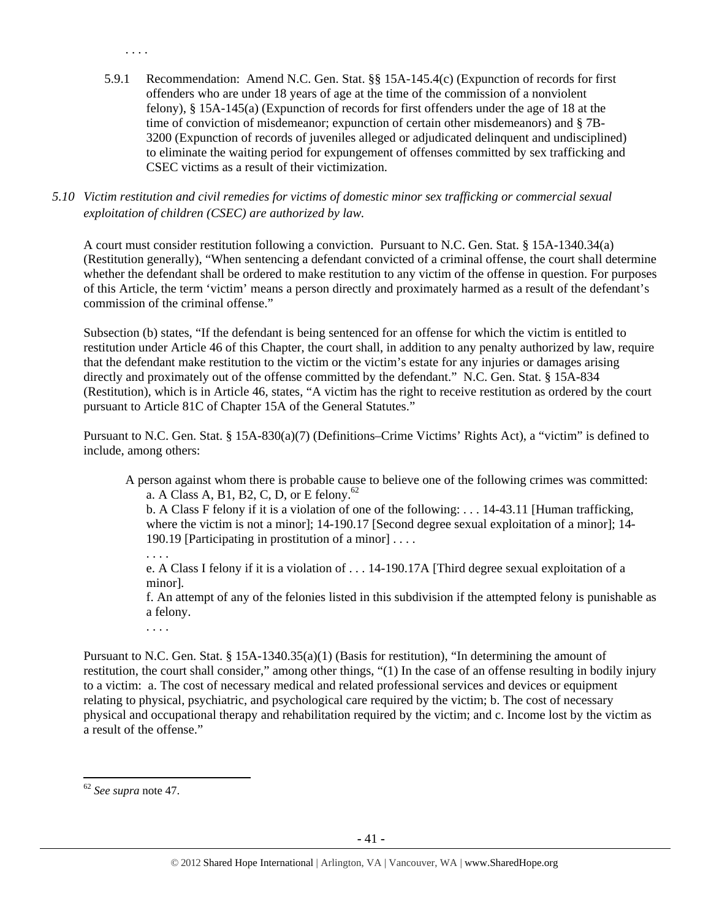5.9.1 Recommendation: Amend N.C. Gen. Stat. §§ 15A-145.4(c) (Expunction of records for first offenders who are under 18 years of age at the time of the commission of a nonviolent felony), § 15A-145(a) (Expunction of records for first offenders under the age of 18 at the time of conviction of misdemeanor; expunction of certain other misdemeanors) and § 7B-3200 (Expunction of records of juveniles alleged or adjudicated delinquent and undisciplined) to eliminate the waiting period for expungement of offenses committed by sex trafficking and CSEC victims as a result of their victimization.

*5.10 Victim restitution and civil remedies for victims of domestic minor sex trafficking or commercial sexual exploitation of children (CSEC) are authorized by law.* 

A court must consider restitution following a conviction. Pursuant to N.C. Gen. Stat. § 15A-1340.34(a) (Restitution generally), "When sentencing a defendant convicted of a criminal offense, the court shall determine whether the defendant shall be ordered to make restitution to any victim of the offense in question. For purposes of this Article, the term 'victim' means a person directly and proximately harmed as a result of the defendant's commission of the criminal offense."

Subsection (b) states, "If the defendant is being sentenced for an offense for which the victim is entitled to restitution under Article 46 of this Chapter, the court shall, in addition to any penalty authorized by law, require that the defendant make restitution to the victim or the victim's estate for any injuries or damages arising directly and proximately out of the offense committed by the defendant." N.C. Gen. Stat. § 15A-834 (Restitution), which is in Article 46, states, "A victim has the right to receive restitution as ordered by the court pursuant to Article 81C of Chapter 15A of the General Statutes."

Pursuant to N.C. Gen. Stat. § 15A-830(a)(7) (Definitions–Crime Victims' Rights Act), a "victim" is defined to include, among others:

A person against whom there is probable cause to believe one of the following crimes was committed: a. A Class A, B1, B2, C, D, or E felony.<sup>62</sup>

b. A Class F felony if it is a violation of one of the following: . . . 14-43.11 [Human trafficking, where the victim is not a minor]; 14-190.17 [Second degree sexual exploitation of a minor]; 14-190.19 [Participating in prostitution of a minor] . . . .

. . . . e. A Class I felony if it is a violation of . . . 14-190.17A [Third degree sexual exploitation of a minor].

f. An attempt of any of the felonies listed in this subdivision if the attempted felony is punishable as a felony.

. . . .

. . . .

Pursuant to N.C. Gen. Stat. § 15A-1340.35(a)(1) (Basis for restitution), "In determining the amount of restitution, the court shall consider," among other things, "(1) In the case of an offense resulting in bodily injury to a victim: a. The cost of necessary medical and related professional services and devices or equipment relating to physical, psychiatric, and psychological care required by the victim; b. The cost of necessary physical and occupational therapy and rehabilitation required by the victim; and c. Income lost by the victim as a result of the offense."

<sup>62</sup> *See supra* note 47.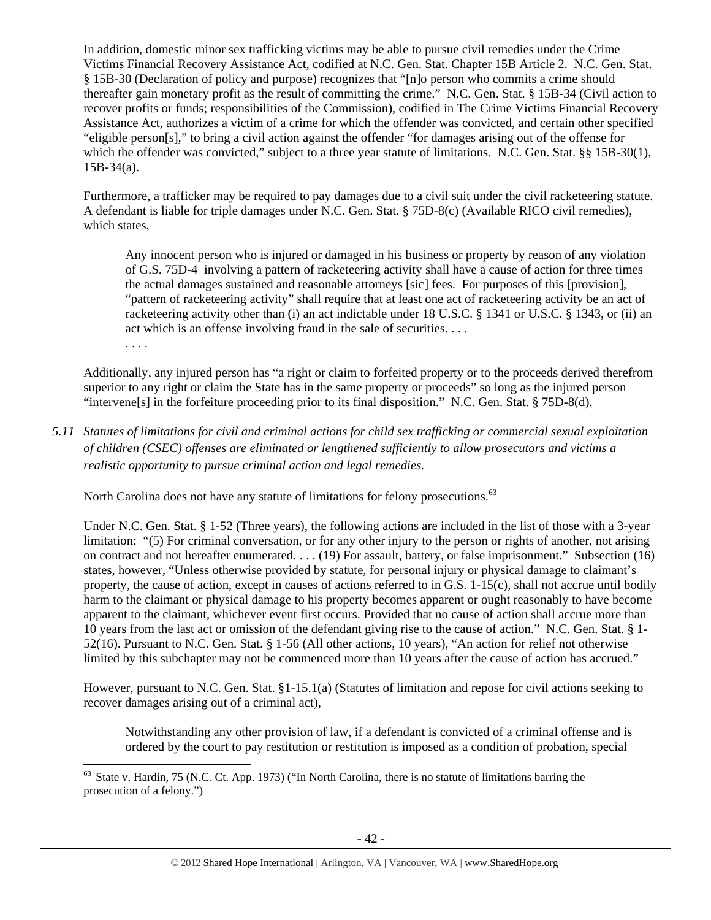In addition, domestic minor sex trafficking victims may be able to pursue civil remedies under the Crime Victims Financial Recovery Assistance Act, codified at N.C. Gen. Stat. Chapter 15B Article 2. N.C. Gen. Stat. § 15B-30 (Declaration of policy and purpose) recognizes that "[n]o person who commits a crime should thereafter gain monetary profit as the result of committing the crime." N.C. Gen. Stat. § 15B-34 (Civil action to recover profits or funds; responsibilities of the Commission), codified in The Crime Victims Financial Recovery Assistance Act, authorizes a victim of a crime for which the offender was convicted, and certain other specified "eligible person[s]," to bring a civil action against the offender "for damages arising out of the offense for which the offender was convicted," subject to a three year statute of limitations. N.C. Gen. Stat. §§ 15B-30(1), 15B-34(a).

Furthermore, a trafficker may be required to pay damages due to a civil suit under the civil racketeering statute. A defendant is liable for triple damages under N.C. Gen. Stat. § 75D-8(c) (Available RICO civil remedies), which states,

Any innocent person who is injured or damaged in his business or property by reason of any violation of G.S. 75D-4 involving a pattern of racketeering activity shall have a cause of action for three times the actual damages sustained and reasonable attorneys [sic] fees. For purposes of this [provision], "pattern of racketeering activity" shall require that at least one act of racketeering activity be an act of racketeering activity other than (i) an act indictable under 18 U.S.C. § 1341 or U.S.C. § 1343, or (ii) an act which is an offense involving fraud in the sale of securities. . . .

. . . .

Additionally, any injured person has "a right or claim to forfeited property or to the proceeds derived therefrom superior to any right or claim the State has in the same property or proceeds" so long as the injured person "intervene[s] in the forfeiture proceeding prior to its final disposition." N.C. Gen. Stat. § 75D-8(d).

*5.11 Statutes of limitations for civil and criminal actions for child sex trafficking or commercial sexual exploitation of children (CSEC) offenses are eliminated or lengthened sufficiently to allow prosecutors and victims a realistic opportunity to pursue criminal action and legal remedies.* 

North Carolina does not have any statute of limitations for felony prosecutions.<sup>63</sup>

Under N.C. Gen. Stat. § 1-52 (Three years), the following actions are included in the list of those with a 3-year limitation: "(5) For criminal conversation, or for any other injury to the person or rights of another, not arising on contract and not hereafter enumerated. . . . (19) For assault, battery, or false imprisonment." Subsection (16) states, however, "Unless otherwise provided by statute, for personal injury or physical damage to claimant's property, the cause of action, except in causes of actions referred to in G.S. 1-15(c), shall not accrue until bodily harm to the claimant or physical damage to his property becomes apparent or ought reasonably to have become apparent to the claimant, whichever event first occurs. Provided that no cause of action shall accrue more than 10 years from the last act or omission of the defendant giving rise to the cause of action." N.C. Gen. Stat. § 1- 52(16). Pursuant to N.C. Gen. Stat. § 1-56 (All other actions, 10 years), "An action for relief not otherwise limited by this subchapter may not be commenced more than 10 years after the cause of action has accrued."

However, pursuant to N.C. Gen. Stat. §1-15.1(a) (Statutes of limitation and repose for civil actions seeking to recover damages arising out of a criminal act),

Notwithstanding any other provision of law, if a defendant is convicted of a criminal offense and is ordered by the court to pay restitution or restitution is imposed as a condition of probation, special

<sup>&</sup>lt;sup>63</sup> State v. Hardin, 75 (N.C. Ct. App. 1973) ("In North Carolina, there is no statute of limitations barring the prosecution of a felony.")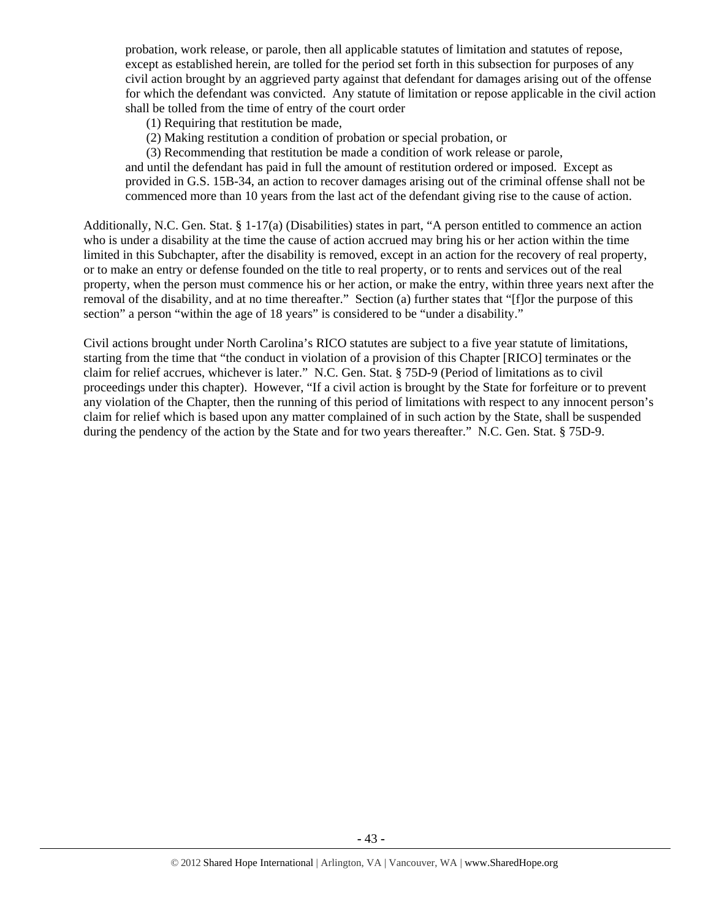probation, work release, or parole, then all applicable statutes of limitation and statutes of repose, except as established herein, are tolled for the period set forth in this subsection for purposes of any civil action brought by an aggrieved party against that defendant for damages arising out of the offense for which the defendant was convicted. Any statute of limitation or repose applicable in the civil action shall be tolled from the time of entry of the court order

- (1) Requiring that restitution be made,
- (2) Making restitution a condition of probation or special probation, or
- (3) Recommending that restitution be made a condition of work release or parole,

and until the defendant has paid in full the amount of restitution ordered or imposed. Except as provided in G.S. 15B-34, an action to recover damages arising out of the criminal offense shall not be commenced more than 10 years from the last act of the defendant giving rise to the cause of action.

Additionally, N.C. Gen. Stat. § 1-17(a) (Disabilities) states in part, "A person entitled to commence an action who is under a disability at the time the cause of action accrued may bring his or her action within the time limited in this Subchapter, after the disability is removed, except in an action for the recovery of real property, or to make an entry or defense founded on the title to real property, or to rents and services out of the real property, when the person must commence his or her action, or make the entry, within three years next after the removal of the disability, and at no time thereafter." Section (a) further states that "[f]or the purpose of this section" a person "within the age of 18 years" is considered to be "under a disability."

Civil actions brought under North Carolina's RICO statutes are subject to a five year statute of limitations, starting from the time that "the conduct in violation of a provision of this Chapter [RICO] terminates or the claim for relief accrues, whichever is later." N.C. Gen. Stat. § 75D-9 (Period of limitations as to civil proceedings under this chapter). However, "If a civil action is brought by the State for forfeiture or to prevent any violation of the Chapter, then the running of this period of limitations with respect to any innocent person's claim for relief which is based upon any matter complained of in such action by the State, shall be suspended during the pendency of the action by the State and for two years thereafter." N.C. Gen. Stat. § 75D-9.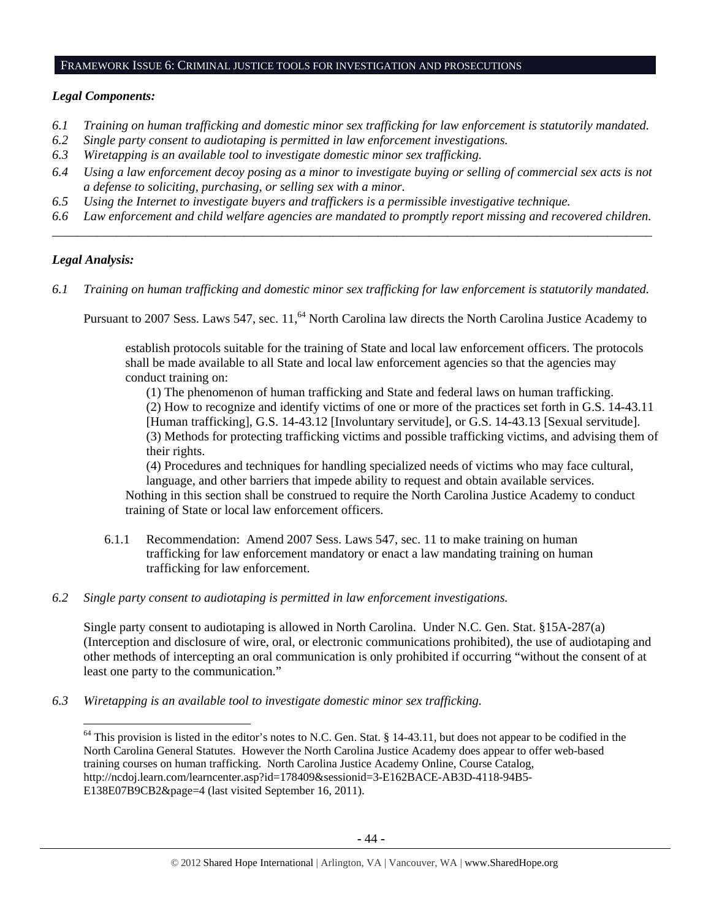## FRAMEWORK ISSUE 6: CRIMINAL JUSTICE TOOLS FOR INVESTIGATION AND PROSECUTIONS

## *Legal Components:*

- *6.1 Training on human trafficking and domestic minor sex trafficking for law enforcement is statutorily mandated.*
- *6.2 Single party consent to audiotaping is permitted in law enforcement investigations.*
- *6.3 Wiretapping is an available tool to investigate domestic minor sex trafficking.*
- *6.4 Using a law enforcement decoy posing as a minor to investigate buying or selling of commercial sex acts is not a defense to soliciting, purchasing, or selling sex with a minor.*
- *6.5 Using the Internet to investigate buyers and traffickers is a permissible investigative technique.*
- *6.6 Law enforcement and child welfare agencies are mandated to promptly report missing and recovered children. \_\_\_\_\_\_\_\_\_\_\_\_\_\_\_\_\_\_\_\_\_\_\_\_\_\_\_\_\_\_\_\_\_\_\_\_\_\_\_\_\_\_\_\_\_\_\_\_\_\_\_\_\_\_\_\_\_\_\_\_\_\_\_\_\_\_\_\_\_\_\_\_\_\_\_\_\_\_\_\_\_\_\_\_\_\_\_\_\_\_\_\_\_\_*

# *Legal Analysis:*

*6.1 Training on human trafficking and domestic minor sex trafficking for law enforcement is statutorily mandated.*

Pursuant to 2007 Sess. Laws 547, sec. 11,<sup>64</sup> North Carolina law directs the North Carolina Justice Academy to

establish protocols suitable for the training of State and local law enforcement officers. The protocols shall be made available to all State and local law enforcement agencies so that the agencies may conduct training on:

(1) The phenomenon of human trafficking and State and federal laws on human trafficking. (2) How to recognize and identify victims of one or more of the practices set forth in G.S. 14-43.11 [Human trafficking], G.S. 14-43.12 [Involuntary servitude], or G.S. 14-43.13 [Sexual servitude]. (3) Methods for protecting trafficking victims and possible trafficking victims, and advising them of their rights.

(4) Procedures and techniques for handling specialized needs of victims who may face cultural, language, and other barriers that impede ability to request and obtain available services.

Nothing in this section shall be construed to require the North Carolina Justice Academy to conduct training of State or local law enforcement officers.

- 6.1.1 Recommendation: Amend 2007 Sess. Laws 547, sec. 11 to make training on human trafficking for law enforcement mandatory or enact a law mandating training on human trafficking for law enforcement.
- *6.2 Single party consent to audiotaping is permitted in law enforcement investigations.*

Single party consent to audiotaping is allowed in North Carolina. Under N.C. Gen. Stat. §15A-287(a) (Interception and disclosure of wire, oral, or electronic communications prohibited), the use of audiotaping and other methods of intercepting an oral communication is only prohibited if occurring "without the consent of at least one party to the communication."

*6.3 Wiretapping is an available tool to investigate domestic minor sex trafficking.* 

 $64$  This provision is listed in the editor's notes to N.C. Gen. Stat. § 14-43.11, but does not appear to be codified in the North Carolina General Statutes. However the North Carolina Justice Academy does appear to offer web-based training courses on human trafficking. North Carolina Justice Academy Online, Course Catalog, http://ncdoj.learn.com/learncenter.asp?id=178409&sessionid=3-E162BACE-AB3D-4118-94B5- E138E07B9CB2&page=4 (last visited September 16, 2011).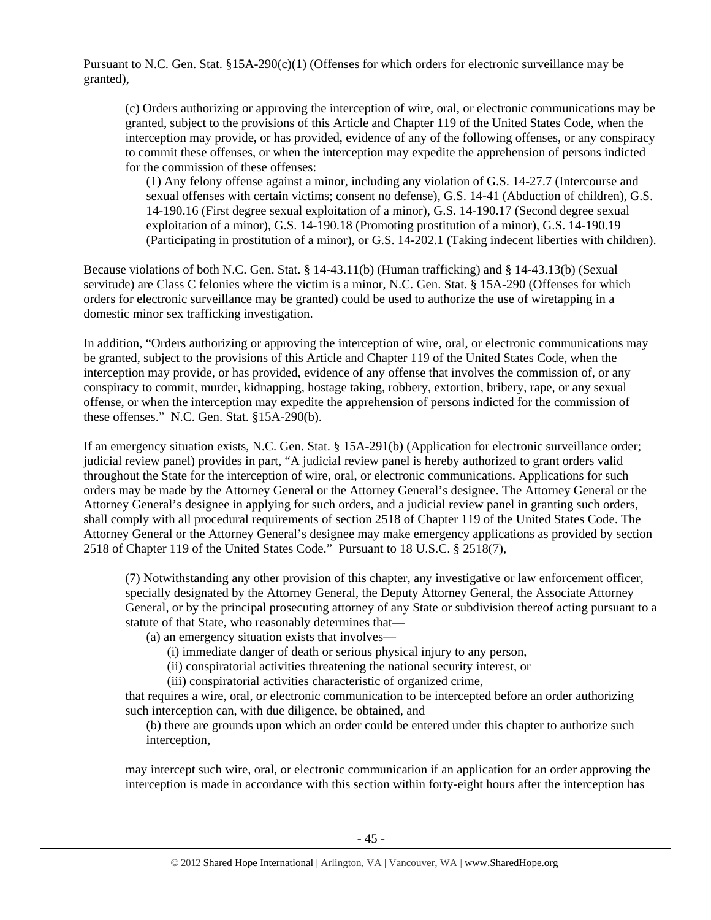Pursuant to N.C. Gen. Stat.  $§15A-290(c)(1)$  (Offenses for which orders for electronic surveillance may be granted),

(c) Orders authorizing or approving the interception of wire, oral, or electronic communications may be granted, subject to the provisions of this Article and Chapter 119 of the United States Code, when the interception may provide, or has provided, evidence of any of the following offenses, or any conspiracy to commit these offenses, or when the interception may expedite the apprehension of persons indicted for the commission of these offenses:

(1) Any felony offense against a minor, including any violation of G.S. 14-27.7 (Intercourse and sexual offenses with certain victims; consent no defense), G.S. 14-41 (Abduction of children), G.S. 14-190.16 (First degree sexual exploitation of a minor), G.S. 14-190.17 (Second degree sexual exploitation of a minor), G.S. 14-190.18 (Promoting prostitution of a minor), G.S. 14-190.19 (Participating in prostitution of a minor), or G.S. 14-202.1 (Taking indecent liberties with children).

Because violations of both N.C. Gen. Stat. § 14-43.11(b) (Human trafficking) and § 14-43.13(b) (Sexual servitude) are Class C felonies where the victim is a minor, N.C. Gen. Stat. § 15A-290 (Offenses for which orders for electronic surveillance may be granted) could be used to authorize the use of wiretapping in a domestic minor sex trafficking investigation.

In addition, "Orders authorizing or approving the interception of wire, oral, or electronic communications may be granted, subject to the provisions of this Article and Chapter 119 of the United States Code, when the interception may provide, or has provided, evidence of any offense that involves the commission of, or any conspiracy to commit, murder, kidnapping, hostage taking, robbery, extortion, bribery, rape, or any sexual offense, or when the interception may expedite the apprehension of persons indicted for the commission of these offenses." N.C. Gen. Stat. §15A-290(b).

If an emergency situation exists, N.C. Gen. Stat. § 15A-291(b) (Application for electronic surveillance order; judicial review panel) provides in part, "A judicial review panel is hereby authorized to grant orders valid throughout the State for the interception of wire, oral, or electronic communications. Applications for such orders may be made by the Attorney General or the Attorney General's designee. The Attorney General or the Attorney General's designee in applying for such orders, and a judicial review panel in granting such orders, shall comply with all procedural requirements of section 2518 of Chapter 119 of the United States Code. The Attorney General or the Attorney General's designee may make emergency applications as provided by section 2518 of Chapter 119 of the United States Code." Pursuant to 18 U.S.C. § 2518(7),

(7) Notwithstanding any other provision of this chapter, any investigative or law enforcement officer, specially designated by the Attorney General, the Deputy Attorney General, the Associate Attorney General, or by the principal prosecuting attorney of any State or subdivision thereof acting pursuant to a statute of that State, who reasonably determines that—

(a) an emergency situation exists that involves—

(i) immediate danger of death or serious physical injury to any person,

(ii) conspiratorial activities threatening the national security interest, or

(iii) conspiratorial activities characteristic of organized crime,

that requires a wire, oral, or electronic communication to be intercepted before an order authorizing such interception can, with due diligence, be obtained, and

(b) there are grounds upon which an order could be entered under this chapter to authorize such interception,

may intercept such wire, oral, or electronic communication if an application for an order approving the interception is made in accordance with this section within forty-eight hours after the interception has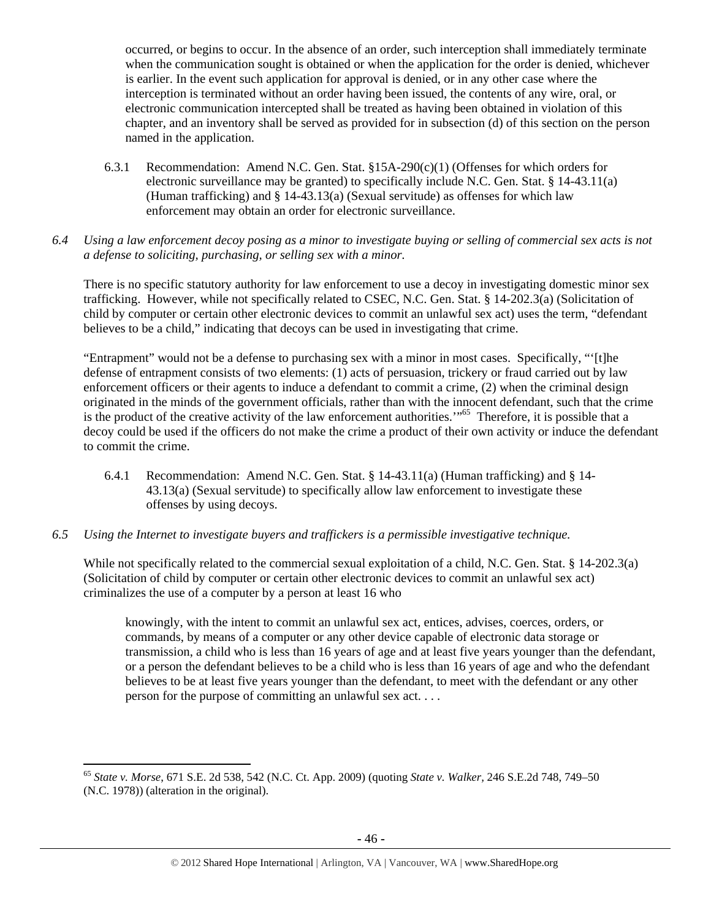occurred, or begins to occur. In the absence of an order, such interception shall immediately terminate when the communication sought is obtained or when the application for the order is denied, whichever is earlier. In the event such application for approval is denied, or in any other case where the interception is terminated without an order having been issued, the contents of any wire, oral, or electronic communication intercepted shall be treated as having been obtained in violation of this chapter, and an inventory shall be served as provided for in subsection (d) of this section on the person named in the application.

- 6.3.1 Recommendation: Amend N.C. Gen. Stat. §15A-290(c)(1) (Offenses for which orders for electronic surveillance may be granted) to specifically include N.C. Gen. Stat. § 14-43.11(a) (Human trafficking) and § 14-43.13(a) (Sexual servitude) as offenses for which law enforcement may obtain an order for electronic surveillance.
- *6.4 Using a law enforcement decoy posing as a minor to investigate buying or selling of commercial sex acts is not a defense to soliciting, purchasing, or selling sex with a minor.*

There is no specific statutory authority for law enforcement to use a decoy in investigating domestic minor sex trafficking. However, while not specifically related to CSEC, N.C. Gen. Stat. § 14-202.3(a) (Solicitation of child by computer or certain other electronic devices to commit an unlawful sex act) uses the term, "defendant believes to be a child," indicating that decoys can be used in investigating that crime.

"Entrapment" would not be a defense to purchasing sex with a minor in most cases. Specifically, "'[t]he defense of entrapment consists of two elements: (1) acts of persuasion, trickery or fraud carried out by law enforcement officers or their agents to induce a defendant to commit a crime, (2) when the criminal design originated in the minds of the government officials, rather than with the innocent defendant, such that the crime is the product of the creative activity of the law enforcement authorities."<sup>65</sup> Therefore, it is possible that a decoy could be used if the officers do not make the crime a product of their own activity or induce the defendant to commit the crime.

- 6.4.1 Recommendation: Amend N.C. Gen. Stat. § 14-43.11(a) (Human trafficking) and § 14- 43.13(a) (Sexual servitude) to specifically allow law enforcement to investigate these offenses by using decoys.
- *6.5 Using the Internet to investigate buyers and traffickers is a permissible investigative technique.*

While not specifically related to the commercial sexual exploitation of a child, N.C. Gen. Stat. § 14-202.3(a) (Solicitation of child by computer or certain other electronic devices to commit an unlawful sex act) criminalizes the use of a computer by a person at least 16 who

knowingly, with the intent to commit an unlawful sex act, entices, advises, coerces, orders, or commands, by means of a computer or any other device capable of electronic data storage or transmission, a child who is less than 16 years of age and at least five years younger than the defendant, or a person the defendant believes to be a child who is less than 16 years of age and who the defendant believes to be at least five years younger than the defendant, to meet with the defendant or any other person for the purpose of committing an unlawful sex act. . . .

<sup>65</sup> *State v. Morse*, 671 S.E. 2d 538, 542 (N.C. Ct. App. 2009) (quoting *State v. Walker,* 246 S.E.2d 748, 749–50 (N.C. 1978)) (alteration in the original).